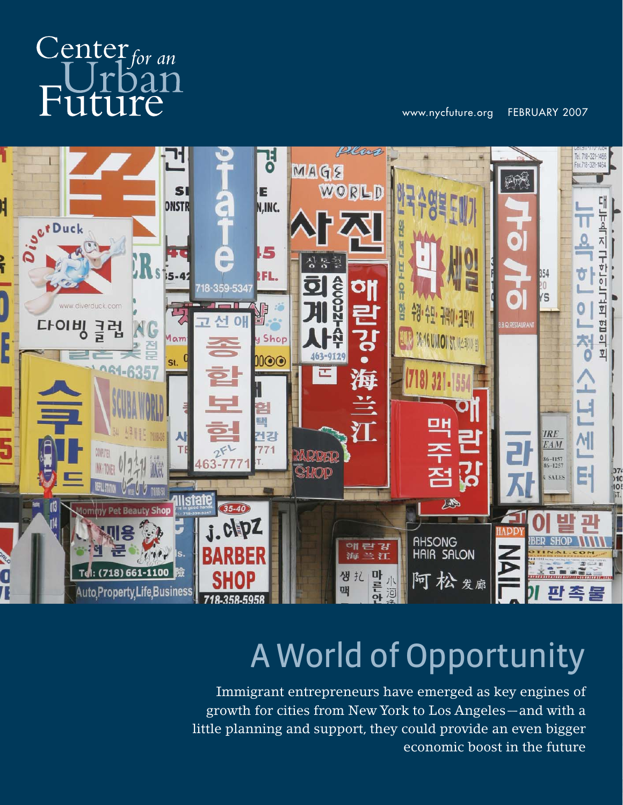# $C$ enter for an oan Future

www.nycfuture.org FEBRUARY 2007



# A World of Opportunity

Immigrant entrepreneurs have emerged as key engines of growth for cities from New York to Los Angeles—and with a little planning and support, they could provide an even bigger economic boost in the future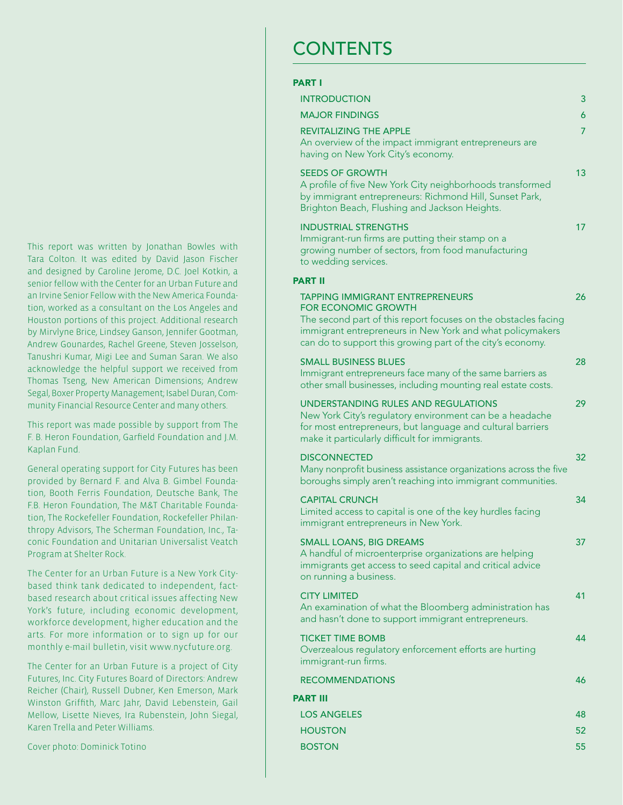This report was written by Jonathan Bowles with Tara Colton. It was edited by David Jason Fischer and designed by Caroline Jerome, D.C. Joel Kotkin, a senior fellow with the Center for an Urban Future and an Irvine Senior Fellow with the New America Foundation, worked as a consultant on the Los Angeles and Houston portions of this project. Additional research by Mirvlyne Brice, Lindsey Ganson, Jennifer Gootman, Andrew Gounardes, Rachel Greene, Steven Josselson, Tanushri Kumar, Migi Lee and Suman Saran. We also acknowledge the helpful support we received from Thomas Tseng, New American Dimensions; Andrew Segal, Boxer Property Management; Isabel Duran, Community Financial Resource Center and many others.

This report was made possible by support from The F. B. Heron Foundation, Garfield Foundation and J.M. Kaplan Fund.

General operating support for City Futures has been provided by Bernard F. and Alva B. Gimbel Foundation, Booth Ferris Foundation, Deutsche Bank, The F.B. Heron Foundation, The M&T Charitable Foundation, The Rockefeller Foundation, Rockefeller Philanthropy Advisors, The Scherman Foundation, Inc., Taconic Foundation and Unitarian Universalist Veatch Program at Shelter Rock.

The Center for an Urban Future is a New York Citybased think tank dedicated to independent, factbased research about critical issues affecting New York's future, including economic development, workforce development, higher education and the arts. For more information or to sign up for our monthly e-mail bulletin, visit www.nycfuture.org.

The Center for an Urban Future is a project of City Futures, Inc. City Futures Board of Directors: Andrew Reicher (Chair), Russell Dubner, Ken Emerson, Mark Winston Griffith, Marc Jahr, David Lebenstein, Gail Mellow, Lisette Nieves, Ira Rubenstein, John Siegal, Karen Trella and Peter Williams.

Cover photo: Dominick Totino

### **CONTENTS**

| PART I                                                                                                                                                                                                                                                            |    |
|-------------------------------------------------------------------------------------------------------------------------------------------------------------------------------------------------------------------------------------------------------------------|----|
| <b>INTRODUCTION</b>                                                                                                                                                                                                                                               | 3  |
| <b>MAJOR FINDINGS</b>                                                                                                                                                                                                                                             | 6  |
| <b>REVITALIZING THE APPLE</b><br>An overview of the impact immigrant entrepreneurs are<br>having on New York City's economy.                                                                                                                                      | 7  |
| <b>SEEDS OF GROWTH</b><br>A profile of five New York City neighborhoods transformed<br>by immigrant entrepreneurs: Richmond Hill, Sunset Park,<br>Brighton Beach, Flushing and Jackson Heights.                                                                   | 13 |
| <b>INDUSTRIAL STRENGTHS</b><br>Immigrant-run firms are putting their stamp on a<br>growing number of sectors, from food manufacturing<br>to wedding services.                                                                                                     | 17 |
| <b>PART II</b>                                                                                                                                                                                                                                                    |    |
| <b>TAPPING IMMIGRANT ENTREPRENEURS</b><br><b>FOR ECONOMIC GROWTH</b><br>The second part of this report focuses on the obstacles facing<br>immigrant entrepreneurs in New York and what policymakers<br>can do to support this growing part of the city's economy. | 26 |
| <b>SMALL BUSINESS BLUES</b><br>Immigrant entrepreneurs face many of the same barriers as<br>other small businesses, including mounting real estate costs.                                                                                                         | 28 |
| UNDERSTANDING RULES AND REGULATIONS<br>New York City's regulatory environment can be a headache<br>for most entrepreneurs, but language and cultural barriers<br>make it particularly difficult for immigrants.                                                   | 29 |
| <b>DISCONNECTED</b><br>Many nonprofit business assistance organizations across the five<br>boroughs simply aren't reaching into immigrant communities.                                                                                                            | 32 |
| <b>CAPITAL CRUNCH</b><br>Limited access to capital is one of the key hurdles facing<br>immigrant entrepreneurs in New York.                                                                                                                                       | 34 |
| <b>SMALL LOANS, BIG DREAMS</b><br>A handful of microenterprise organizations are helping<br>immigrants get access to seed capital and critical advice<br>on running a business.                                                                                   | 37 |
| <b>CITY LIMITED</b><br>An examination of what the Bloomberg administration has<br>and hasn't done to support immigrant entrepreneurs.                                                                                                                             | 41 |
| <b>TICKET TIME BOMB</b><br>Overzealous regulatory enforcement efforts are hurting<br>immigrant-run firms.                                                                                                                                                         | 44 |
| <b>RECOMMENDATIONS</b>                                                                                                                                                                                                                                            | 46 |
| PART III                                                                                                                                                                                                                                                          |    |
| <b>LOS ANGELES</b>                                                                                                                                                                                                                                                | 48 |
| <b>HOUSTON</b>                                                                                                                                                                                                                                                    | 52 |
| <b>BOSTON</b>                                                                                                                                                                                                                                                     | 55 |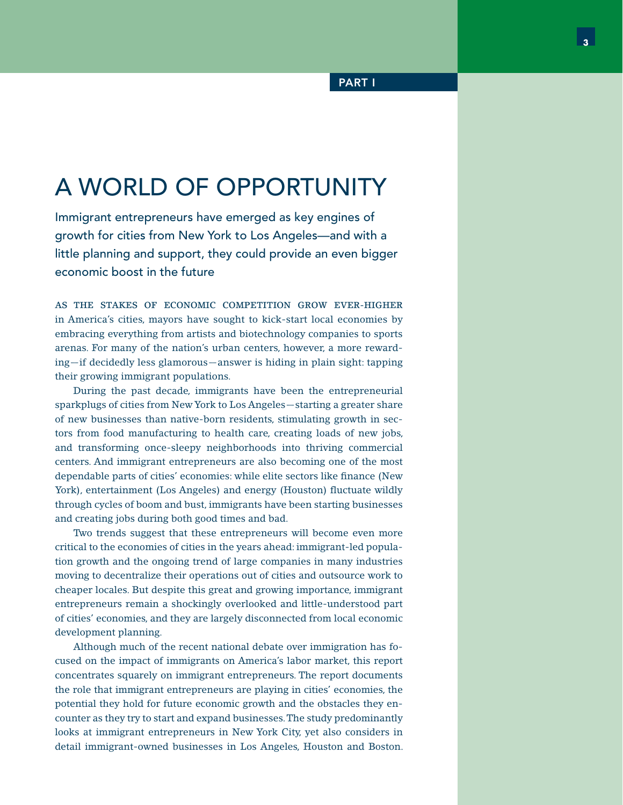# A WORLD OF OPPORTUNITY

Immigrant entrepreneurs have emerged as key engines of growth for cities from New York to Los Angeles—and with a little planning and support, they could provide an even bigger economic boost in the future

AS THE STAKES OF ECONOMIC COMPETITION GROW EVER-HIGHER in America's cities, mayors have sought to kick-start local economies by embracing everything from artists and biotechnology companies to sports arenas. For many of the nation's urban centers, however, a more rewarding—if decidedly less glamorous—answer is hiding in plain sight: tapping their growing immigrant populations.

 During the past decade, immigrants have been the entrepreneurial sparkplugs of cities from New York to Los Angeles—starting a greater share of new businesses than native-born residents, stimulating growth in sectors from food manufacturing to health care, creating loads of new jobs, and transforming once-sleepy neighborhoods into thriving commercial centers. And immigrant entrepreneurs are also becoming one of the most dependable parts of cities' economies: while elite sectors like finance (New York), entertainment (Los Angeles) and energy (Houston) fluctuate wildly through cycles of boom and bust, immigrants have been starting businesses and creating jobs during both good times and bad.

 Two trends suggest that these entrepreneurs will become even more critical to the economies of cities in the years ahead: immigrant-led population growth and the ongoing trend of large companies in many industries moving to decentralize their operations out of cities and outsource work to cheaper locales. But despite this great and growing importance, immigrant entrepreneurs remain a shockingly overlooked and little-understood part of cities' economies, and they are largely disconnected from local economic development planning.

 Although much of the recent national debate over immigration has focused on the impact of immigrants on America's labor market, this report concentrates squarely on immigrant entrepreneurs. The report documents the role that immigrant entrepreneurs are playing in cities' economies, the potential they hold for future economic growth and the obstacles they encounter as they try to start and expand businesses. The study predominantly looks at immigrant entrepreneurs in New York City, yet also considers in detail immigrant-owned businesses in Los Angeles, Houston and Boston.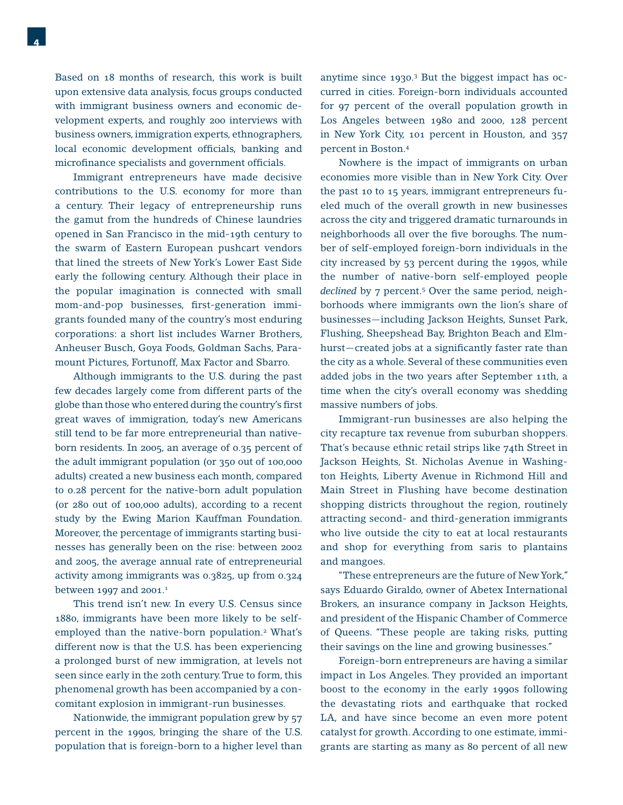Based on 18 months of research, this work is built upon extensive data analysis, focus groups conducted with immigrant business owners and economic development experts, and roughly 200 interviews with business owners, immigration experts, ethnographers, local economic development officials, banking and microfinance specialists and government officials.

 Immigrant entrepreneurs have made decisive contributions to the U.S. economy for more than a century. Their legacy of entrepreneurship runs the gamut from the hundreds of Chinese laundries opened in San Francisco in the mid-19th century to the swarm of Eastern European pushcart vendors that lined the streets of New York's Lower East Side early the following century. Although their place in the popular imagination is connected with small mom-and-pop businesses, first-generation immigrants founded many of the country's most enduring corporations: a short list includes Warner Brothers, Anheuser Busch, Goya Foods, Goldman Sachs, Paramount Pictures, Fortunoff, Max Factor and Sbarro.

 Although immigrants to the U.S. during the past few decades largely come from different parts of the globe than those who entered during the country's first great waves of immigration, today's new Americans still tend to be far more entrepreneurial than nativeborn residents. In 2005, an average of 0.35 percent of the adult immigrant population (or 350 out of 100,000 adults) created a new business each month, compared to 0.28 percent for the native-born adult population (or 280 out of 100,000 adults), according to a recent study by the Ewing Marion Kauffman Foundation. Moreover, the percentage of immigrants starting businesses has generally been on the rise: between 2002 and 2005, the average annual rate of entrepreneurial activity among immigrants was 0.3825, up from 0.324 between 1997 and 2001.<sup>1</sup>

 This trend isn't new. In every U.S. Census since 1880, immigrants have been more likely to be selfemployed than the native-born population.<sup>2</sup> What's different now is that the U.S. has been experiencing a prolonged burst of new immigration, at levels not seen since early in the 20th century. True to form, this phenomenal growth has been accompanied by a concomitant explosion in immigrant-run businesses.

 Nationwide, the immigrant population grew by 57 percent in the 1990s, bringing the share of the U.S. population that is foreign-born to a higher level than anytime since 1930.3 But the biggest impact has occurred in cities. Foreign-born individuals accounted for 97 percent of the overall population growth in Los Angeles between 1980 and 2000, 128 percent in New York City, 101 percent in Houston, and 357 percent in Boston.4

 Nowhere is the impact of immigrants on urban economies more visible than in New York City. Over the past 10 to 15 years, immigrant entrepreneurs fueled much of the overall growth in new businesses across the city and triggered dramatic turnarounds in neighborhoods all over the five boroughs. The number of self-employed foreign-born individuals in the city increased by 53 percent during the 1990s, while the number of native-born self-employed people declined by 7 percent.<sup>5</sup> Over the same period, neighborhoods where immigrants own the lion's share of businesses—including Jackson Heights, Sunset Park, Flushing, Sheepshead Bay, Brighton Beach and Elmhurst-created jobs at a significantly faster rate than the city as a whole. Several of these communities even added jobs in the two years after September 11th, a time when the city's overall economy was shedding massive numbers of jobs.

 Immigrant-run businesses are also helping the city recapture tax revenue from suburban shoppers. That's because ethnic retail strips like 74th Street in Jackson Heights, St. Nicholas Avenue in Washington Heights, Liberty Avenue in Richmond Hill and Main Street in Flushing have become destination shopping districts throughout the region, routinely attracting second- and third-generation immigrants who live outside the city to eat at local restaurants and shop for everything from saris to plantains and mangoes.

 "These entrepreneurs are the future of New York," says Eduardo Giraldo, owner of Abetex International Brokers, an insurance company in Jackson Heights, and president of the Hispanic Chamber of Commerce of Queens. "These people are taking risks, putting their savings on the line and growing businesses."

 Foreign-born entrepreneurs are having a similar impact in Los Angeles. They provided an important boost to the economy in the early 1990s following the devastating riots and earthquake that rocked LA, and have since become an even more potent catalyst for growth. According to one estimate, immigrants are starting as many as 80 percent of all new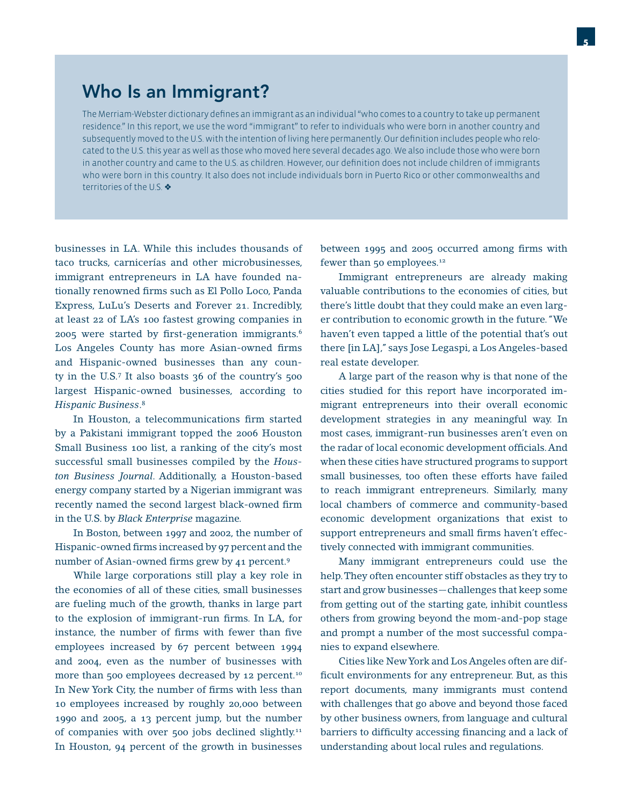### Who Is an Immigrant?

The Merriam-Webster dictionary defines an immigrant as an individual "who comes to a country to take up permanent residence." In this report, we use the word "immigrant" to refer to individuals who were born in another country and subsequently moved to the U.S. with the intention of living here permanently. Our definition includes people who relocated to the U.S. this year as well as those who moved here several decades ago. We also include those who were born in another country and came to the U.S. as children. However, our definition does not include children of immigrants who were born in this country. It also does not include individuals born in Puerto Rico or other commonwealths and territories of the U.S.  $\clubsuit$ 

businesses in LA. While this includes thousands of taco trucks, carnicerías and other microbusinesses, immigrant entrepreneurs in LA have founded nationally renowned firms such as El Pollo Loco, Panda Express, LuLu's Deserts and Forever 21. Incredibly, at least 22 of LA's 100 fastest growing companies in 2005 were started by first-generation immigrants. $6$ Los Angeles County has more Asian-owned firms and Hispanic-owned businesses than any county in the U.S.7 It also boasts 36 of the country's 500 largest Hispanic-owned businesses, according to *Hispanic Business*. 8

In Houston, a telecommunications firm started by a Pakistani immigrant topped the 2006 Houston Small Business 100 list, a ranking of the city's most successful small businesses compiled by the *Houston Business Journal*. Additionally, a Houston-based energy company started by a Nigerian immigrant was recently named the second largest black-owned firm in the U.S. by *Black Enterprise* magazine.

 In Boston, between 1997 and 2002, the number of Hispanic-owned firms increased by 97 percent and the number of Asian-owned firms grew by 41 percent.<sup>9</sup>

 While large corporations still play a key role in the economies of all of these cities, small businesses are fueling much of the growth, thanks in large part to the explosion of immigrant-run firms. In LA, for instance, the number of firms with fewer than five employees increased by 67 percent between 1994 and 2004, even as the number of businesses with more than 500 employees decreased by 12 percent.<sup>10</sup> In New York City, the number of firms with less than 10 employees increased by roughly 20,000 between 1990 and 2005, a 13 percent jump, but the number of companies with over 500 jobs declined slightly.<sup>11</sup> In Houston, 94 percent of the growth in businesses

between 1995 and 2005 occurred among firms with fewer than 50 employees.<sup>12</sup>

 Immigrant entrepreneurs are already making valuable contributions to the economies of cities, but there's little doubt that they could make an even larger contribution to economic growth in the future. "We haven't even tapped a little of the potential that's out there [in LA]," says Jose Legaspi, a Los Angeles-based real estate developer.

 A large part of the reason why is that none of the cities studied for this report have incorporated immigrant entrepreneurs into their overall economic development strategies in any meaningful way. In most cases, immigrant-run businesses aren't even on the radar of local economic development officials. And when these cities have structured programs to support small businesses, too often these efforts have failed to reach immigrant entrepreneurs. Similarly, many local chambers of commerce and community-based economic development organizations that exist to support entrepreneurs and small firms haven't effectively connected with immigrant communities.

 Many immigrant entrepreneurs could use the help. They often encounter stiff obstacles as they try to start and grow businesses—challenges that keep some from getting out of the starting gate, inhibit countless others from growing beyond the mom-and-pop stage and prompt a number of the most successful companies to expand elsewhere.

 Cities like New York and Los Angeles often are difficult environments for any entrepreneur. But, as this report documents, many immigrants must contend with challenges that go above and beyond those faced by other business owners, from language and cultural barriers to difficulty accessing financing and a lack of understanding about local rules and regulations.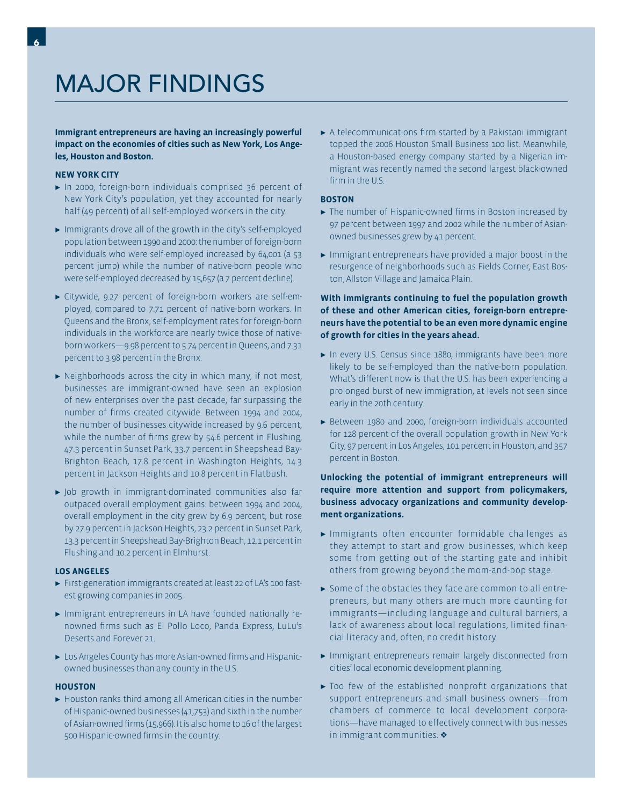# MAJOR FINDINGS

**Immigrant entrepreneurs are having an increasingly powerful impact on the economies of cities such as New York, Los Angeles, Houston and Boston.**

#### **NEW YORK CITY**

- ► In 2000, foreign-born individuals comprised 36 percent of New York City's population, yet they accounted for nearly half (49 percent) of all self-employed workers in the city.
- ► Immigrants drove all of the growth in the city's self-employed population between 1990 and 2000: the number of foreign-born individuals who were self-employed increased by 64,001 (a 53 percent jump) while the number of native-born people who were self-employed decreased by 15,657 (a 7 percent decline).
- Citywide, 9.27 percent of foreign-born workers are self-em-R ployed, compared to 7.71 percent of native-born workers. In Queens and the Bronx, self-employment rates for foreign-born individuals in the workforce are nearly twice those of nativeborn workers—9.98 percent to 5.74 percent in Queens, and 7.31 percent to 3.98 percent in the Bronx.
- $\blacktriangleright$  Neighborhoods across the city in which many, if not most, businesses are immigrant-owned have seen an explosion of new enterprises over the past decade, far surpassing the number of firms created citywide. Between 1994 and 2004, the number of businesses citywide increased by 9.6 percent, while the number of firms grew by 54.6 percent in Flushing, 47.3 percent in Sunset Park, 33.7 percent in Sheepshead Bay-Brighton Beach, 17.8 percent in Washington Heights, 14.3 percent in Jackson Heights and 10.8 percent in Flatbush.
- Job growth in immigrant-dominated communities also far R outpaced overall employment gains: between 1994 and 2004, overall employment in the city grew by 6.9 percent, but rose by 27.9 percent in Jackson Heights, 23.2 percent in Sunset Park, 13.3 percent in Sheepshead Bay-Brighton Beach, 12.1 percent in Flushing and 10.2 percent in Elmhurst.

#### **LOS ANGELES**

- First-generation immigrants created at least 22 of LA's 100 fast-R est growing companies in 2005.
- Immigrant entrepreneurs in LA have founded nationally re-R nowned firms such as El Pollo Loco, Panda Express, LuLu's Deserts and Forever 21.
- **Los Angeles County has more Asian-owned firms and Hispanic**owned businesses than any county in the U.S.

#### **HOUSTON**

 $\blacktriangleright$  Houston ranks third among all American cities in the number of Hispanic-owned businesses (41,753) and sixth in the number of Asian-owned firms (15,966). It is also home to 16 of the largest 500 Hispanic-owned firms in the country.

 $\blacktriangleright$  A telecommunications firm started by a Pakistani immigrant topped the 2006 Houston Small Business 100 list. Meanwhile, a Houston-based energy company started by a Nigerian immigrant was recently named the second largest black-owned firm in the U.S.

#### **BOSTON**

- $\blacktriangleright$  The number of Hispanic-owned firms in Boston increased by 97 percent between 1997 and 2002 while the number of Asianowned businesses grew by 41 percent.
- $\blacktriangleright$  Immigrant entrepreneurs have provided a major boost in the resurgence of neighborhoods such as Fields Corner, East Boston, Allston Village and Jamaica Plain.

#### **With immigrants continuing to fuel the population growth of these and other American cities, foreign-born entrepreneurs have the potential to be an even more dynamic engine of growth for cities in the years ahead.**

- $\blacktriangleright$  In every U.S. Census since 1880, immigrants have been more likely to be self-employed than the native-born population. What's different now is that the U.S. has been experiencing a prolonged burst of new immigration, at levels not seen since early in the 20th century.
- ► Between 1980 and 2000, foreign-born individuals accounted for 128 percent of the overall population growth in New York City, 97 percent in Los Angeles, 101 percent in Houston, and 357 percent in Boston.

#### **Unlocking the potential of immigrant entrepreneurs will require more attention and support from policymakers, business advocacy organizations and community development organizations.**

- Immigrants often encounter formidable challenges as R they attempt to start and grow businesses, which keep some from getting out of the starting gate and inhibit others from growing beyond the mom-and-pop stage.
- Some of the obstacles they face are common to all entre-R preneurs, but many others are much more daunting for immigrants—including language and cultural barriers, a lack of awareness about local regulations, limited financial literacy and, often, no credit history.
- Immigrant entrepreneurs remain largely disconnected from R cities' local economic development planning.
- $\blacktriangleright$  Too few of the established nonprofit organizations that support entrepreneurs and small business owners—from chambers of commerce to local development corporations—have managed to effectively connect with businesses in immigrant communities.  $\triangleleft$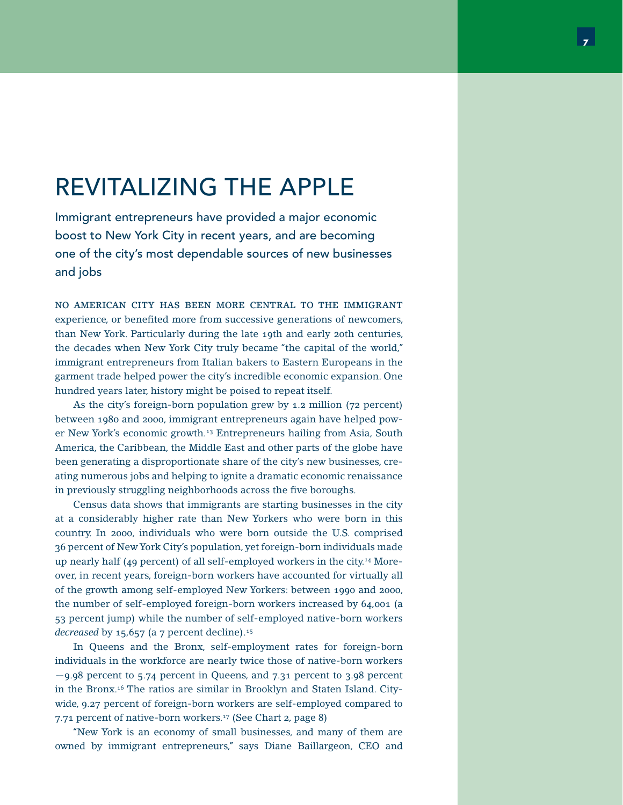# REVITALIZING THE APPLE

Immigrant entrepreneurs have provided a major economic boost to New York City in recent years, and are becoming one of the city's most dependable sources of new businesses and jobs

NO AMERICAN CITY HAS BEEN MORE CENTRAL TO THE IMMIGRANT experience, or benefited more from successive generations of newcomers, than New York. Particularly during the late 19th and early 20th centuries, the decades when New York City truly became "the capital of the world," immigrant entrepreneurs from Italian bakers to Eastern Europeans in the garment trade helped power the city's incredible economic expansion. One hundred years later, history might be poised to repeat itself.

 As the city's foreign-born population grew by 1.2 million (72 percent) between 1980 and 2000, immigrant entrepreneurs again have helped power New York's economic growth.13 Entrepreneurs hailing from Asia, South America, the Caribbean, the Middle East and other parts of the globe have been generating a disproportionate share of the city's new businesses, creating numerous jobs and helping to ignite a dramatic economic renaissance in previously struggling neighborhoods across the five boroughs.

 Census data shows that immigrants are starting businesses in the city at a considerably higher rate than New Yorkers who were born in this country. In 2000, individuals who were born outside the U.S. comprised 36 percent of New York City's population, yet foreign-born individuals made up nearly half (49 percent) of all self-employed workers in the city.14 Moreover, in recent years, foreign-born workers have accounted for virtually all of the growth among self-employed New Yorkers: between 1990 and 2000, the number of self-employed foreign-born workers increased by 64,001 (a 53 percent jump) while the number of self-employed native-born workers *decreased* by 15,657 (a 7 percent decline).<sup>15</sup>

 In Queens and the Bronx, self-employment rates for foreign-born individuals in the workforce are nearly twice those of native-born workers —9.98 percent to 5.74 percent in Queens, and 7.31 percent to 3.98 percent in the Bronx.16 The ratios are similar in Brooklyn and Staten Island. Citywide, 9.27 percent of foreign-born workers are self-employed compared to 7.71 percent of native-born workers.17 (See Chart 2, page 8)

 "New York is an economy of small businesses, and many of them are owned by immigrant entrepreneurs," says Diane Baillargeon, CEO and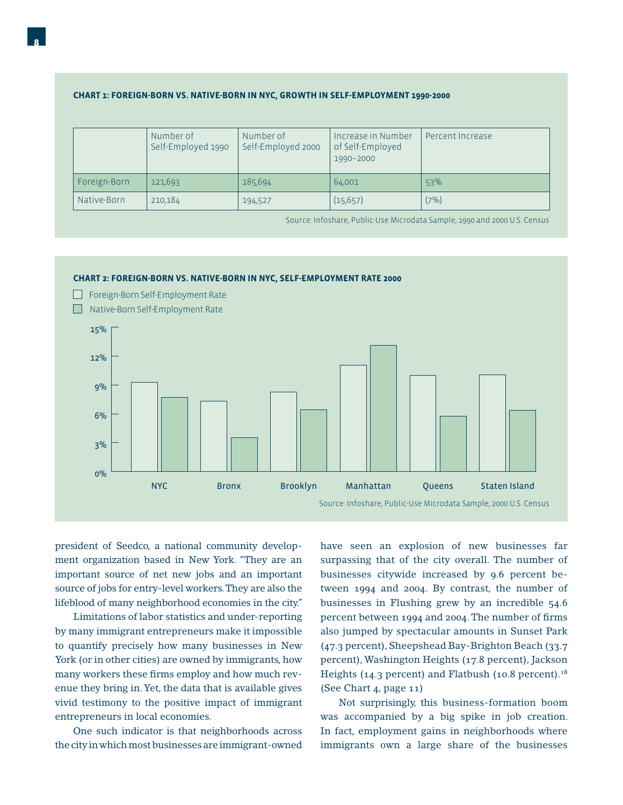#### **CHART 1: FOREIGN-BORN VS. NATIVE-BORN IN NYC, GROWTH IN SELF-EMPLOYMENT 1990-2000**

|              | Number of<br>Self-Employed 1990 | Number of<br>Self-Employed 2000 | Increase in Number<br>of Self-Employed<br>1990-2000 | Percent Increase |
|--------------|---------------------------------|---------------------------------|-----------------------------------------------------|------------------|
| Foreign-Born | 121,693                         | 185,694                         | 64,001                                              | 53%              |
| Native-Born  | 210,184                         | 194,527                         | (15, 657)                                           | (7%)             |

Source: Infoshare, Public-Use Microdata Sample, 1990 and 2000 U.S. Census



president of Seedco, a national community development organization based in New York. "They are an important source of net new jobs and an important source of jobs for entry-level workers. They are also the lifeblood of many neighborhood economies in the city."

 Limitations of labor statistics and under-reporting by many immigrant entrepreneurs make it impossible to quantify precisely how many businesses in New York (or in other cities) are owned by immigrants, how many workers these firms employ and how much revenue they bring in. Yet, the data that is available gives vivid testimony to the positive impact of immigrant entrepreneurs in local economies.

 One such indicator is that neighborhoods across the city in which most businesses are immigrant-owned

have seen an explosion of new businesses far surpassing that of the city overall. The number of businesses citywide increased by 9.6 percent between 1994 and 2004. By contrast, the number of businesses in Flushing grew by an incredible 54.6 percent between 1994 and 2004. The number of firms also jumped by spectacular amounts in Sunset Park (47.3 percent), Sheepshead Bay-Brighton Beach (33.7 percent), Washington Heights (17.8 percent), Jackson Heights (14.3 percent) and Flatbush (10.8 percent).<sup>18</sup> (See Chart 4, page 11)

 Not surprisingly, this business-formation boom was accompanied by a big spike in job creation. In fact, employment gains in neighborhoods where immigrants own a large share of the businesses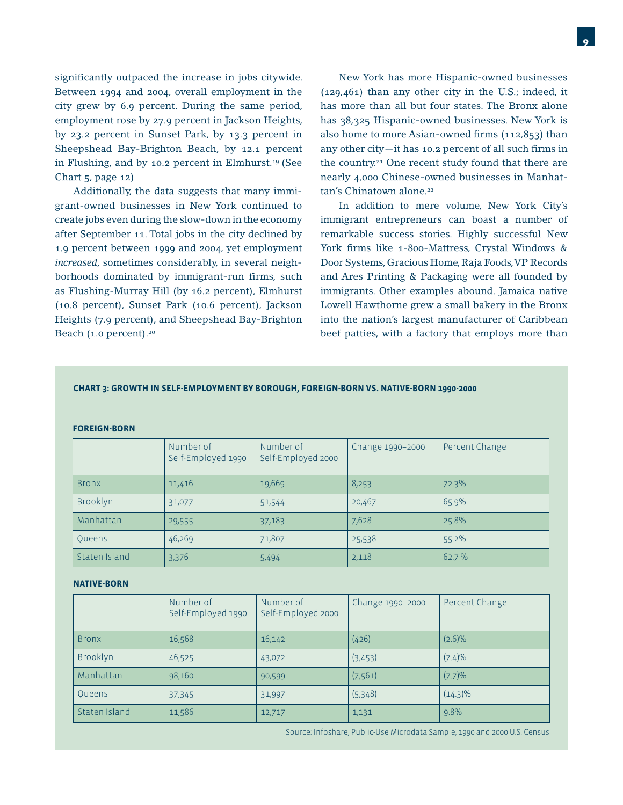significantly outpaced the increase in jobs citywide. Between 1994 and 2004, overall employment in the city grew by 6.9 percent. During the same period, employment rose by 27.9 percent in Jackson Heights, by 23.2 percent in Sunset Park, by 13.3 percent in Sheepshead Bay-Brighton Beach, by 12.1 percent in Flushing, and by 10.2 percent in Elmhurst.<sup>19</sup> (See Chart 5, page 12)

 Additionally, the data suggests that many immigrant-owned businesses in New York continued to create jobs even during the slow-down in the economy after September 11. Total jobs in the city declined by 1.9 percent between 1999 and 2004, yet employment *increased*, sometimes considerably, in several neighborhoods dominated by immigrant-run firms, such as Flushing-Murray Hill (by 16.2 percent), Elmhurst (10.8 percent), Sunset Park (10.6 percent), Jackson Heights (7.9 percent), and Sheepshead Bay-Brighton Beach (1.0 percent).<sup>20</sup>

 New York has more Hispanic-owned businesses (129,461) than any other city in the U.S.; indeed, it has more than all but four states. The Bronx alone has 38,325 Hispanic-owned businesses. New York is also home to more Asian-owned firms  $(112,853)$  than any other city—it has 10.2 percent of all such firms in the country.<sup>21</sup> One recent study found that there are nearly 4,000 Chinese-owned businesses in Manhattan's Chinatown alone.<sup>22</sup>

 In addition to mere volume, New York City's immigrant entrepreneurs can boast a number of remarkable success stories. Highly successful New York firms like 1-800-Mattress, Crystal Windows & Door Systems, Gracious Home, Raja Foods, VP Records and Ares Printing & Packaging were all founded by immigrants. Other examples abound. Jamaica native Lowell Hawthorne grew a small bakery in the Bronx into the nation's largest manufacturer of Caribbean beef patties, with a factory that employs more than

#### **CHART 3: GROWTH IN SELF-EMPLOYMENT BY BOROUGH, FOREIGN-BORN VS. NATIVE-BORN 1990-2000**

#### **FOREIGN-BORN**

|               | Number of<br>Self-Employed 1990 | Number of<br>Self-Employed 2000 | Change 1990-2000 | Percent Change |
|---------------|---------------------------------|---------------------------------|------------------|----------------|
| <b>Bronx</b>  | 11,416                          | 19,669                          | 8,253            | 72.3%          |
| Brooklyn      | 31,077                          | 51,544                          | 20,467           | 65.9%          |
| Manhattan     | 29,555                          | 37,183                          | 7,628            | 25.8%          |
| Queens        | 46,269                          | 71,807                          | 25,538           | 55.2%          |
| Staten Island | 3,376                           | 5,494                           | 2,118            | 62.7%          |

#### **NATIVE-BORN**

|               | Number of<br>Self-Employed 1990 | Number of<br>Self-Employed 2000 | Change 1990-2000 | Percent Change |
|---------------|---------------------------------|---------------------------------|------------------|----------------|
| <b>Bronx</b>  | 16,568                          | 16,142                          | (426)            | $(2.6)\%$      |
| Brooklyn      | 46,525                          | 43,072                          | (3,453)          | (7.4)%         |
| Manhattan     | 98,160                          | 90,599                          | (7, 561)         | (7.7)%         |
| Queens        | 37,345                          | 31,997                          | (5,348)          | $(14.3)\%$     |
| Staten Island | 11,586                          | 12,717                          | 1,131            | 9.8%           |

Source: Infoshare, Public-Use Microdata Sample, 1990 and 2000 U.S. Census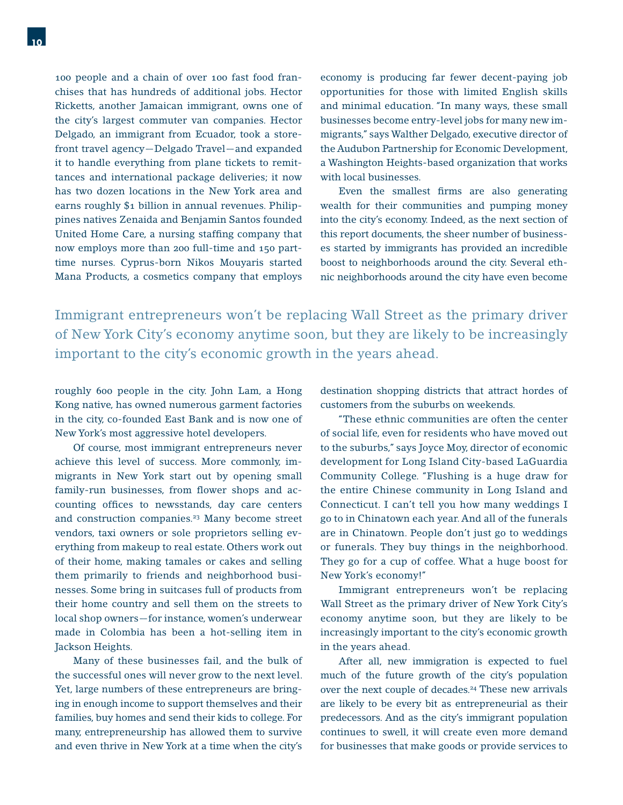100 people and a chain of over 100 fast food franchises that has hundreds of additional jobs. Hector Ricketts, another Jamaican immigrant, owns one of the city's largest commuter van companies. Hector Delgado, an immigrant from Ecuador, took a storefront travel agency—Delgado Travel—and expanded it to handle everything from plane tickets to remittances and international package deliveries; it now has two dozen locations in the New York area and earns roughly \$1 billion in annual revenues. Philippines natives Zenaida and Benjamin Santos founded United Home Care, a nursing staffing company that now employs more than 200 full-time and 150 parttime nurses. Cyprus-born Nikos Mouyaris started Mana Products, a cosmetics company that employs

economy is producing far fewer decent-paying job opportunities for those with limited English skills and minimal education. "In many ways, these small businesses become entry-level jobs for many new immigrants," says Walther Delgado, executive director of the Audubon Partnership for Economic Development, a Washington Heights-based organization that works with local businesses.

Even the smallest firms are also generating wealth for their communities and pumping money into the city's economy. Indeed, as the next section of this report documents, the sheer number of businesses started by immigrants has provided an incredible boost to neighborhoods around the city. Several ethnic neighborhoods around the city have even become

Immigrant entrepreneurs won't be replacing Wall Street as the primary driver of New York City's economy anytime soon, but they are likely to be increasingly important to the city's economic growth in the years ahead.

roughly 600 people in the city. John Lam, a Hong Kong native, has owned numerous garment factories in the city, co-founded East Bank and is now one of New York's most aggressive hotel developers.

 Of course, most immigrant entrepreneurs never achieve this level of success. More commonly, immigrants in New York start out by opening small family-run businesses, from flower shops and accounting offices to newsstands, day care centers and construction companies.<sup>23</sup> Many become street vendors, taxi owners or sole proprietors selling everything from makeup to real estate. Others work out of their home, making tamales or cakes and selling them primarily to friends and neighborhood businesses. Some bring in suitcases full of products from their home country and sell them on the streets to local shop owners—for instance, women's underwear made in Colombia has been a hot-selling item in Jackson Heights.

 Many of these businesses fail, and the bulk of the successful ones will never grow to the next level. Yet, large numbers of these entrepreneurs are bringing in enough income to support themselves and their families, buy homes and send their kids to college. For many, entrepreneurship has allowed them to survive and even thrive in New York at a time when the city's

destination shopping districts that attract hordes of customers from the suburbs on weekends.

 "These ethnic communities are often the center of social life, even for residents who have moved out to the suburbs," says Joyce Moy, director of economic development for Long Island City-based LaGuardia Community College. "Flushing is a huge draw for the entire Chinese community in Long Island and Connecticut. I can't tell you how many weddings I go to in Chinatown each year. And all of the funerals are in Chinatown. People don't just go to weddings or funerals. They buy things in the neighborhood. They go for a cup of coffee. What a huge boost for New York's economy!"

 Immigrant entrepreneurs won't be replacing Wall Street as the primary driver of New York City's economy anytime soon, but they are likely to be increasingly important to the city's economic growth in the years ahead.

 After all, new immigration is expected to fuel much of the future growth of the city's population over the next couple of decades.<sup>24</sup> These new arrivals are likely to be every bit as entrepreneurial as their predecessors. And as the city's immigrant population continues to swell, it will create even more demand for businesses that make goods or provide services to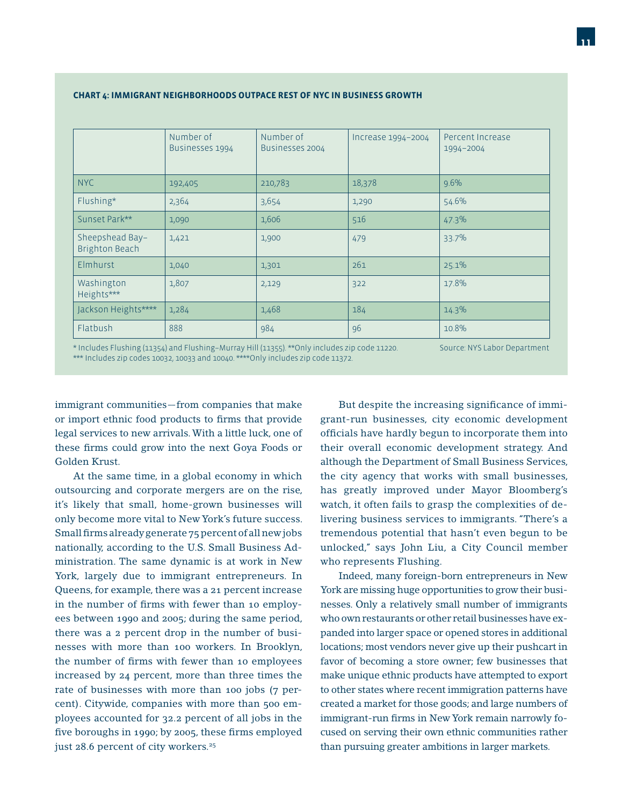|                                          | Number of<br>Businesses 1994 | Number of<br>Businesses 2004 | Increase 1994-2004 | Percent Increase<br>1994-2004 |
|------------------------------------------|------------------------------|------------------------------|--------------------|-------------------------------|
| <b>NYC</b>                               | 192,405                      | 210,783                      | 18,378             | 9.6%                          |
| Flushing*                                | 2,364                        | 3,654                        | 1,290              | 54.6%                         |
| Sunset Park**                            | 1,090                        | 1,606                        | 516                | 47.3%                         |
| Sheepshead Bay-<br><b>Brighton Beach</b> | 1,421                        | 1,900                        | 479                | 33.7%                         |
| Elmhurst                                 | 1,040                        | 1,301                        | 261                | 25.1%                         |
| Washington<br>Heights***                 | 1,807                        | 2,129                        | 322                | 17.8%                         |
| Jackson Heights****                      | 1,284                        | 1,468                        | 184                | 14.3%                         |
| Flatbush                                 | 888                          | 984                          | 96                 | 10.8%                         |

#### **CHART 4: IMMIGRANT NEIGHBORHOODS OUTPACE REST OF NYC IN BUSINESS GROWTH**

\* Includes Flushing (11354) and Flushing–Murray Hill (11355). \*\*Only includes zip code 11220. \*\*\* Includes zip codes 10032, 10033 and 10040. \*\*\*\*Only includes zip code 11372. Source: NYS Labor Department

immigrant communities—from companies that make or import ethnic food products to firms that provide legal services to new arrivals. With a little luck, one of these firms could grow into the next Goya Foods or Golden Krust.

 At the same time, in a global economy in which outsourcing and corporate mergers are on the rise, it's likely that small, home-grown businesses will only become more vital to New York's future success. Small firms already generate 75 percent of all new jobs nationally, according to the U.S. Small Business Administration. The same dynamic is at work in New York, largely due to immigrant entrepreneurs. In Queens, for example, there was a 21 percent increase in the number of firms with fewer than 10 employees between 1990 and 2005; during the same period, there was a 2 percent drop in the number of businesses with more than 100 workers. In Brooklyn, the number of firms with fewer than 10 employees increased by 24 percent, more than three times the rate of businesses with more than 100 jobs (7 percent). Citywide, companies with more than 500 employees accounted for 32.2 percent of all jobs in the five boroughs in 1990; by 2005, these firms employed just 28.6 percent of city workers.<sup>25</sup>

But despite the increasing significance of immigrant-run businesses, city economic development officials have hardly begun to incorporate them into their overall economic development strategy. And although the Department of Small Business Services, the city agency that works with small businesses, has greatly improved under Mayor Bloomberg's watch, it often fails to grasp the complexities of delivering business services to immigrants. "There's a tremendous potential that hasn't even begun to be unlocked," says John Liu, a City Council member who represents Flushing.

 Indeed, many foreign-born entrepreneurs in New York are missing huge opportunities to grow their businesses. Only a relatively small number of immigrants who own restaurants or other retail businesses have expanded into larger space or opened stores in additional locations; most vendors never give up their pushcart in favor of becoming a store owner; few businesses that make unique ethnic products have attempted to export to other states where recent immigration patterns have created a market for those goods; and large numbers of immigrant-run firms in New York remain narrowly focused on serving their own ethnic communities rather than pursuing greater ambitions in larger markets.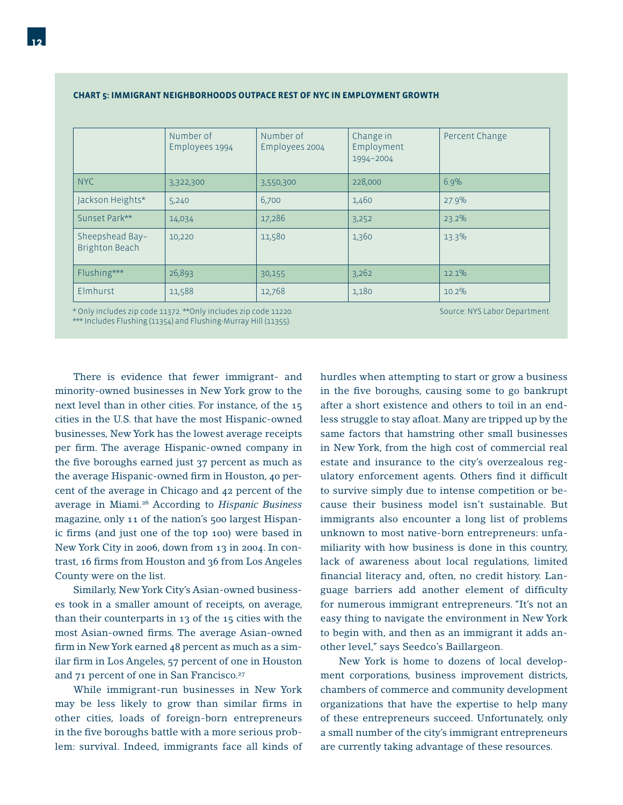|                                          | Number of<br>Employees 1994 | Number of<br>Employees 2004 | Change in<br>Employment<br>1994-2004 | Percent Change |
|------------------------------------------|-----------------------------|-----------------------------|--------------------------------------|----------------|
| <b>NYC</b>                               | 3,322,300                   | 3,550,300                   | 228,000                              | 6.9%           |
| Jackson Heights*                         | 5,240                       | 6,700                       | 1,460                                | 27.9%          |
| Sunset Park**                            | 14,034                      | 17,286                      | 3,252                                | 23.2%          |
| Sheepshead Bay-<br><b>Brighton Beach</b> | 10,220                      | 11,580                      | 1,360                                | 13.3%          |
| Flushing***                              | 26,893                      | 30,155                      | 3,262                                | $12.1\%$       |
| Elmhurst                                 | 11,588                      | 12,768                      | 1,180                                | 10.2%          |

#### **CHART 5: IMMIGRANT NEIGHBORHOODS OUTPACE REST OF NYC IN EMPLOYMENT GROWTH**

\* Only includes zip code 11372. \*\*Only includes zip code 11220. \*\*\* Includes Flushing (11354) and Flushing-Murray Hill (11355).

Source: NYS Labor Department

 There is evidence that fewer immigrant- and minority-owned businesses in New York grow to the next level than in other cities. For instance, of the 15 cities in the U.S. that have the most Hispanic-owned businesses, New York has the lowest average receipts per firm. The average Hispanic-owned company in the five boroughs earned just 37 percent as much as the average Hispanic-owned firm in Houston, 40 percent of the average in Chicago and 42 percent of the average in Miami.26 According to *Hispanic Business* magazine, only 11 of the nation's 500 largest Hispanic firms (and just one of the top 100) were based in New York City in 2006, down from 13 in 2004. In contrast, 16 firms from Houston and 36 from Los Angeles County were on the list.

 Similarly, New York City's Asian-owned businesses took in a smaller amount of receipts, on average, than their counterparts in 13 of the 15 cities with the most Asian-owned firms. The average Asian-owned firm in New York earned 48 percent as much as a similar firm in Los Angeles, 57 percent of one in Houston and 71 percent of one in San Francisco.<sup>27</sup>

 While immigrant-run businesses in New York may be less likely to grow than similar firms in other cities, loads of foreign-born entrepreneurs in the five boroughs battle with a more serious problem: survival. Indeed, immigrants face all kinds of

hurdles when attempting to start or grow a business in the five boroughs, causing some to go bankrupt after a short existence and others to toil in an endless struggle to stay afloat. Many are tripped up by the same factors that hamstring other small businesses in New York, from the high cost of commercial real estate and insurance to the city's overzealous regulatory enforcement agents. Others find it difficult to survive simply due to intense competition or because their business model isn't sustainable. But immigrants also encounter a long list of problems unknown to most native-born entrepreneurs: unfamiliarity with how business is done in this country, lack of awareness about local regulations, limited financial literacy and, often, no credit history. Language barriers add another element of difficulty for numerous immigrant entrepreneurs. "It's not an easy thing to navigate the environment in New York to begin with, and then as an immigrant it adds another level," says Seedco's Baillargeon.

 New York is home to dozens of local development corporations, business improvement districts, chambers of commerce and community development organizations that have the expertise to help many of these entrepreneurs succeed. Unfortunately, only a small number of the city's immigrant entrepreneurs are currently taking advantage of these resources.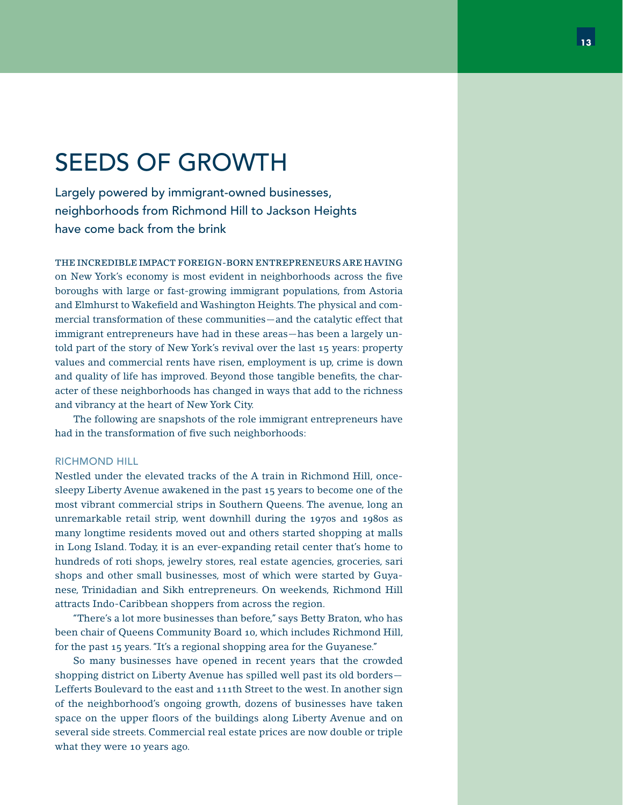# SEEDS OF GROWTH

Largely powered by immigrant-owned businesses, neighborhoods from Richmond Hill to Jackson Heights have come back from the brink

THE INCREDIBLE IMPACT FOREIGN-BORN ENTREPRENEURS ARE HAVING on New York's economy is most evident in neighborhoods across the five boroughs with large or fast-growing immigrant populations, from Astoria and Elmhurst to Wakefield and Washington Heights. The physical and commercial transformation of these communities—and the catalytic effect that immigrant entrepreneurs have had in these areas—has been a largely untold part of the story of New York's revival over the last 15 years: property values and commercial rents have risen, employment is up, crime is down and quality of life has improved. Beyond those tangible benefits, the character of these neighborhoods has changed in ways that add to the richness and vibrancy at the heart of New York City.

 The following are snapshots of the role immigrant entrepreneurs have had in the transformation of five such neighborhoods:

#### RICHMOND HILL

Nestled under the elevated tracks of the A train in Richmond Hill, oncesleepy Liberty Avenue awakened in the past 15 years to become one of the most vibrant commercial strips in Southern Queens. The avenue, long an unremarkable retail strip, went downhill during the 1970s and 1980s as many longtime residents moved out and others started shopping at malls in Long Island. Today, it is an ever-expanding retail center that's home to hundreds of roti shops, jewelry stores, real estate agencies, groceries, sari shops and other small businesses, most of which were started by Guyanese, Trinidadian and Sikh entrepreneurs. On weekends, Richmond Hill attracts Indo-Caribbean shoppers from across the region.

 "There's a lot more businesses than before," says Betty Braton, who has been chair of Queens Community Board 10, which includes Richmond Hill, for the past 15 years. "It's a regional shopping area for the Guyanese."

 So many businesses have opened in recent years that the crowded shopping district on Liberty Avenue has spilled well past its old borders— Lefferts Boulevard to the east and 111th Street to the west. In another sign of the neighborhood's ongoing growth, dozens of businesses have taken space on the upper floors of the buildings along Liberty Avenue and on several side streets. Commercial real estate prices are now double or triple what they were 10 years ago.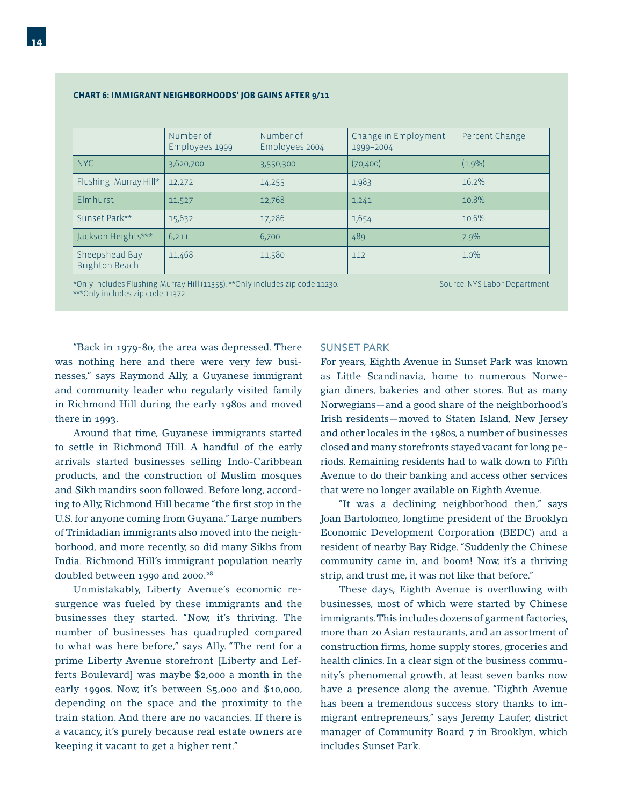#### **CHART 6: IMMIGRANT NEIGHBORHOODS' JOB GAINS AFTER 9/11**

|                                          | Number of<br>Employees 1999 | Number of<br>Employees 2004 | Change in Employment<br>1999-2004 | Percent Change |
|------------------------------------------|-----------------------------|-----------------------------|-----------------------------------|----------------|
| <b>NYC</b>                               | 3,620,700                   | 3,550,300                   | (70, 400)                         | $(1.9\%)$      |
| Flushing-Murray Hill*                    | 12,272                      | 14,255                      | 1,983                             | 16.2%          |
| Elmhurst                                 | 11,527                      | 12,768                      | 1,241                             | 10.8%          |
| Sunset Park**                            | 15,632                      | 17,286                      | 1,654                             | 10.6%          |
| Jackson Heights***                       | 6,211                       | 6,700                       | 489                               | 7.9%           |
| Sheepshead Bay-<br><b>Brighton Beach</b> | 11,468                      | 11,580                      | 112                               | $1.0\%$        |

\*Only includes Flushing-Murray Hill (11355). \*\*Only includes zip code 11230. \*\*\*Only includes zip code 11372.

Source: NYS Labor Department

 "Back in 1979-80, the area was depressed. There was nothing here and there were very few businesses," says Raymond Ally, a Guyanese immigrant and community leader who regularly visited family in Richmond Hill during the early 1980s and moved there in 1993.

 Around that time, Guyanese immigrants started to settle in Richmond Hill. A handful of the early arrivals started businesses selling Indo-Caribbean products, and the construction of Muslim mosques and Sikh mandirs soon followed. Before long, according to Ally, Richmond Hill became "the first stop in the U.S. for anyone coming from Guyana." Large numbers of Trinidadian immigrants also moved into the neighborhood, and more recently, so did many Sikhs from India. Richmond Hill's immigrant population nearly doubled between 1990 and 2000.<sup>28</sup>

 Unmistakably, Liberty Avenue's economic resurgence was fueled by these immigrants and the businesses they started. "Now, it's thriving. The number of businesses has quadrupled compared to what was here before," says Ally. "The rent for a prime Liberty Avenue storefront [Liberty and Lefferts Boulevard] was maybe \$2,000 a month in the early 1990s. Now, it's between \$5,000 and \$10,000, depending on the space and the proximity to the train station. And there are no vacancies. If there is a vacancy, it's purely because real estate owners are keeping it vacant to get a higher rent."

#### SUNSET PARK

For years, Eighth Avenue in Sunset Park was known as Little Scandinavia, home to numerous Norwegian diners, bakeries and other stores. But as many Norwegians—and a good share of the neighborhood's Irish residents—moved to Staten Island, New Jersey and other locales in the 1980s, a number of businesses closed and many storefronts stayed vacant for long periods. Remaining residents had to walk down to Fifth Avenue to do their banking and access other services that were no longer available on Eighth Avenue.

 "It was a declining neighborhood then," says Joan Bartolomeo, longtime president of the Brooklyn Economic Development Corporation (BEDC) and a resident of nearby Bay Ridge. "Suddenly the Chinese community came in, and boom! Now, it's a thriving strip, and trust me, it was not like that before."

These days, Eighth Avenue is overflowing with businesses, most of which were started by Chinese immigrants. This includes dozens of garment factories, more than 20 Asian restaurants, and an assortment of construction firms, home supply stores, groceries and health clinics. In a clear sign of the business community's phenomenal growth, at least seven banks now have a presence along the avenue. "Eighth Avenue has been a tremendous success story thanks to immigrant entrepreneurs," says Jeremy Laufer, district manager of Community Board 7 in Brooklyn, which includes Sunset Park.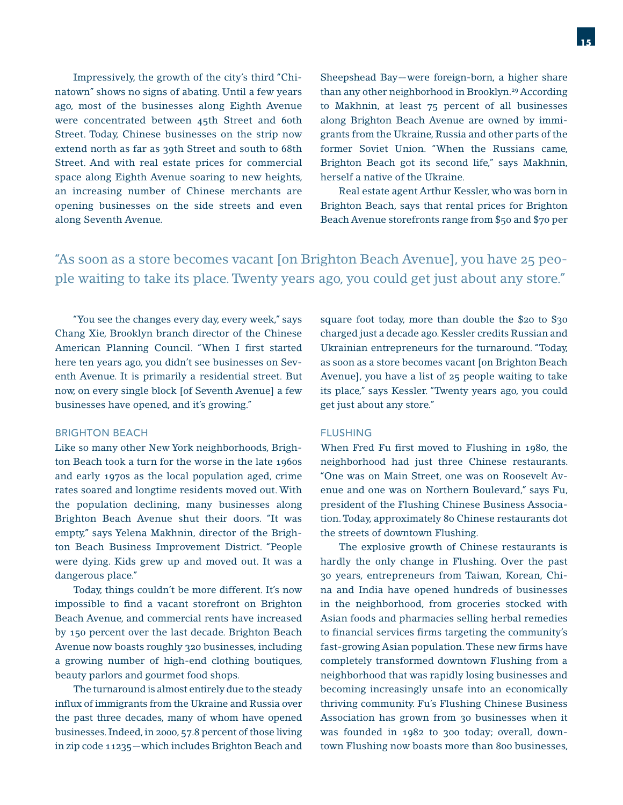Impressively, the growth of the city's third "Chinatown" shows no signs of abating. Until a few years ago, most of the businesses along Eighth Avenue were concentrated between 45th Street and 60th Street. Today, Chinese businesses on the strip now extend north as far as 39th Street and south to 68th Street. And with real estate prices for commercial space along Eighth Avenue soaring to new heights, an increasing number of Chinese merchants are opening businesses on the side streets and even along Seventh Avenue.

Sheepshead Bay—were foreign-born, a higher share than any other neighborhood in Brooklyn.<sup>29</sup> According to Makhnin, at least 75 percent of all businesses along Brighton Beach Avenue are owned by immigrants from the Ukraine, Russia and other parts of the former Soviet Union. "When the Russians came, Brighton Beach got its second life," says Makhnin, herself a native of the Ukraine.

 Real estate agent Arthur Kessler, who was born in Brighton Beach, says that rental prices for Brighton Beach Avenue storefronts range from \$50 and \$70 per

### "As soon as a store becomes vacant [on Brighton Beach Avenue], you have 25 people waiting to take its place. Twenty years ago, you could get just about any store."

 "You see the changes every day, every week," says Chang Xie, Brooklyn branch director of the Chinese American Planning Council. "When I first started here ten years ago, you didn't see businesses on Seventh Avenue. It is primarily a residential street. But now, on every single block [of Seventh Avenue] a few businesses have opened, and it's growing."

#### BRIGHTON BEACH

Like so many other New York neighborhoods, Brighton Beach took a turn for the worse in the late 1960s and early 1970s as the local population aged, crime rates soared and longtime residents moved out. With the population declining, many businesses along Brighton Beach Avenue shut their doors. "It was empty," says Yelena Makhnin, director of the Brighton Beach Business Improvement District. "People were dying. Kids grew up and moved out. It was a dangerous place."

 Today, things couldn't be more different. It's now impossible to find a vacant storefront on Brighton Beach Avenue, and commercial rents have increased by 150 percent over the last decade. Brighton Beach Avenue now boasts roughly 320 businesses, including a growing number of high-end clothing boutiques, beauty parlors and gourmet food shops.

 The turnaround is almost entirely due to the steady influx of immigrants from the Ukraine and Russia over the past three decades, many of whom have opened businesses. Indeed, in 2000, 57.8 percent of those living in zip code 11235—which includes Brighton Beach and square foot today, more than double the \$20 to \$30 charged just a decade ago. Kessler credits Russian and Ukrainian entrepreneurs for the turnaround. "Today, as soon as a store becomes vacant [on Brighton Beach Avenue], you have a list of 25 people waiting to take its place," says Kessler. "Twenty years ago, you could get just about any store."

#### FLUSHING

When Fred Fu first moved to Flushing in 1980, the neighborhood had just three Chinese restaurants. "One was on Main Street, one was on Roosevelt Avenue and one was on Northern Boulevard," says Fu, president of the Flushing Chinese Business Association. Today, approximately 80 Chinese restaurants dot the streets of downtown Flushing.

 The explosive growth of Chinese restaurants is hardly the only change in Flushing. Over the past 30 years, entrepreneurs from Taiwan, Korean, China and India have opened hundreds of businesses in the neighborhood, from groceries stocked with Asian foods and pharmacies selling herbal remedies to financial services firms targeting the community's fast-growing Asian population. These new firms have completely transformed downtown Flushing from a neighborhood that was rapidly losing businesses and becoming increasingly unsafe into an economically thriving community. Fu's Flushing Chinese Business Association has grown from 30 businesses when it was founded in 1982 to 300 today; overall, downtown Flushing now boasts more than 800 businesses,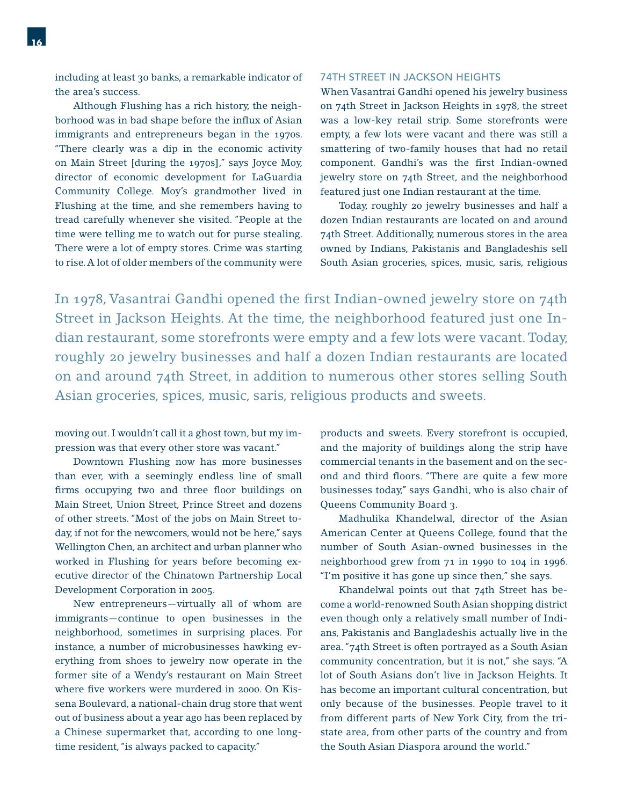including at least 30 banks, a remarkable indicator of the area's success.

 Although Flushing has a rich history, the neighborhood was in bad shape before the influx of Asian immigrants and entrepreneurs began in the 1970s. "There clearly was a dip in the economic activity on Main Street [during the 1970s]," says Joyce Moy, director of economic development for LaGuardia Community College. Moy's grandmother lived in Flushing at the time, and she remembers having to tread carefully whenever she visited. "People at the time were telling me to watch out for purse stealing. There were a lot of empty stores. Crime was starting to rise. A lot of older members of the community were

#### 74TH STREET IN JACKSON HEIGHTS

When Vasantrai Gandhi opened his jewelry business on 74th Street in Jackson Heights in 1978, the street was a low-key retail strip. Some storefronts were empty, a few lots were vacant and there was still a smattering of two-family houses that had no retail component. Gandhi's was the first Indian-owned jewelry store on 74th Street, and the neighborhood featured just one Indian restaurant at the time.

 Today, roughly 20 jewelry businesses and half a dozen Indian restaurants are located on and around 74th Street. Additionally, numerous stores in the area owned by Indians, Pakistanis and Bangladeshis sell South Asian groceries, spices, music, saris, religious

In 1978, Vasantrai Gandhi opened the first Indian-owned jewelry store on 74th Street in Jackson Heights. At the time, the neighborhood featured just one Indian restaurant, some storefronts were empty and a few lots were vacant. Today, roughly 20 jewelry businesses and half a dozen Indian restaurants are located on and around 74th Street, in addition to numerous other stores selling South Asian groceries, spices, music, saris, religious products and sweets.

moving out. I wouldn't call it a ghost town, but my impression was that every other store was vacant."

 Downtown Flushing now has more businesses than ever, with a seemingly endless line of small firms occupying two and three floor buildings on Main Street, Union Street, Prince Street and dozens of other streets. "Most of the jobs on Main Street today, if not for the newcomers, would not be here," says Wellington Chen, an architect and urban planner who worked in Flushing for years before becoming executive director of the Chinatown Partnership Local Development Corporation in 2005.

 New entrepreneurs—virtually all of whom are immigrants—continue to open businesses in the neighborhood, sometimes in surprising places. For instance, a number of microbusinesses hawking everything from shoes to jewelry now operate in the former site of a Wendy's restaurant on Main Street where five workers were murdered in 2000. On Kissena Boulevard, a national-chain drug store that went out of business about a year ago has been replaced by a Chinese supermarket that, according to one longtime resident, "is always packed to capacity."

products and sweets. Every storefront is occupied, and the majority of buildings along the strip have commercial tenants in the basement and on the second and third floors. "There are quite a few more businesses today," says Gandhi, who is also chair of Queens Community Board 3.

 Madhulika Khandelwal, director of the Asian American Center at Queens College, found that the number of South Asian-owned businesses in the neighborhood grew from 71 in 1990 to 104 in 1996. "I'm positive it has gone up since then," she says.

 Khandelwal points out that 74th Street has become a world-renowned South Asian shopping district even though only a relatively small number of Indians, Pakistanis and Bangladeshis actually live in the area. "74th Street is often portrayed as a South Asian community concentration, but it is not," she says. "A lot of South Asians don't live in Jackson Heights. It has become an important cultural concentration, but only because of the businesses. People travel to it from different parts of New York City, from the tristate area, from other parts of the country and from the South Asian Diaspora around the world."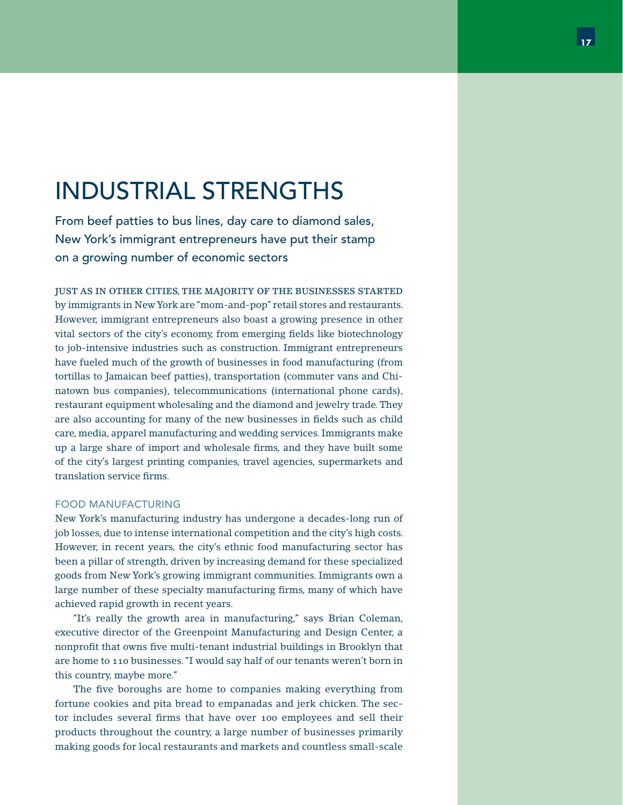# INDUSTRIAL STRENGTHS

From beef patties to bus lines, day care to diamond sales, New York's immigrant entrepreneurs have put their stamp on a growing number of economic sectors

JUST AS IN OTHER CITIES, THE MAJORITY OF THE BUSINESSES STARTED by immigrants in New York are "mom-and-pop" retail stores and restaurants. However, immigrant entrepreneurs also boast a growing presence in other vital sectors of the city's economy, from emerging fields like biotechnology to job-intensive industries such as construction. Immigrant entrepreneurs have fueled much of the growth of businesses in food manufacturing (from tortillas to Jamaican beef patties), transportation (commuter vans and Chinatown bus companies), telecommunications (international phone cards), restaurant equipment wholesaling and the diamond and jewelry trade. They are also accounting for many of the new businesses in fields such as child care, media, apparel manufacturing and wedding services. Immigrants make up a large share of import and wholesale firms, and they have built some of the city's largest printing companies, travel agencies, supermarkets and translation service firms.

#### FOOD MANUFACTURING

New York's manufacturing industry has undergone a decades-long run of job losses, due to intense international competition and the city's high costs. However, in recent years, the city's ethnic food manufacturing sector has been a pillar of strength, driven by increasing demand for these specialized goods from New York's growing immigrant communities. Immigrants own a large number of these specialty manufacturing firms, many of which have achieved rapid growth in recent years.

 "It's really the growth area in manufacturing," says Brian Coleman, executive director of the Greenpoint Manufacturing and Design Center, a nonprofit that owns five multi-tenant industrial buildings in Brooklyn that are home to 110 businesses. "I would say half of our tenants weren't born in this country, maybe more."

The five boroughs are home to companies making everything from fortune cookies and pita bread to empanadas and jerk chicken. The sector includes several firms that have over 100 employees and sell their products throughout the country, a large number of businesses primarily making goods for local restaurants and markets and countless small-scale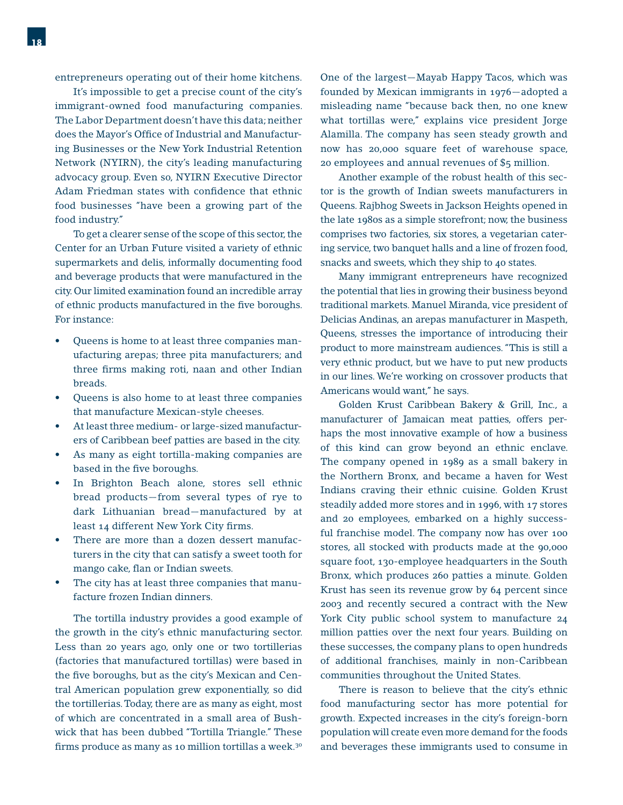It's impossible to get a precise count of the city's immigrant-owned food manufacturing companies. The Labor Department doesn't have this data; neither does the Mayor's Office of Industrial and Manufacturing Businesses or the New York Industrial Retention Network (NYIRN), the city's leading manufacturing advocacy group. Even so, NYIRN Executive Director Adam Friedman states with confidence that ethnic food businesses "have been a growing part of the food industry."

 To get a clearer sense of the scope of this sector, the Center for an Urban Future visited a variety of ethnic supermarkets and delis, informally documenting food and beverage products that were manufactured in the city. Our limited examination found an incredible array of ethnic products manufactured in the five boroughs. For instance:

- Queens is home to at least three companies manufacturing arepas; three pita manufacturers; and three firms making roti, naan and other Indian breads. •
- Queens is also home to at least three companies that manufacture Mexican-style cheeses. •
- At least three medium- or large-sized manufacturers of Caribbean beef patties are based in the city. •
- As many as eight tortilla-making companies are based in the five boroughs. •
- In Brighton Beach alone, stores sell ethnic bread products—from several types of rye to dark Lithuanian bread—manufactured by at least 14 different New York City firms. •
- There are more than a dozen dessert manufacturers in the city that can satisfy a sweet tooth for mango cake, flan or Indian sweets. •
- The city has at least three companies that manufacture frozen Indian dinners. •

 The tortilla industry provides a good example of the growth in the city's ethnic manufacturing sector. Less than 20 years ago, only one or two tortillerias (factories that manufactured tortillas) were based in the five boroughs, but as the city's Mexican and Central American population grew exponentially, so did the tortillerias. Today, there are as many as eight, most of which are concentrated in a small area of Bushwick that has been dubbed "Tortilla Triangle." These firms produce as many as 10 million tortillas a week.<sup>30</sup>

One of the largest—Mayab Happy Tacos, which was founded by Mexican immigrants in 1976—adopted a misleading name "because back then, no one knew what tortillas were," explains vice president Jorge Alamilla. The company has seen steady growth and now has 20,000 square feet of warehouse space, 20 employees and annual revenues of \$5 million.

 Another example of the robust health of this sector is the growth of Indian sweets manufacturers in Queens. Rajbhog Sweets in Jackson Heights opened in the late 1980s as a simple storefront; now, the business comprises two factories, six stores, a vegetarian catering service, two banquet halls and a line of frozen food, snacks and sweets, which they ship to 40 states.

 Many immigrant entrepreneurs have recognized the potential that lies in growing their business beyond traditional markets. Manuel Miranda, vice president of Delicias Andinas, an arepas manufacturer in Maspeth, Queens, stresses the importance of introducing their product to more mainstream audiences. "This is still a very ethnic product, but we have to put new products in our lines. We're working on crossover products that Americans would want," he says.

 Golden Krust Caribbean Bakery & Grill, Inc., a manufacturer of Jamaican meat patties, offers perhaps the most innovative example of how a business of this kind can grow beyond an ethnic enclave. The company opened in 1989 as a small bakery in the Northern Bronx, and became a haven for West Indians craving their ethnic cuisine. Golden Krust steadily added more stores and in 1996, with 17 stores and 20 employees, embarked on a highly successful franchise model. The company now has over 100 stores, all stocked with products made at the 90,000 square foot, 130-employee headquarters in the South Bronx, which produces 260 patties a minute. Golden Krust has seen its revenue grow by 64 percent since 2003 and recently secured a contract with the New York City public school system to manufacture 24 million patties over the next four years. Building on these successes, the company plans to open hundreds of additional franchises, mainly in non-Caribbean communities throughout the United States.

 There is reason to believe that the city's ethnic food manufacturing sector has more potential for growth. Expected increases in the city's foreign-born population will create even more demand for the foods and beverages these immigrants used to consume in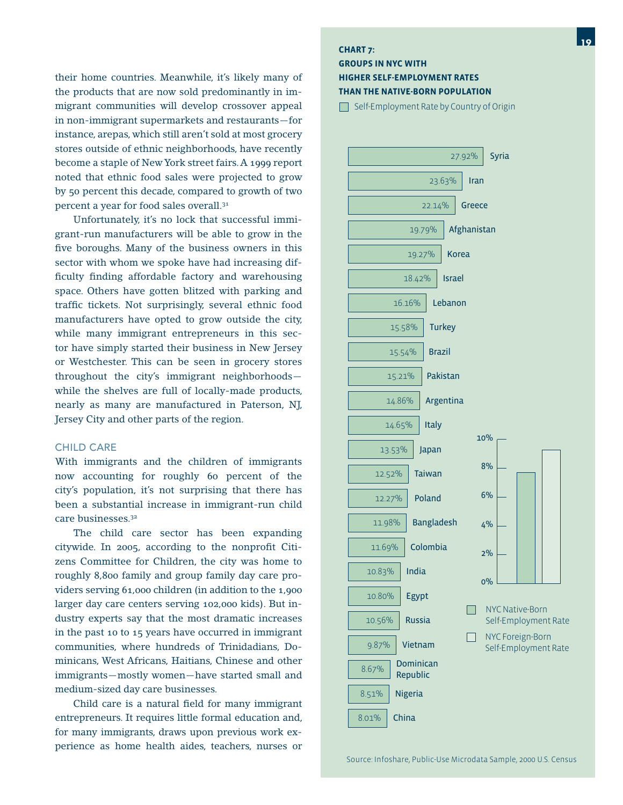their home countries. Meanwhile, it's likely many of the products that are now sold predominantly in immigrant communities will develop crossover appeal in non-immigrant supermarkets and restaurants—for instance, arepas, which still aren't sold at most grocery stores outside of ethnic neighborhoods, have recently become a staple of New York street fairs. A 1999 report noted that ethnic food sales were projected to grow by 50 percent this decade, compared to growth of two percent a year for food sales overall.31

 Unfortunately, it's no lock that successful immigrant-run manufacturers will be able to grow in the five boroughs. Many of the business owners in this sector with whom we spoke have had increasing difficulty finding affordable factory and warehousing space. Others have gotten blitzed with parking and traffic tickets. Not surprisingly, several ethnic food manufacturers have opted to grow outside the city, while many immigrant entrepreneurs in this sector have simply started their business in New Jersey or Westchester. This can be seen in grocery stores throughout the city's immigrant neighborhoods while the shelves are full of locally-made products, nearly as many are manufactured in Paterson, NJ, Jersey City and other parts of the region.

#### CHILD CARE

With immigrants and the children of immigrants now accounting for roughly 60 percent of the city's population, it's not surprising that there has been a substantial increase in immigrant-run child care businesses.32

 The child care sector has been expanding citywide. In 2005, according to the nonprofit Citizens Committee for Children, the city was home to roughly 8,800 family and group family day care providers serving 61,000 children (in addition to the 1,900 larger day care centers serving 102,000 kids). But industry experts say that the most dramatic increases in the past 10 to 15 years have occurred in immigrant communities, where hundreds of Trinidadians, Dominicans, West Africans, Haitians, Chinese and other immigrants—mostly women—have started small and medium-sized day care businesses.

Child care is a natural field for many immigrant entrepreneurs. It requires little formal education and, for many immigrants, draws upon previous work experience as home health aides, teachers, nurses or

#### **CHART 7:**

#### **GROUPS IN NYC WITH HIGHER SELF-EMPLOYMENT RATES THAN THE NATIVE-BORN POPULATION**

Self-Employment Rate by Country of Origin

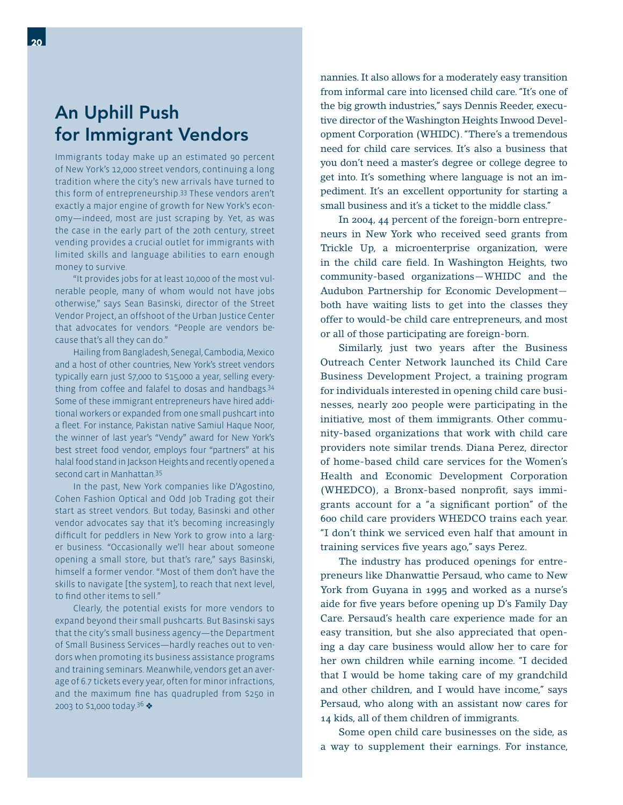### An Uphill Push for Immigrant Vendors

Immigrants today make up an estimated 90 percent of New York's 12,000 street vendors, continuing a long tradition where the city's new arrivals have turned to this form of entrepreneurship.33 These vendors aren't exactly a major engine of growth for New York's economy—indeed, most are just scraping by. Yet, as was the case in the early part of the 20th century, street vending provides a crucial outlet for immigrants with limited skills and language abilities to earn enough money to survive.

 "It provides jobs for at least 10,000 of the most vulnerable people, many of whom would not have jobs otherwise," says Sean Basinski, director of the Street Vendor Project, an offshoot of the Urban Justice Center that advocates for vendors. "People are vendors because that's all they can do."

 Hailing from Bangladesh, Senegal, Cambodia, Mexico and a host of other countries, New York's street vendors typically earn just \$7,000 to \$15,000 a year, selling everything from coffee and falafel to dosas and handbags.34 Some of these immigrant entrepreneurs have hired additional workers or expanded from one small pushcart into a fleet. For instance, Pakistan native Samiul Haque Noor, the winner of last year's "Vendy" award for New York's best street food vendor, employs four "partners" at his halal food stand in Jackson Heights and recently opened a second cart in Manhattan.35

 In the past, New York companies like D'Agostino, Cohen Fashion Optical and Odd Job Trading got their start as street vendors. But today, Basinski and other vendor advocates say that it's becoming increasingly difficult for peddlers in New York to grow into a larger business. "Occasionally we'll hear about someone opening a small store, but that's rare," says Basinski, himself a former vendor. "Most of them don't have the skills to navigate [the system], to reach that next level, to find other items to sell."

 Clearly, the potential exists for more vendors to expand beyond their small pushcarts. But Basinski says that the city's small business agency—the Department of Small Business Services—hardly reaches out to vendors when promoting its business assistance programs and training seminars. Meanwhile, vendors get an average of 6.7 tickets every year, often for minor infractions, and the maximum fine has quadrupled from \$250 in 2003 to \$1,000 today.<sup>36</sup>

nannies. It also allows for a moderately easy transition from informal care into licensed child care. "It's one of the big growth industries," says Dennis Reeder, executive director of the Washington Heights Inwood Development Corporation (WHIDC). "There's a tremendous need for child care services. It's also a business that you don't need a master's degree or college degree to get into. It's something where language is not an impediment. It's an excellent opportunity for starting a small business and it's a ticket to the middle class."

 In 2004, 44 percent of the foreign-born entrepreneurs in New York who received seed grants from Trickle Up, a microenterprise organization, were in the child care field. In Washington Heights, two community-based organizations—WHIDC and the Audubon Partnership for Economic Development both have waiting lists to get into the classes they offer to would-be child care entrepreneurs, and most or all of those participating are foreign-born.

 Similarly, just two years after the Business Outreach Center Network launched its Child Care Business Development Project, a training program for individuals interested in opening child care businesses, nearly 200 people were participating in the initiative, most of them immigrants. Other community-based organizations that work with child care providers note similar trends. Diana Perez, director of home-based child care services for the Women's Health and Economic Development Corporation (WHEDCO), a Bronx-based nonprofit, says immigrants account for a "a significant portion" of the 600 child care providers WHEDCO trains each year. "I don't think we serviced even half that amount in training services five years ago," says Perez.

 The industry has produced openings for entrepreneurs like Dhanwattie Persaud, who came to New York from Guyana in 1995 and worked as a nurse's aide for five years before opening up D's Family Day Care. Persaud's health care experience made for an easy transition, but she also appreciated that opening a day care business would allow her to care for her own children while earning income. "I decided that I would be home taking care of my grandchild and other children, and I would have income," says Persaud, who along with an assistant now cares for 14 kids, all of them children of immigrants.

 Some open child care businesses on the side, as a way to supplement their earnings. For instance,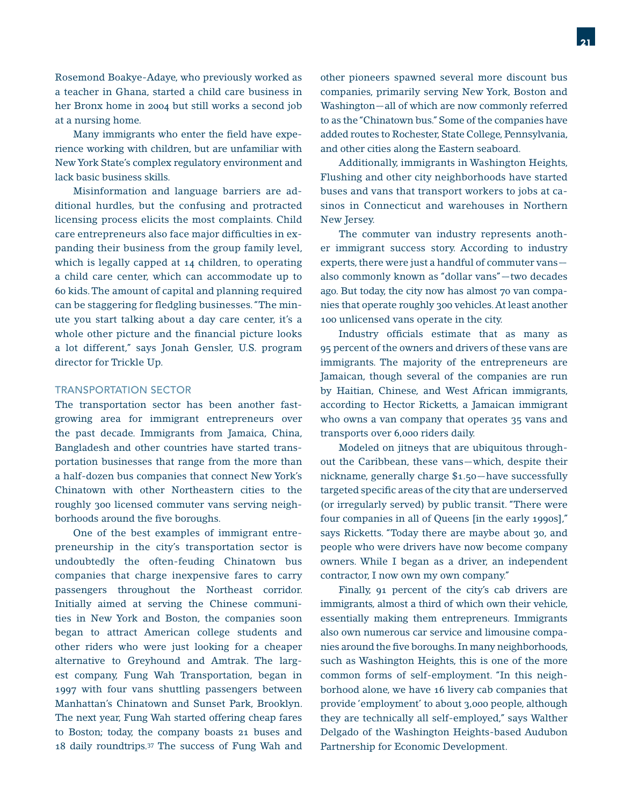Rosemond Boakye-Adaye, who previously worked as a teacher in Ghana, started a child care business in her Bronx home in 2004 but still works a second job at a nursing home.

Many immigrants who enter the field have experience working with children, but are unfamiliar with New York State's complex regulatory environment and lack basic business skills.

 Misinformation and language barriers are additional hurdles, but the confusing and protracted licensing process elicits the most complaints. Child care entrepreneurs also face major difficulties in expanding their business from the group family level, which is legally capped at 14 children, to operating a child care center, which can accommodate up to 60 kids. The amount of capital and planning required can be staggering for fledgling businesses. "The minute you start talking about a day care center, it's a whole other picture and the financial picture looks a lot different," says Jonah Gensler, U.S. program director for Trickle Up.

#### TRANSPORTATION SECTOR

The transportation sector has been another fastgrowing area for immigrant entrepreneurs over the past decade. Immigrants from Jamaica, China, Bangladesh and other countries have started transportation businesses that range from the more than a half-dozen bus companies that connect New York's Chinatown with other Northeastern cities to the roughly 300 licensed commuter vans serving neighborhoods around the five boroughs.

 One of the best examples of immigrant entrepreneurship in the city's transportation sector is undoubtedly the often-feuding Chinatown bus companies that charge inexpensive fares to carry passengers throughout the Northeast corridor. Initially aimed at serving the Chinese communities in New York and Boston, the companies soon began to attract American college students and other riders who were just looking for a cheaper alternative to Greyhound and Amtrak. The largest company, Fung Wah Transportation, began in 1997 with four vans shuttling passengers between Manhattan's Chinatown and Sunset Park, Brooklyn. The next year, Fung Wah started offering cheap fares to Boston; today, the company boasts 21 buses and 18 daily roundtrips.37 The success of Fung Wah and

other pioneers spawned several more discount bus companies, primarily serving New York, Boston and Washington—all of which are now commonly referred to as the "Chinatown bus." Some of the companies have added routes to Rochester, State College, Pennsylvania, and other cities along the Eastern seaboard.

 Additionally, immigrants in Washington Heights, Flushing and other city neighborhoods have started buses and vans that transport workers to jobs at casinos in Connecticut and warehouses in Northern New Jersey.

 The commuter van industry represents another immigrant success story. According to industry experts, there were just a handful of commuter vans also commonly known as "dollar vans"—two decades ago. But today, the city now has almost 70 van companies that operate roughly 300 vehicles. At least another 100 unlicensed vans operate in the city.

Industry officials estimate that as many as 95 percent of the owners and drivers of these vans are immigrants. The majority of the entrepreneurs are Jamaican, though several of the companies are run by Haitian, Chinese, and West African immigrants, according to Hector Ricketts, a Jamaican immigrant who owns a van company that operates 35 vans and transports over 6,000 riders daily.

 Modeled on jitneys that are ubiquitous throughout the Caribbean, these vans—which, despite their nickname, generally charge \$1.50—have successfully targeted specific areas of the city that are underserved (or irregularly served) by public transit. "There were four companies in all of Queens [in the early 1990s]," says Ricketts. "Today there are maybe about 30, and people who were drivers have now become company owners. While I began as a driver, an independent contractor, I now own my own company."

 Finally, 91 percent of the city's cab drivers are immigrants, almost a third of which own their vehicle, essentially making them entrepreneurs. Immigrants also own numerous car service and limousine companies around the five boroughs. In many neighborhoods, such as Washington Heights, this is one of the more common forms of self-employment. "In this neighborhood alone, we have 16 livery cab companies that provide 'employment' to about 3,000 people, although they are technically all self-employed," says Walther Delgado of the Washington Heights-based Audubon Partnership for Economic Development.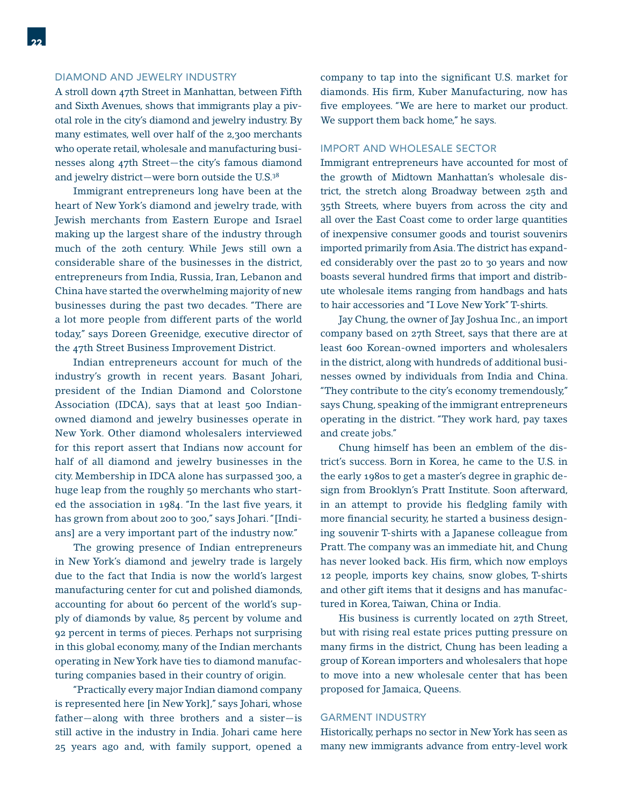#### DIAMOND AND JEWELRY INDUSTRY

A stroll down 47th Street in Manhattan, between Fifth and Sixth Avenues, shows that immigrants play a pivotal role in the city's diamond and jewelry industry. By many estimates, well over half of the 2,300 merchants who operate retail, wholesale and manufacturing businesses along 47th Street—the city's famous diamond and jewelry district—were born outside the U.S.38

 Immigrant entrepreneurs long have been at the heart of New York's diamond and jewelry trade, with Jewish merchants from Eastern Europe and Israel making up the largest share of the industry through much of the 20th century. While Jews still own a considerable share of the businesses in the district, entrepreneurs from India, Russia, Iran, Lebanon and China have started the overwhelming majority of new businesses during the past two decades. "There are a lot more people from different parts of the world today," says Doreen Greenidge, executive director of the 47th Street Business Improvement District.

 Indian entrepreneurs account for much of the industry's growth in recent years. Basant Johari, president of the Indian Diamond and Colorstone Association (IDCA), says that at least 500 Indianowned diamond and jewelry businesses operate in New York. Other diamond wholesalers interviewed for this report assert that Indians now account for half of all diamond and jewelry businesses in the city. Membership in IDCA alone has surpassed 300, a huge leap from the roughly 50 merchants who started the association in 1984. "In the last five years, it has grown from about 200 to 300," says Johari. "[Indians] are a very important part of the industry now."

 The growing presence of Indian entrepreneurs in New York's diamond and jewelry trade is largely due to the fact that India is now the world's largest manufacturing center for cut and polished diamonds, accounting for about 60 percent of the world's supply of diamonds by value, 85 percent by volume and 92 percent in terms of pieces. Perhaps not surprising in this global economy, many of the Indian merchants operating in New York have ties to diamond manufacturing companies based in their country of origin.

 "Practically every major Indian diamond company is represented here [in New York]," says Johari, whose father—along with three brothers and a sister—is still active in the industry in India. Johari came here 25 years ago and, with family support, opened a

company to tap into the significant U.S. market for diamonds. His firm, Kuber Manufacturing, now has five employees. "We are here to market our product. We support them back home," he says.

#### IMPORT AND WHOLESALE SECTOR

Immigrant entrepreneurs have accounted for most of the growth of Midtown Manhattan's wholesale district, the stretch along Broadway between 25th and 35th Streets, where buyers from across the city and all over the East Coast come to order large quantities of inexpensive consumer goods and tourist souvenirs imported primarily from Asia. The district has expanded considerably over the past 20 to 30 years and now boasts several hundred firms that import and distribute wholesale items ranging from handbags and hats to hair accessories and "I Love New York" T-shirts.

 Jay Chung, the owner of Jay Joshua Inc., an import company based on 27th Street, says that there are at least 600 Korean-owned importers and wholesalers in the district, along with hundreds of additional businesses owned by individuals from India and China. "They contribute to the city's economy tremendously," says Chung, speaking of the immigrant entrepreneurs operating in the district. "They work hard, pay taxes and create jobs."

 Chung himself has been an emblem of the district's success. Born in Korea, he came to the U.S. in the early 1980s to get a master's degree in graphic design from Brooklyn's Pratt Institute. Soon afterward, in an attempt to provide his fledgling family with more financial security, he started a business designing souvenir T-shirts with a Japanese colleague from Pratt. The company was an immediate hit, and Chung has never looked back. His firm, which now employs 12 people, imports key chains, snow globes, T-shirts and other gift items that it designs and has manufactured in Korea, Taiwan, China or India.

 His business is currently located on 27th Street, but with rising real estate prices putting pressure on many firms in the district, Chung has been leading a group of Korean importers and wholesalers that hope to move into a new wholesale center that has been proposed for Jamaica, Queens.

#### GARMENT INDUSTRY

Historically, perhaps no sector in New York has seen as many new immigrants advance from entry-level work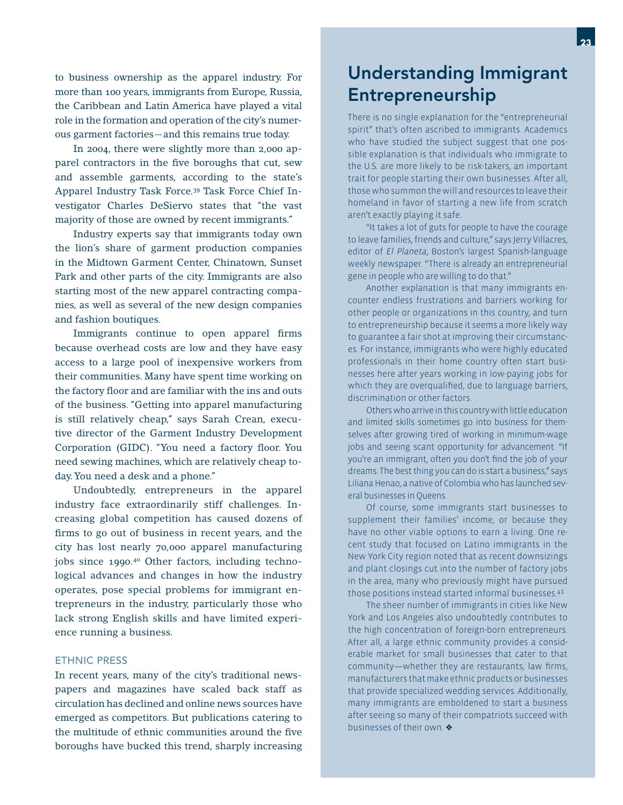to business ownership as the apparel industry. For more than 100 years, immigrants from Europe, Russia, the Caribbean and Latin America have played a vital role in the formation and operation of the city's numerous garment factories—and this remains true today.

 In 2004, there were slightly more than 2,000 apparel contractors in the five boroughs that cut, sew and assemble garments, according to the state's Apparel Industry Task Force.39 Task Force Chief Investigator Charles DeSiervo states that "the vast majority of those are owned by recent immigrants."

 Industry experts say that immigrants today own the lion's share of garment production companies in the Midtown Garment Center, Chinatown, Sunset Park and other parts of the city. Immigrants are also starting most of the new apparel contracting companies, as well as several of the new design companies and fashion boutiques.

Immigrants continue to open apparel firms because overhead costs are low and they have easy access to a large pool of inexpensive workers from their communities. Many have spent time working on the factory floor and are familiar with the ins and outs of the business. "Getting into apparel manufacturing is still relatively cheap," says Sarah Crean, executive director of the Garment Industry Development Corporation (GIDC). "You need a factory floor. You need sewing machines, which are relatively cheap today. You need a desk and a phone."

 Undoubtedly, entrepreneurs in the apparel industry face extraordinarily stiff challenges. Increasing global competition has caused dozens of firms to go out of business in recent years, and the city has lost nearly 70,000 apparel manufacturing jobs since 1990.40 Other factors, including technological advances and changes in how the industry operates, pose special problems for immigrant entrepreneurs in the industry, particularly those who lack strong English skills and have limited experience running a business.

#### ETHNIC PRESS

In recent years, many of the city's traditional newspapers and magazines have scaled back staff as circulation has declined and online news sources have emerged as competitors. But publications catering to the multitude of ethnic communities around the five boroughs have bucked this trend, sharply increasing

### Understanding Immigrant Entrepreneurship

There is no single explanation for the "entrepreneurial spirit" that's often ascribed to immigrants. Academics who have studied the subject suggest that one possible explanation is that individuals who immigrate to the U.S. are more likely to be risk-takers, an important trait for people starting their own businesses. After all, those who summon the will and resources to leave their homeland in favor of starting a new life from scratch aren't exactly playing it safe.

 "It takes a lot of guts for people to have the courage to leave families, friends and culture," says Jerry Villacres, editor of *El Planeta*, Boston's largest Spanish-language weekly newspaper. "There is already an entrepreneurial gene in people who are willing to do that."

 Another explanation is that many immigrants encounter endless frustrations and barriers working for other people or organizations in this country, and turn to entrepreneurship because it seems a more likely way to guarantee a fair shot at improving their circumstances. For instance, immigrants who were highly educated professionals in their home country often start businesses here after years working in low-paying jobs for which they are overqualified, due to language barriers, discrimination or other factors.

 Others who arrive in this country with little education and limited skills sometimes go into business for themselves after growing tired of working in minimum-wage jobs and seeing scant opportunity for advancement. "If you're an immigrant, often you don't find the job of your dreams. The best thing you can do is start a business," says Liliana Henao, a native of Colombia who has launched several businesses in Queens.

 Of course, some immigrants start businesses to supplement their families' income, or because they have no other viable options to earn a living. One recent study that focused on Latino immigrants in the New York City region noted that as recent downsizings and plant closings cut into the number of factory jobs in the area, many who previously might have pursued those positions instead started informal businesses.41

 The sheer number of immigrants in cities like New York and Los Angeles also undoubtedly contributes to the high concentration of foreign-born entrepreneurs. After all, a large ethnic community provides a considerable market for small businesses that cater to that community—whether they are restaurants, law firms, manufacturers that make ethnic products or businesses that provide specialized wedding services. Additionally, many immigrants are emboldened to start a business after seeing so many of their compatriots succeed with businesses of their own.  $\clubsuit$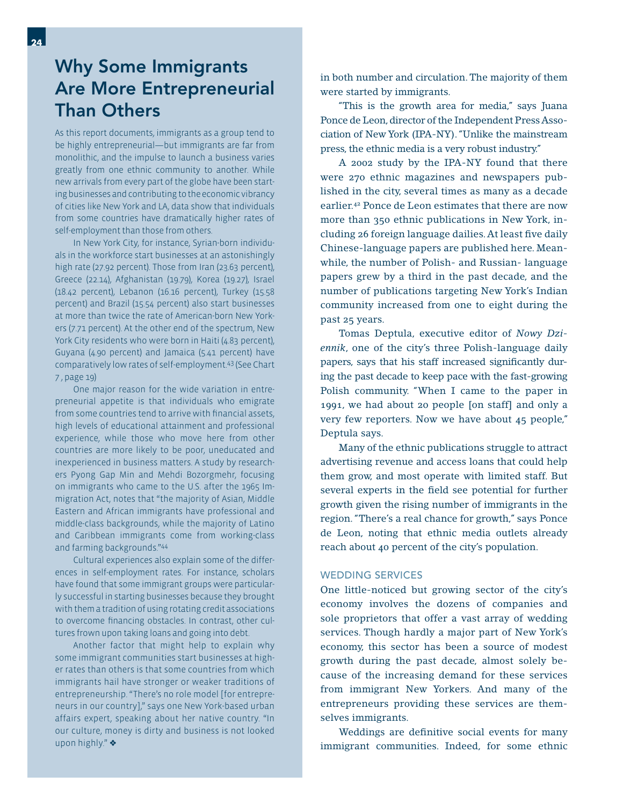### Why Some Immigrants Are More Entrepreneurial Than Others

As this report documents, immigrants as a group tend to be highly entrepreneurial—but immigrants are far from monolithic, and the impulse to launch a business varies greatly from one ethnic community to another. While new arrivals from every part of the globe have been starting businesses and contributing to the economic vibrancy of cities like New York and LA, data show that individuals from some countries have dramatically higher rates of self-employment than those from others.

 In New York City, for instance, Syrian-born individuals in the workforce start businesses at an astonishingly high rate (27.92 percent). Those from Iran (23.63 percent), Greece (22.14), Afghanistan (19.79), Korea (19.27), Israel (18.42 percent), Lebanon (16.16 percent), Turkey (15.58 percent) and Brazil (15.54 percent) also start businesses at more than twice the rate of American-born New Yorkers (7.71 percent). At the other end of the spectrum, New York City residents who were born in Haiti (4.83 percent), Guyana (4.90 percent) and Jamaica (5.41 percent) have comparatively low rates of self-employment.43 (See Chart 7 , page 19)

 One major reason for the wide variation in entrepreneurial appetite is that individuals who emigrate from some countries tend to arrive with financial assets, high levels of educational attainment and professional experience, while those who move here from other countries are more likely to be poor, uneducated and inexperienced in business matters. A study by researchers Pyong Gap Min and Mehdi Bozorgmehr, focusing on immigrants who came to the U.S. after the 1965 Immigration Act, notes that "the majority of Asian, Middle Eastern and African immigrants have professional and middle-class backgrounds, while the majority of Latino and Caribbean immigrants come from working-class and farming backgrounds."44

 Cultural experiences also explain some of the differences in self-employment rates. For instance, scholars have found that some immigrant groups were particularly successful in starting businesses because they brought with them a tradition of using rotating credit associations to overcome financing obstacles. In contrast, other cultures frown upon taking loans and going into debt.

 Another factor that might help to explain why some immigrant communities start businesses at higher rates than others is that some countries from which immigrants hail have stronger or weaker traditions of entrepreneurship. "There's no role model [for entrepreneurs in our country]," says one New York-based urban affairs expert, speaking about her native country. "In our culture, money is dirty and business is not looked upon highly."

in both number and circulation. The majority of them were started by immigrants.

 "This is the growth area for media," says Juana Ponce de Leon, director of the Independent Press Association of New York (IPA-NY). "Unlike the mainstream press, the ethnic media is a very robust industry."

 A 2002 study by the IPA-NY found that there were 270 ethnic magazines and newspapers published in the city, several times as many as a decade earlier.42 Ponce de Leon estimates that there are now more than 350 ethnic publications in New York, including 26 foreign language dailies. At least five daily Chinese-language papers are published here. Meanwhile, the number of Polish- and Russian- language papers grew by a third in the past decade, and the number of publications targeting New York's Indian community increased from one to eight during the past 25 years.

 Tomas Deptula, executive editor of *Nowy Dziennik*, one of the city's three Polish-language daily papers, says that his staff increased significantly during the past decade to keep pace with the fast-growing Polish community. "When I came to the paper in 1991, we had about 20 people [on staff] and only a very few reporters. Now we have about 45 people," Deptula says.

 Many of the ethnic publications struggle to attract advertising revenue and access loans that could help them grow, and most operate with limited staff. But several experts in the field see potential for further growth given the rising number of immigrants in the region. "There's a real chance for growth," says Ponce de Leon, noting that ethnic media outlets already reach about 40 percent of the city's population.

#### WEDDING SERVICES

One little-noticed but growing sector of the city's economy involves the dozens of companies and sole proprietors that offer a vast array of wedding services. Though hardly a major part of New York's economy, this sector has been a source of modest growth during the past decade, almost solely because of the increasing demand for these services from immigrant New Yorkers. And many of the entrepreneurs providing these services are themselves immigrants.

Weddings are definitive social events for many immigrant communities. Indeed, for some ethnic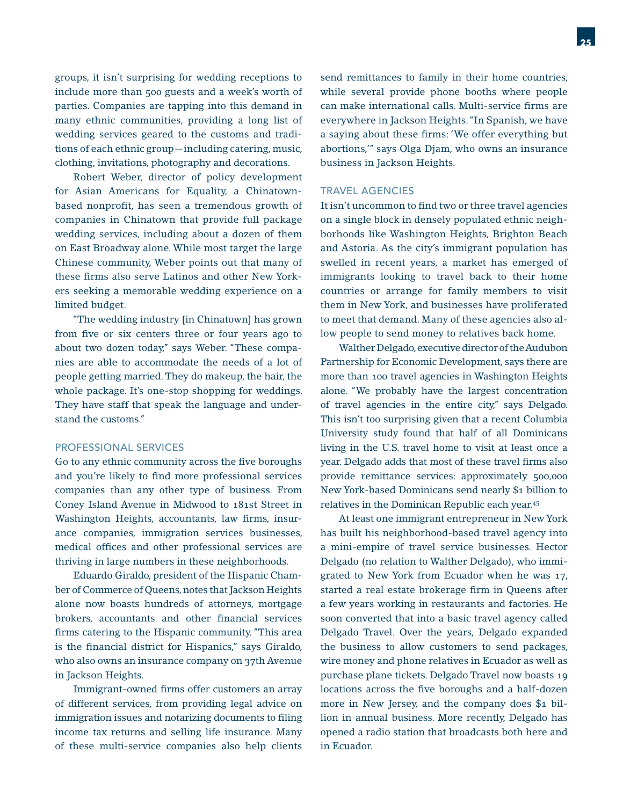groups, it isn't surprising for wedding receptions to include more than 500 guests and a week's worth of parties. Companies are tapping into this demand in many ethnic communities, providing a long list of wedding services geared to the customs and traditions of each ethnic group—including catering, music, clothing, invitations, photography and decorations.

 Robert Weber, director of policy development for Asian Americans for Equality, a Chinatownbased nonprofit, has seen a tremendous growth of companies in Chinatown that provide full package wedding services, including about a dozen of them on East Broadway alone. While most target the large Chinese community, Weber points out that many of these firms also serve Latinos and other New Yorkers seeking a memorable wedding experience on a limited budget.

 "The wedding industry [in Chinatown] has grown from five or six centers three or four years ago to about two dozen today," says Weber. "These companies are able to accommodate the needs of a lot of people getting married. They do makeup, the hair, the whole package. It's one-stop shopping for weddings. They have staff that speak the language and understand the customs."

#### PROFESSIONAL SERVICES

Go to any ethnic community across the five boroughs and you're likely to find more professional services companies than any other type of business. From Coney Island Avenue in Midwood to 181st Street in Washington Heights, accountants, law firms, insurance companies, immigration services businesses, medical offices and other professional services are thriving in large numbers in these neighborhoods.

 Eduardo Giraldo, president of the Hispanic Chamber of Commerce of Queens, notes that Jackson Heights alone now boasts hundreds of attorneys, mortgage brokers, accountants and other financial services firms catering to the Hispanic community. "This area is the financial district for Hispanics," says Giraldo, who also owns an insurance company on 37th Avenue in Jackson Heights.

Immigrant-owned firms offer customers an array of different services, from providing legal advice on immigration issues and notarizing documents to filing income tax returns and selling life insurance. Many of these multi-service companies also help clients

send remittances to family in their home countries, while several provide phone booths where people can make international calls. Multi-service firms are everywhere in Jackson Heights. "In Spanish, we have a saying about these firms: 'We offer everything but abortions,'" says Olga Djam, who owns an insurance business in Jackson Heights.

#### TRAVEL AGENCIES

It isn't uncommon to find two or three travel agencies on a single block in densely populated ethnic neighborhoods like Washington Heights, Brighton Beach and Astoria. As the city's immigrant population has swelled in recent years, a market has emerged of immigrants looking to travel back to their home countries or arrange for family members to visit them in New York, and businesses have proliferated to meet that demand. Many of these agencies also allow people to send money to relatives back home.

 Walther Delgado, executive director of the Audubon Partnership for Economic Development, says there are more than 100 travel agencies in Washington Heights alone. "We probably have the largest concentration of travel agencies in the entire city," says Delgado. This isn't too surprising given that a recent Columbia University study found that half of all Dominicans living in the U.S. travel home to visit at least once a year. Delgado adds that most of these travel firms also provide remittance services: approximately 500,000 New York-based Dominicans send nearly \$1 billion to relatives in the Dominican Republic each year.45

 At least one immigrant entrepreneur in New York has built his neighborhood-based travel agency into a mini-empire of travel service businesses. Hector Delgado (no relation to Walther Delgado), who immigrated to New York from Ecuador when he was 17, started a real estate brokerage firm in Queens after a few years working in restaurants and factories. He soon converted that into a basic travel agency called Delgado Travel. Over the years, Delgado expanded the business to allow customers to send packages, wire money and phone relatives in Ecuador as well as purchase plane tickets. Delgado Travel now boasts 19 locations across the five boroughs and a half-dozen more in New Jersey, and the company does \$1 billion in annual business. More recently, Delgado has opened a radio station that broadcasts both here and in Ecuador.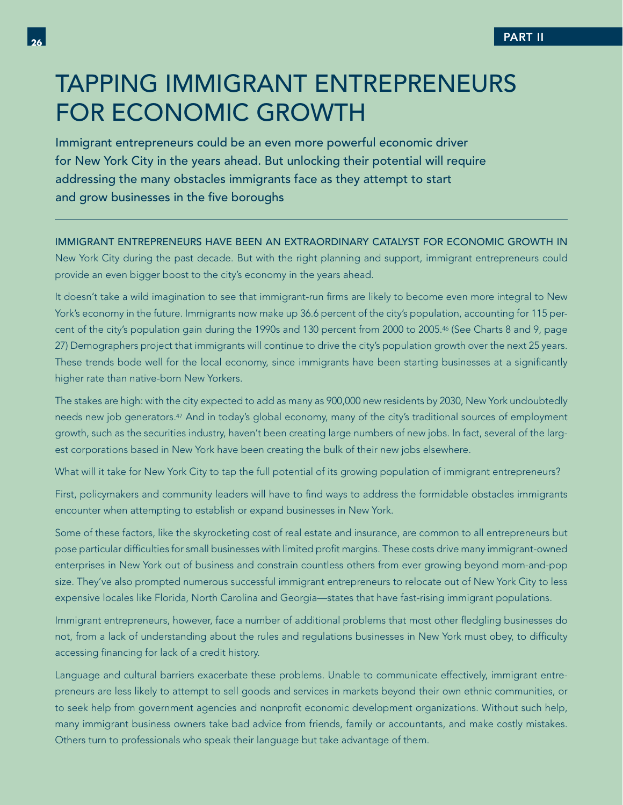# TAPPING IMMIGRANT ENTREPRENEURS FOR ECONOMIC GROWTH

Immigrant entrepreneurs could be an even more powerful economic driver for New York City in the years ahead. But unlocking their potential will require addressing the many obstacles immigrants face as they attempt to start and grow businesses in the five boroughs

#### IMMIGRANT ENTREPRENEURS HAVE BEEN AN EXTRAORDINARY CATALYST FOR ECONOMIC GROWTH IN

New York City during the past decade. But with the right planning and support, immigrant entrepreneurs could provide an even bigger boost to the city's economy in the years ahead.

It doesn't take a wild imagination to see that immigrant-run firms are likely to become even more integral to New York's economy in the future. Immigrants now make up 36.6 percent of the city's population, accounting for 115 percent of the city's population gain during the 1990s and 130 percent from 2000 to 2005.46 (See Charts 8 and 9, page 27) Demographers project that immigrants will continue to drive the city's population growth over the next 25 years. These trends bode well for the local economy, since immigrants have been starting businesses at a significantly higher rate than native-born New Yorkers.

The stakes are high: with the city expected to add as many as 900,000 new residents by 2030, New York undoubtedly needs new job generators.47 And in today's global economy, many of the city's traditional sources of employment growth, such as the securities industry, haven't been creating large numbers of new jobs. In fact, several of the largest corporations based in New York have been creating the bulk of their new jobs elsewhere.

What will it take for New York City to tap the full potential of its growing population of immigrant entrepreneurs?

First, policymakers and community leaders will have to find ways to address the formidable obstacles immigrants encounter when attempting to establish or expand businesses in New York.

Some of these factors, like the skyrocketing cost of real estate and insurance, are common to all entrepreneurs but pose particular difficulties for small businesses with limited profit margins. These costs drive many immigrant-owned enterprises in New York out of business and constrain countless others from ever growing beyond mom-and-pop size. They've also prompted numerous successful immigrant entrepreneurs to relocate out of New York City to less expensive locales like Florida, North Carolina and Georgia—states that have fast-rising immigrant populations.

Immigrant entrepreneurs, however, face a number of additional problems that most other fledgling businesses do not, from a lack of understanding about the rules and regulations businesses in New York must obey, to difficulty accessing financing for lack of a credit history.

Language and cultural barriers exacerbate these problems. Unable to communicate effectively, immigrant entrepreneurs are less likely to attempt to sell goods and services in markets beyond their own ethnic communities, or to seek help from government agencies and nonprofit economic development organizations. Without such help, many immigrant business owners take bad advice from friends, family or accountants, and make costly mistakes. Others turn to professionals who speak their language but take advantage of them.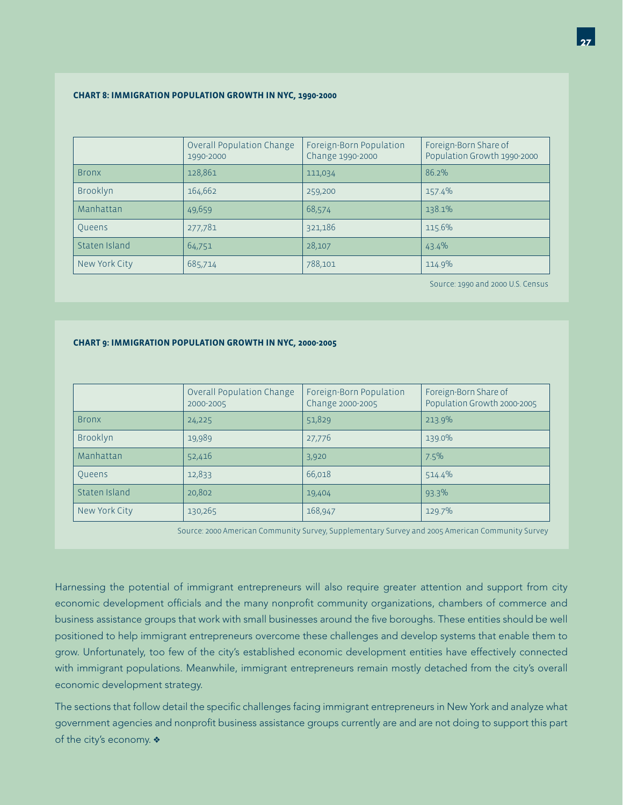#### **CHART 8: IMMIGRATION POPULATION GROWTH IN NYC, 1990-2000**

|               | Overall Population Change<br>1990-2000 | Foreign-Born Population<br>Change 1990-2000 | Foreign-Born Share of<br>Population Growth 1990-2000 |
|---------------|----------------------------------------|---------------------------------------------|------------------------------------------------------|
| <b>Bronx</b>  | 128,861                                | 111,034                                     | $86.2\%$                                             |
| Brooklyn      | 164,662                                | 259,200                                     | 157.4%                                               |
| Manhattan     | 49,659                                 | 68,574                                      | 138.1%                                               |
| Queens        | 277,781                                | 321,186                                     | 115.6%                                               |
| Staten Island | 64,751                                 | 28,107                                      | 43.4%                                                |
| New York City | 685,714                                | 788,101                                     | 114.9%                                               |

Source: 1990 and 2000 U.S. Census

#### **CHART 9: IMMIGRATION POPULATION GROWTH IN NYC, 2000-2005**

|               | Overall Population Change<br>2000-2005 | Foreign-Born Population<br>Change 2000-2005 | Foreign-Born Share of<br>Population Growth 2000-2005 |
|---------------|----------------------------------------|---------------------------------------------|------------------------------------------------------|
| <b>Bronx</b>  | 24,225                                 | 51,829                                      | 213.9%                                               |
| Brooklyn      | 19,989                                 | 27,776                                      | 139.0%                                               |
| Manhattan     | 52,416                                 | 3,920                                       | 7.5%                                                 |
| Queens        | 12,833                                 | 66,018                                      | 514.4%                                               |
| Staten Island | 20,802                                 | 19,404                                      | 93.3%                                                |
| New York City | 130,265                                | 168,947                                     | 129.7%                                               |

Source: 2000 American Community Survey, Supplementary Survey and 2005 American Community Survey

Harnessing the potential of immigrant entrepreneurs will also require greater attention and support from city economic development officials and the many nonprofit community organizations, chambers of commerce and business assistance groups that work with small businesses around the five boroughs. These entities should be well positioned to help immigrant entrepreneurs overcome these challenges and develop systems that enable them to grow. Unfortunately, too few of the city's established economic development entities have effectively connected with immigrant populations. Meanwhile, immigrant entrepreneurs remain mostly detached from the city's overall economic development strategy.

The sections that follow detail the specific challenges facing immigrant entrepreneurs in New York and analyze what government agencies and nonprofit business assistance groups currently are and are not doing to support this part of the city's economy.  $\clubsuit$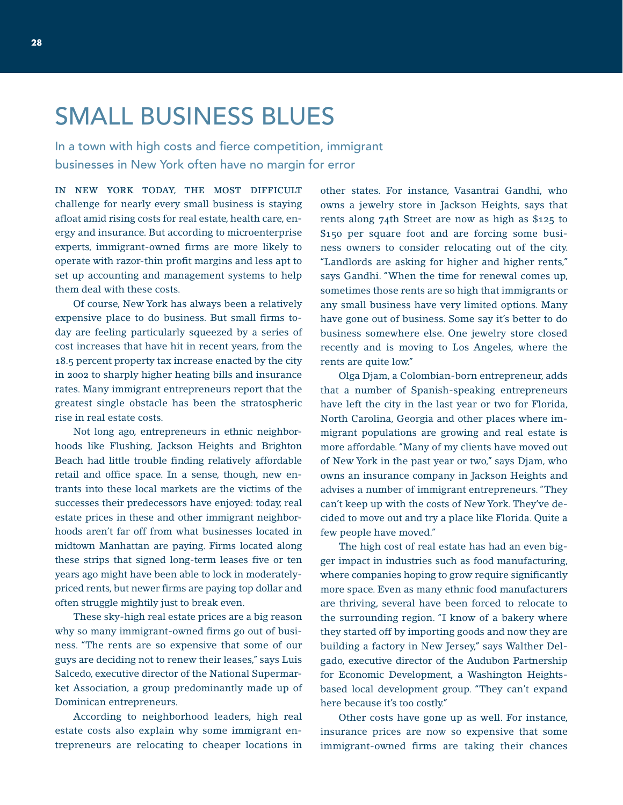# SMALL BUSINESS BLUES

In a town with high costs and fierce competition, immigrant businesses in New York often have no margin for error

IN NEW YORK TODAY, THE MOST DIFFICULT challenge for nearly every small business is staying afloat amid rising costs for real estate, health care, energy and insurance. But according to microenterprise experts, immigrant-owned firms are more likely to operate with razor-thin profit margins and less apt to set up accounting and management systems to help them deal with these costs.

 Of course, New York has always been a relatively expensive place to do business. But small firms today are feeling particularly squeezed by a series of cost increases that have hit in recent years, from the 18.5 percent property tax increase enacted by the city in 2002 to sharply higher heating bills and insurance rates. Many immigrant entrepreneurs report that the greatest single obstacle has been the stratospheric rise in real estate costs.

 Not long ago, entrepreneurs in ethnic neighborhoods like Flushing, Jackson Heights and Brighton Beach had little trouble finding relatively affordable retail and office space. In a sense, though, new entrants into these local markets are the victims of the successes their predecessors have enjoyed: today, real estate prices in these and other immigrant neighborhoods aren't far off from what businesses located in midtown Manhattan are paying. Firms located along these strips that signed long-term leases five or ten years ago might have been able to lock in moderatelypriced rents, but newer firms are paying top dollar and often struggle mightily just to break even.

 These sky-high real estate prices are a big reason why so many immigrant-owned firms go out of business. "The rents are so expensive that some of our guys are deciding not to renew their leases," says Luis Salcedo, executive director of the National Supermarket Association, a group predominantly made up of Dominican entrepreneurs.

 According to neighborhood leaders, high real estate costs also explain why some immigrant entrepreneurs are relocating to cheaper locations in other states. For instance, Vasantrai Gandhi, who owns a jewelry store in Jackson Heights, says that rents along 74th Street are now as high as \$125 to \$150 per square foot and are forcing some business owners to consider relocating out of the city. "Landlords are asking for higher and higher rents," says Gandhi. "When the time for renewal comes up, sometimes those rents are so high that immigrants or any small business have very limited options. Many have gone out of business. Some say it's better to do business somewhere else. One jewelry store closed recently and is moving to Los Angeles, where the rents are quite low."

 Olga Djam, a Colombian-born entrepreneur, adds that a number of Spanish-speaking entrepreneurs have left the city in the last year or two for Florida, North Carolina, Georgia and other places where immigrant populations are growing and real estate is more affordable. "Many of my clients have moved out of New York in the past year or two," says Djam, who owns an insurance company in Jackson Heights and advises a number of immigrant entrepreneurs. "They can't keep up with the costs of New York. They've decided to move out and try a place like Florida. Quite a few people have moved."

 The high cost of real estate has had an even bigger impact in industries such as food manufacturing, where companies hoping to grow require significantly more space. Even as many ethnic food manufacturers are thriving, several have been forced to relocate to the surrounding region. "I know of a bakery where they started off by importing goods and now they are building a factory in New Jersey," says Walther Delgado, executive director of the Audubon Partnership for Economic Development, a Washington Heightsbased local development group. "They can't expand here because it's too costly."

 Other costs have gone up as well. For instance, insurance prices are now so expensive that some immigrant-owned firms are taking their chances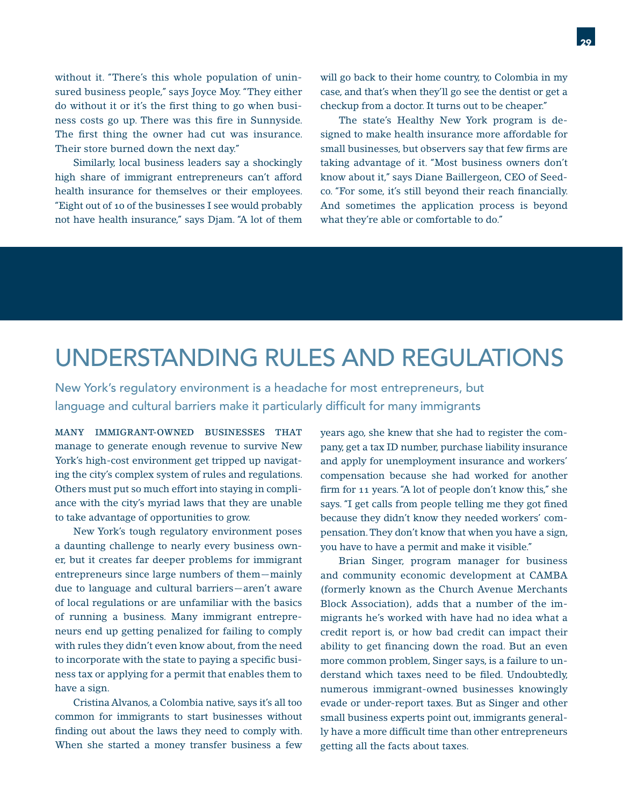without it. "There's this whole population of uninsured business people," says Joyce Moy. "They either do without it or it's the first thing to go when business costs go up. There was this fire in Sunnyside. The first thing the owner had cut was insurance. Their store burned down the next day."

 Similarly, local business leaders say a shockingly high share of immigrant entrepreneurs can't afford health insurance for themselves or their employees. "Eight out of 10 of the businesses I see would probably not have health insurance," says Djam. "A lot of them

will go back to their home country, to Colombia in my case, and that's when they'll go see the dentist or get a checkup from a doctor. It turns out to be cheaper."

 The state's Healthy New York program is designed to make health insurance more affordable for small businesses, but observers say that few firms are taking advantage of it. "Most business owners don't know about it," says Diane Baillergeon, CEO of Seedco. "For some, it's still beyond their reach financially. And sometimes the application process is beyond what they're able or comfortable to do."

# UNDERSTANDING RULES AND REGULATIONS

New York's regulatory environment is a headache for most entrepreneurs, but language and cultural barriers make it particularly difficult for many immigrants

MANY IMMIGRANT-OWNED BUSINESSES THAT manage to generate enough revenue to survive New York's high-cost environment get tripped up navigating the city's complex system of rules and regulations. Others must put so much effort into staying in compliance with the city's myriad laws that they are unable to take advantage of opportunities to grow.

 New York's tough regulatory environment poses a daunting challenge to nearly every business owner, but it creates far deeper problems for immigrant entrepreneurs since large numbers of them—mainly due to language and cultural barriers—aren't aware of local regulations or are unfamiliar with the basics of running a business. Many immigrant entrepreneurs end up getting penalized for failing to comply with rules they didn't even know about, from the need to incorporate with the state to paying a specific business tax or applying for a permit that enables them to have a sign.

 Cristina Alvanos, a Colombia native, says it's all too common for immigrants to start businesses without finding out about the laws they need to comply with. When she started a money transfer business a few years ago, she knew that she had to register the company, get a tax ID number, purchase liability insurance and apply for unemployment insurance and workers' compensation because she had worked for another firm for 11 years. "A lot of people don't know this," she says. "I get calls from people telling me they got fined because they didn't know they needed workers' compensation. They don't know that when you have a sign, you have to have a permit and make it visible."

 Brian Singer, program manager for business and community economic development at CAMBA (formerly known as the Church Avenue Merchants Block Association), adds that a number of the immigrants he's worked with have had no idea what a credit report is, or how bad credit can impact their ability to get financing down the road. But an even more common problem, Singer says, is a failure to understand which taxes need to be filed. Undoubtedly, numerous immigrant-owned businesses knowingly evade or under-report taxes. But as Singer and other small business experts point out, immigrants generally have a more difficult time than other entrepreneurs getting all the facts about taxes.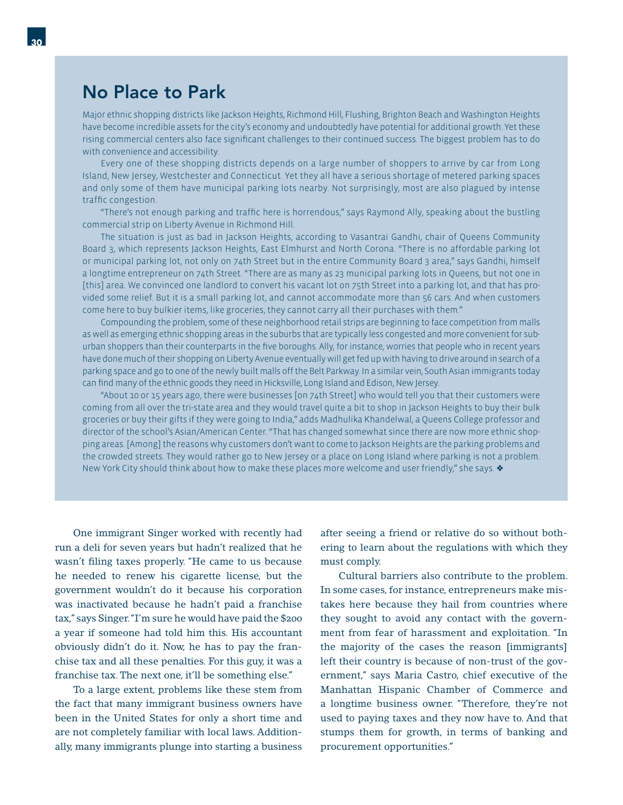### No Place to Park

Major ethnic shopping districts like Jackson Heights, Richmond Hill, Flushing, Brighton Beach and Washington Heights have become incredible assets for the city's economy and undoubtedly have potential for additional growth. Yet these rising commercial centers also face significant challenges to their continued success. The biggest problem has to do with convenience and accessibility.

 Every one of these shopping districts depends on a large number of shoppers to arrive by car from Long Island, New Jersey, Westchester and Connecticut. Yet they all have a serious shortage of metered parking spaces and only some of them have municipal parking lots nearby. Not surprisingly, most are also plagued by intense traffic congestion.

"There's not enough parking and traffic here is horrendous," says Raymond Ally, speaking about the bustling commercial strip on Liberty Avenue in Richmond Hill.

 The situation is just as bad in Jackson Heights, according to Vasantrai Gandhi, chair of Queens Community Board 3, which represents Jackson Heights, East Elmhurst and North Corona. "There is no affordable parking lot or municipal parking lot, not only on 74th Street but in the entire Community Board 3 area," says Gandhi, himself a longtime entrepreneur on 74th Street. "There are as many as 23 municipal parking lots in Queens, but not one in [this] area. We convinced one landlord to convert his vacant lot on 75th Street into a parking lot, and that has provided some relief. But it is a small parking lot, and cannot accommodate more than 56 cars. And when customers come here to buy bulkier items, like groceries, they cannot carry all their purchases with them."

 Compounding the problem, some of these neighborhood retail strips are beginning to face competition from malls as well as emerging ethnic shopping areas in the suburbs that are typically less congested and more convenient for suburban shoppers than their counterparts in the five boroughs. Ally, for instance, worries that people who in recent years have done much of their shopping on Liberty Avenue eventually will get fed up with having to drive around in search of a parking space and go to one of the newly built malls off the Belt Parkway. In a similar vein, South Asian immigrants today can find many of the ethnic goods they need in Hicksville, Long Island and Edison, New Jersey.

 "About 10 or 15 years ago, there were businesses [on 74th Street] who would tell you that their customers were coming from all over the tri-state area and they would travel quite a bit to shop in Jackson Heights to buy their bulk groceries or buy their gifts if they were going to India," adds Madhulika Khandelwal, a Queens College professor and director of the school's Asian/American Center. "That has changed somewhat since there are now more ethnic shopping areas. [Among] the reasons why customers don't want to come to Jackson Heights are the parking problems and the crowded streets. They would rather go to New Jersey or a place on Long Island where parking is not a problem. New York City should think about how to make these places more welcome and user friendly," she says.  $\bullet$ 

 One immigrant Singer worked with recently had run a deli for seven years but hadn't realized that he wasn't filing taxes properly. "He came to us because he needed to renew his cigarette license, but the government wouldn't do it because his corporation was inactivated because he hadn't paid a franchise tax," says Singer. "I'm sure he would have paid the \$200 a year if someone had told him this. His accountant obviously didn't do it. Now, he has to pay the franchise tax and all these penalties. For this guy, it was a franchise tax. The next one, it'll be something else."

 To a large extent, problems like these stem from the fact that many immigrant business owners have been in the United States for only a short time and are not completely familiar with local laws. Additionally, many immigrants plunge into starting a business after seeing a friend or relative do so without bothering to learn about the regulations with which they must comply.

 Cultural barriers also contribute to the problem. In some cases, for instance, entrepreneurs make mistakes here because they hail from countries where they sought to avoid any contact with the government from fear of harassment and exploitation. "In the majority of the cases the reason [immigrants] left their country is because of non-trust of the government," says Maria Castro, chief executive of the Manhattan Hispanic Chamber of Commerce and a longtime business owner. "Therefore, they're not used to paying taxes and they now have to. And that stumps them for growth, in terms of banking and procurement opportunities."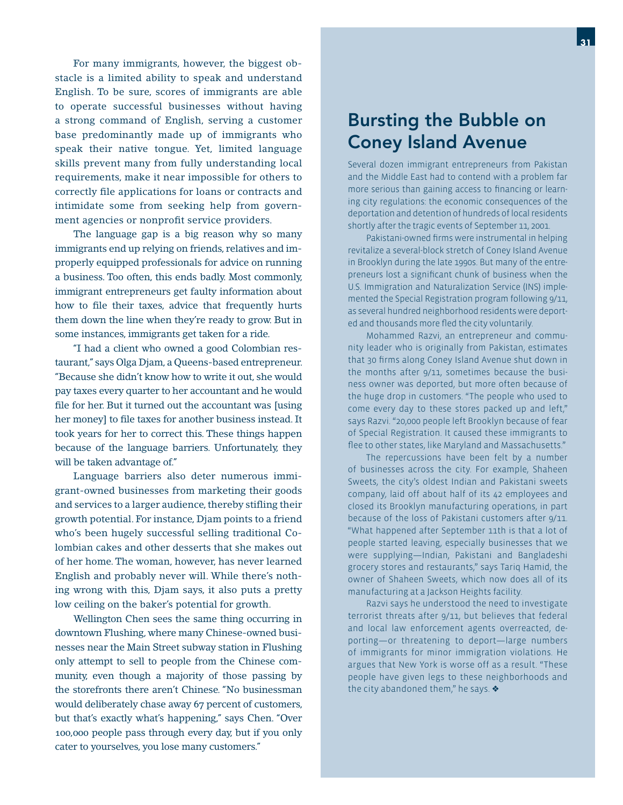For many immigrants, however, the biggest obstacle is a limited ability to speak and understand English. To be sure, scores of immigrants are able to operate successful businesses without having a strong command of English, serving a customer base predominantly made up of immigrants who speak their native tongue. Yet, limited language skills prevent many from fully understanding local requirements, make it near impossible for others to correctly file applications for loans or contracts and intimidate some from seeking help from government agencies or nonprofit service providers.

 The language gap is a big reason why so many immigrants end up relying on friends, relatives and improperly equipped professionals for advice on running a business. Too often, this ends badly. Most commonly, immigrant entrepreneurs get faulty information about how to file their taxes, advice that frequently hurts them down the line when they're ready to grow. But in some instances, immigrants get taken for a ride.

 "I had a client who owned a good Colombian restaurant," says Olga Djam, a Queens-based entrepreneur. "Because she didn't know how to write it out, she would pay taxes every quarter to her accountant and he would file for her. But it turned out the accountant was [using] her money] to file taxes for another business instead. It took years for her to correct this. These things happen because of the language barriers. Unfortunately, they will be taken advantage of."

 Language barriers also deter numerous immigrant-owned businesses from marketing their goods and services to a larger audience, thereby stifling their growth potential. For instance, Djam points to a friend who's been hugely successful selling traditional Colombian cakes and other desserts that she makes out of her home. The woman, however, has never learned English and probably never will. While there's nothing wrong with this, Djam says, it also puts a pretty low ceiling on the baker's potential for growth.

 Wellington Chen sees the same thing occurring in downtown Flushing, where many Chinese-owned businesses near the Main Street subway station in Flushing only attempt to sell to people from the Chinese community, even though a majority of those passing by the storefronts there aren't Chinese. "No businessman would deliberately chase away 67 percent of customers, but that's exactly what's happening," says Chen. "Over 100,000 people pass through every day, but if you only cater to yourselves, you lose many customers."

### Bursting the Bubble on Coney Island Avenue

Several dozen immigrant entrepreneurs from Pakistan and the Middle East had to contend with a problem far more serious than gaining access to financing or learning city regulations: the economic consequences of the deportation and detention of hundreds of local residents shortly after the tragic events of September 11, 2001.

Pakistani-owned firms were instrumental in helping revitalize a several-block stretch of Coney Island Avenue in Brooklyn during the late 1990s. But many of the entrepreneurs lost a significant chunk of business when the U.S. Immigration and Naturalization Service (INS) implemented the Special Registration program following 9/11, as several hundred neighborhood residents were deported and thousands more fled the city voluntarily.

 Mohammed Razvi, an entrepreneur and community leader who is originally from Pakistan, estimates that 30 firms along Coney Island Avenue shut down in the months after 9/11, sometimes because the business owner was deported, but more often because of the huge drop in customers. "The people who used to come every day to these stores packed up and left," says Razvi. "20,000 people left Brooklyn because of fear of Special Registration. It caused these immigrants to flee to other states, like Maryland and Massachusetts."

 The repercussions have been felt by a number of businesses across the city. For example, Shaheen Sweets, the city's oldest Indian and Pakistani sweets company, laid off about half of its 42 employees and closed its Brooklyn manufacturing operations, in part because of the loss of Pakistani customers after 9/11. "What happened after September 11th is that a lot of people started leaving, especially businesses that we were supplying—Indian, Pakistani and Bangladeshi grocery stores and restaurants," says Tariq Hamid, the owner of Shaheen Sweets, which now does all of its manufacturing at a Jackson Heights facility.

 Razvi says he understood the need to investigate terrorist threats after 9/11, but believes that federal and local law enforcement agents overreacted, deporting—or threatening to deport—large numbers of immigrants for minor immigration violations. He argues that New York is worse off as a result. "These people have given legs to these neighborhoods and the city abandoned them," he says.  $\diamondsuit$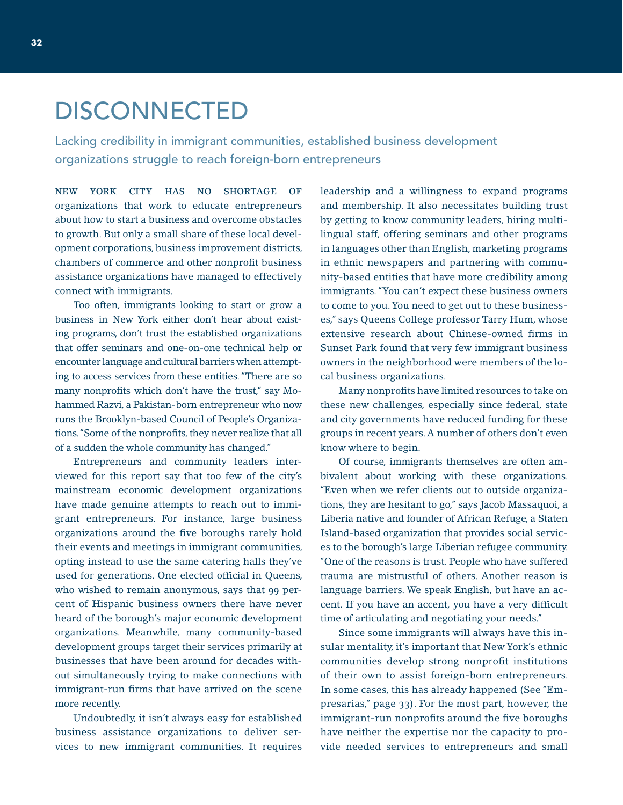# DISCONNECTED

Lacking credibility in immigrant communities, established business development organizations struggle to reach foreign-born entrepreneurs

NEW YORK CITY HAS NO SHORTAGE OF organizations that work to educate entrepreneurs about how to start a business and overcome obstacles to growth. But only a small share of these local development corporations, business improvement districts, chambers of commerce and other nonprofit business assistance organizations have managed to effectively connect with immigrants.

 Too often, immigrants looking to start or grow a business in New York either don't hear about existing programs, don't trust the established organizations that offer seminars and one-on-one technical help or encounter language and cultural barriers when attempting to access services from these entities. "There are so many nonprofits which don't have the trust," say Mohammed Razvi, a Pakistan-born entrepreneur who now runs the Brooklyn-based Council of People's Organizations. "Some of the nonprofits, they never realize that all of a sudden the whole community has changed."

 Entrepreneurs and community leaders interviewed for this report say that too few of the city's mainstream economic development organizations have made genuine attempts to reach out to immigrant entrepreneurs. For instance, large business organizations around the five boroughs rarely hold their events and meetings in immigrant communities, opting instead to use the same catering halls they've used for generations. One elected official in Queens, who wished to remain anonymous, says that 99 percent of Hispanic business owners there have never heard of the borough's major economic development organizations. Meanwhile, many community-based development groups target their services primarily at businesses that have been around for decades without simultaneously trying to make connections with immigrant-run firms that have arrived on the scene more recently.

 Undoubtedly, it isn't always easy for established business assistance organizations to deliver services to new immigrant communities. It requires

leadership and a willingness to expand programs and membership. It also necessitates building trust by getting to know community leaders, hiring multilingual staff, offering seminars and other programs in languages other than English, marketing programs in ethnic newspapers and partnering with community-based entities that have more credibility among immigrants. "You can't expect these business owners to come to you. You need to get out to these businesses," says Queens College professor Tarry Hum, whose extensive research about Chinese-owned firms in Sunset Park found that very few immigrant business owners in the neighborhood were members of the local business organizations.

Many nonprofits have limited resources to take on these new challenges, especially since federal, state and city governments have reduced funding for these groups in recent years. A number of others don't even know where to begin.

 Of course, immigrants themselves are often ambivalent about working with these organizations. "Even when we refer clients out to outside organizations, they are hesitant to go," says Jacob Massaquoi, a Liberia native and founder of African Refuge, a Staten Island-based organization that provides social services to the borough's large Liberian refugee community. "One of the reasons is trust. People who have suffered trauma are mistrustful of others. Another reason is language barriers. We speak English, but have an accent. If you have an accent, you have a very difficult time of articulating and negotiating your needs."

 Since some immigrants will always have this insular mentality, it's important that New York's ethnic communities develop strong nonprofit institutions of their own to assist foreign-born entrepreneurs. In some cases, this has already happened (See "Empresarias," page 33). For the most part, however, the immigrant-run nonprofits around the five boroughs have neither the expertise nor the capacity to provide needed services to entrepreneurs and small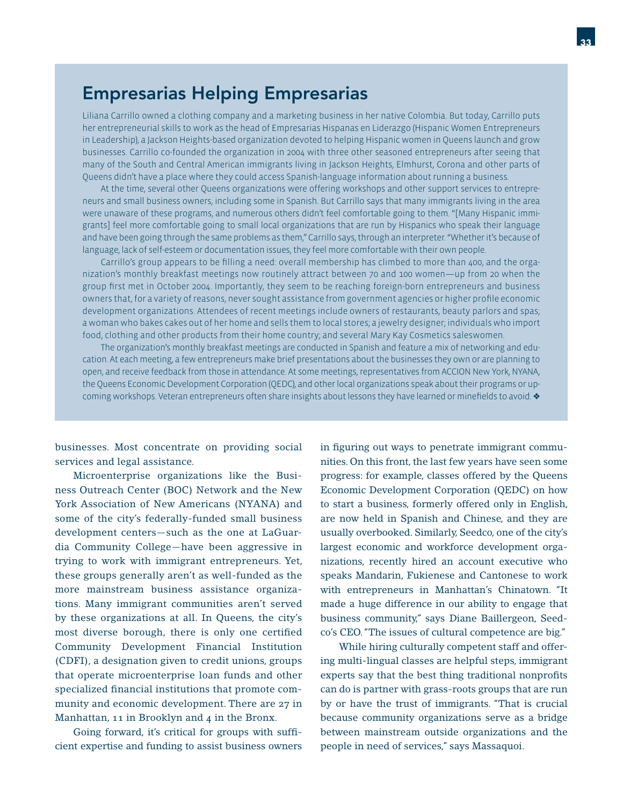### Empresarias Helping Empresarias

Liliana Carrillo owned a clothing company and a marketing business in her native Colombia. But today, Carrillo puts her entrepreneurial skills to work as the head of Empresarias Hispanas en Liderazgo (Hispanic Women Entrepreneurs in Leadership), a Jackson Heights-based organization devoted to helping Hispanic women in Queens launch and grow businesses. Carrillo co-founded the organization in 2004 with three other seasoned entrepreneurs after seeing that many of the South and Central American immigrants living in Jackson Heights, Elmhurst, Corona and other parts of Queens didn't have a place where they could access Spanish-language information about running a business.

 At the time, several other Queens organizations were offering workshops and other support services to entrepreneurs and small business owners, including some in Spanish. But Carrillo says that many immigrants living in the area were unaware of these programs, and numerous others didn't feel comfortable going to them. "[Many Hispanic immigrants] feel more comfortable going to small local organizations that are run by Hispanics who speak their language and have been going through the same problems as them," Carrillo says, through an interpreter. "Whether it's because of language, lack of self-esteem or documentation issues, they feel more comfortable with their own people.

Carrillo's group appears to be filling a need: overall membership has climbed to more than 400, and the organization's monthly breakfast meetings now routinely attract between 70 and 100 women—up from 20 when the group first met in October 2004. Importantly, they seem to be reaching foreign-born entrepreneurs and business owners that, for a variety of reasons, never sought assistance from government agencies or higher profile economic development organizations. Attendees of recent meetings include owners of restaurants, beauty parlors and spas; a woman who bakes cakes out of her home and sells them to local stores; a jewelry designer; individuals who import food, clothing and other products from their home country; and several Mary Kay Cosmetics saleswomen.

 The organization's monthly breakfast meetings are conducted in Spanish and feature a mix of networking and education. At each meeting, a few entrepreneurs make brief presentations about the businesses they own or are planning to open, and receive feedback from those in attendance. At some meetings, representatives from ACCION New York, NYANA, the Queens Economic Development Corporation (QEDC), and other local organizations speak about their programs or upcoming workshops. Veteran entrepreneurs often share insights about lessons they have learned or minefields to avoid.  $\bullet$ 

businesses. Most concentrate on providing social services and legal assistance.

 Microenterprise organizations like the Business Outreach Center (BOC) Network and the New York Association of New Americans (NYANA) and some of the city's federally-funded small business development centers—such as the one at LaGuardia Community College—have been aggressive in trying to work with immigrant entrepreneurs. Yet, these groups generally aren't as well-funded as the more mainstream business assistance organizations. Many immigrant communities aren't served by these organizations at all. In Queens, the city's most diverse borough, there is only one certified Community Development Financial Institution (CDFI), a designation given to credit unions, groups that operate microenterprise loan funds and other specialized financial institutions that promote community and economic development. There are 27 in Manhattan, 11 in Brooklyn and 4 in the Bronx.

Going forward, it's critical for groups with sufficient expertise and funding to assist business owners in figuring out ways to penetrate immigrant communities. On this front, the last few years have seen some progress: for example, classes offered by the Queens Economic Development Corporation (QEDC) on how to start a business, formerly offered only in English, are now held in Spanish and Chinese, and they are usually overbooked. Similarly, Seedco, one of the city's largest economic and workforce development organizations, recently hired an account executive who speaks Mandarin, Fukienese and Cantonese to work with entrepreneurs in Manhattan's Chinatown. "It made a huge difference in our ability to engage that business community," says Diane Baillergeon, Seedco's CEO. "The issues of cultural competence are big."

 While hiring culturally competent staff and offering multi-lingual classes are helpful steps, immigrant experts say that the best thing traditional nonprofits can do is partner with grass-roots groups that are run by or have the trust of immigrants. "That is crucial because community organizations serve as a bridge between mainstream outside organizations and the people in need of services," says Massaquoi.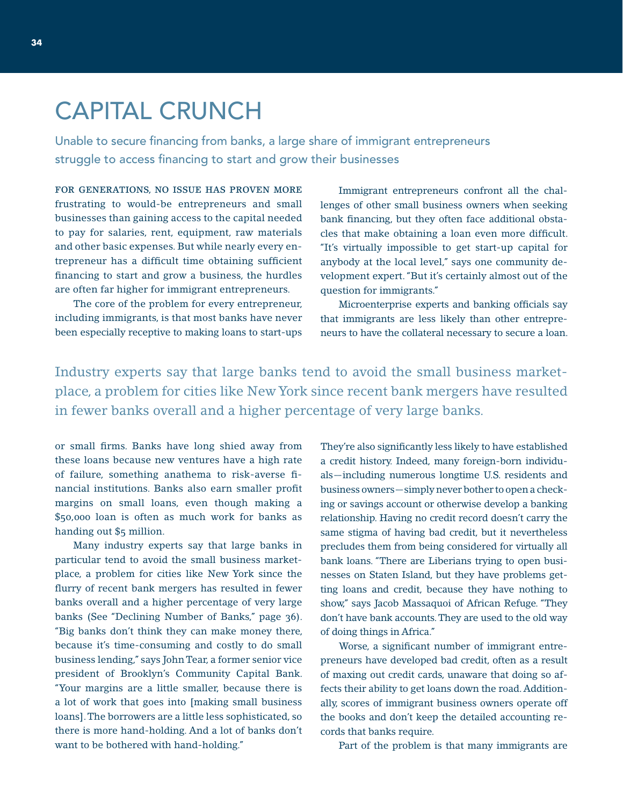# CAPITAL CRUNCH

Unable to secure financing from banks, a large share of immigrant entrepreneurs struggle to access financing to start and grow their businesses

FOR GENERATIONS, NO ISSUE HAS PROVEN MORE frustrating to would-be entrepreneurs and small businesses than gaining access to the capital needed to pay for salaries, rent, equipment, raw materials and other basic expenses. But while nearly every entrepreneur has a difficult time obtaining sufficient financing to start and grow a business, the hurdles are often far higher for immigrant entrepreneurs.

 The core of the problem for every entrepreneur, including immigrants, is that most banks have never been especially receptive to making loans to start-ups

 Immigrant entrepreneurs confront all the challenges of other small business owners when seeking bank financing, but they often face additional obstacles that make obtaining a loan even more difficult. "It's virtually impossible to get start-up capital for anybody at the local level," says one community development expert. "But it's certainly almost out of the question for immigrants."

Microenterprise experts and banking officials say that immigrants are less likely than other entrepreneurs to have the collateral necessary to secure a loan.

Industry experts say that large banks tend to avoid the small business marketplace, a problem for cities like New York since recent bank mergers have resulted in fewer banks overall and a higher percentage of very large banks.

or small firms. Banks have long shied away from these loans because new ventures have a high rate of failure, something anathema to risk-averse financial institutions. Banks also earn smaller profit margins on small loans, even though making a \$50,000 loan is often as much work for banks as handing out \$5 million.

 Many industry experts say that large banks in particular tend to avoid the small business marketplace, a problem for cities like New York since the flurry of recent bank mergers has resulted in fewer banks overall and a higher percentage of very large banks (See "Declining Number of Banks," page 36). "Big banks don't think they can make money there, because it's time-consuming and costly to do small business lending," says John Tear, a former senior vice president of Brooklyn's Community Capital Bank. "Your margins are a little smaller, because there is a lot of work that goes into [making small business loans]. The borrowers are a little less sophisticated, so there is more hand-holding. And a lot of banks don't want to be bothered with hand-holding."

They're also significantly less likely to have established a credit history. Indeed, many foreign-born individuals—including numerous longtime U.S. residents and business owners—simply never bother to open a checking or savings account or otherwise develop a banking relationship. Having no credit record doesn't carry the same stigma of having bad credit, but it nevertheless precludes them from being considered for virtually all bank loans. "There are Liberians trying to open businesses on Staten Island, but they have problems getting loans and credit, because they have nothing to show," says Jacob Massaquoi of African Refuge. "They don't have bank accounts. They are used to the old way of doing things in Africa."

Worse, a significant number of immigrant entrepreneurs have developed bad credit, often as a result of maxing out credit cards, unaware that doing so affects their ability to get loans down the road. Additionally, scores of immigrant business owners operate off the books and don't keep the detailed accounting records that banks require.

Part of the problem is that many immigrants are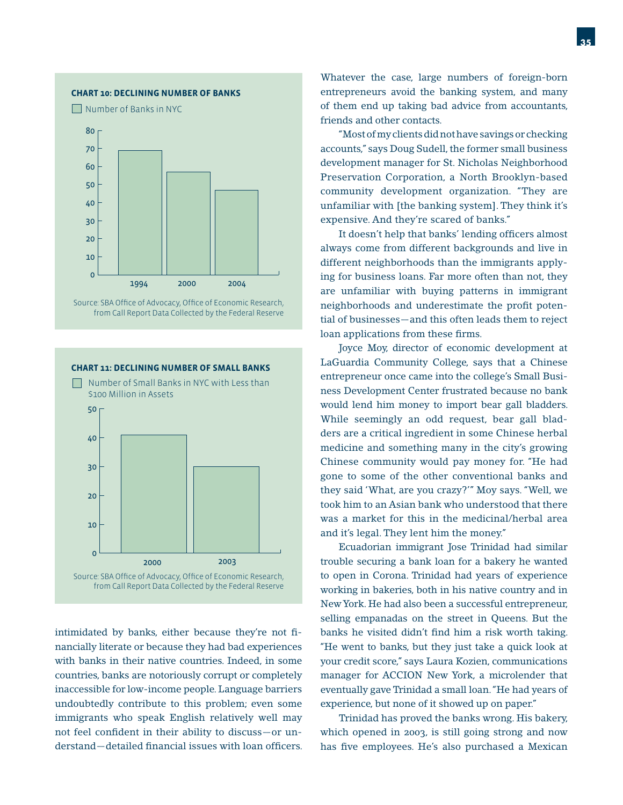#### **CHART 10: DECLINING NUMBER OF BANKS**

Number of Banks in NYC



Source: SBA Office of Advocacy, Office of Economic Research, from Call Report Data Collected by the Federal Reserve



intimidated by banks, either because they're not financially literate or because they had bad experiences with banks in their native countries. Indeed, in some countries, banks are notoriously corrupt or completely inaccessible for low-income people. Language barriers undoubtedly contribute to this problem; even some immigrants who speak English relatively well may not feel confident in their ability to discuss-or understand—detailed financial issues with loan officers.

Whatever the case, large numbers of foreign-born entrepreneurs avoid the banking system, and many of them end up taking bad advice from accountants, friends and other contacts.

 "Most of my clients did not have savings or checking accounts," says Doug Sudell, the former small business development manager for St. Nicholas Neighborhood Preservation Corporation, a North Brooklyn-based community development organization. "They are unfamiliar with [the banking system]. They think it's expensive. And they're scared of banks."

It doesn't help that banks' lending officers almost always come from different backgrounds and live in different neighborhoods than the immigrants applying for business loans. Far more often than not, they are unfamiliar with buying patterns in immigrant neighborhoods and underestimate the profit potential of businesses—and this often leads them to reject loan applications from these firms.

 Joyce Moy, director of economic development at LaGuardia Community College, says that a Chinese entrepreneur once came into the college's Small Business Development Center frustrated because no bank would lend him money to import bear gall bladders. While seemingly an odd request, bear gall bladders are a critical ingredient in some Chinese herbal medicine and something many in the city's growing Chinese community would pay money for. "He had gone to some of the other conventional banks and they said 'What, are you crazy?'" Moy says. "Well, we took him to an Asian bank who understood that there was a market for this in the medicinal/herbal area and it's legal. They lent him the money."

 Ecuadorian immigrant Jose Trinidad had similar trouble securing a bank loan for a bakery he wanted to open in Corona. Trinidad had years of experience working in bakeries, both in his native country and in New York. He had also been a successful entrepreneur, selling empanadas on the street in Queens. But the banks he visited didn't find him a risk worth taking. "He went to banks, but they just take a quick look at your credit score," says Laura Kozien, communications manager for ACCION New York, a microlender that eventually gave Trinidad a small loan. "He had years of experience, but none of it showed up on paper."

 Trinidad has proved the banks wrong. His bakery, which opened in 2003, is still going strong and now has five employees. He's also purchased a Mexican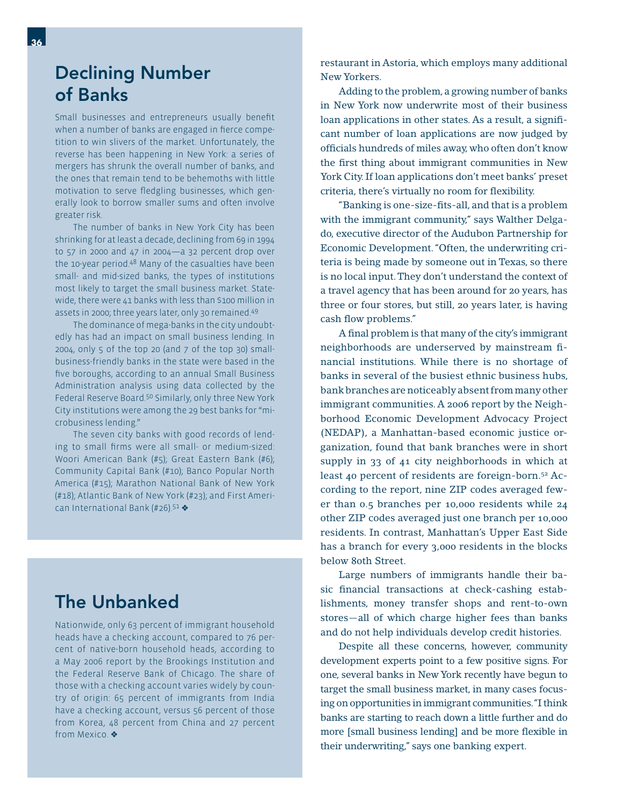### Declining Number of Banks

Small businesses and entrepreneurs usually benefit when a number of banks are engaged in fierce competition to win slivers of the market. Unfortunately, the reverse has been happening in New York: a series of mergers has shrunk the overall number of banks, and the ones that remain tend to be behemoths with little motivation to serve fledgling businesses, which generally look to borrow smaller sums and often involve greater risk.

 The number of banks in New York City has been shrinking for at least a decade, declining from 69 in 1994 to 57 in 2000 and 47 in 2004—a 32 percent drop over the 10-year period.48 Many of the casualties have been small- and mid-sized banks, the types of institutions most likely to target the small business market. Statewide, there were 41 banks with less than \$100 million in assets in 2000; three years later, only 30 remained.49

 The dominance of mega-banks in the city undoubtedly has had an impact on small business lending. In 2004, only  $5$  of the top 20 (and  $7$  of the top 30) smallbusiness-friendly banks in the state were based in the five boroughs, according to an annual Small Business Administration analysis using data collected by the Federal Reserve Board.50 Similarly, only three New York City institutions were among the 29 best banks for "microbusiness lending."

 The seven city banks with good records of lending to small firms were all small- or medium-sized: Woori American Bank (#5); Great Eastern Bank (#6); Community Capital Bank (#10); Banco Popular North America (#15); Marathon National Bank of New York (#18); Atlantic Bank of New York (#23); and First American International Bank (#26).<sup>51</sup>  $\clubsuit$ 

### The Unbanked

Nationwide, only 63 percent of immigrant household heads have a checking account, compared to 76 percent of native-born household heads, according to a May 2006 report by the Brookings Institution and the Federal Reserve Bank of Chicago. The share of those with a checking account varies widely by country of origin: 65 percent of immigrants from India have a checking account, versus 56 percent of those from Korea, 48 percent from China and 27 percent from Mexico.

restaurant in Astoria, which employs many additional New Yorkers.

 Adding to the problem, a growing number of banks in New York now underwrite most of their business loan applications in other states. As a result, a significant number of loan applications are now judged by officials hundreds of miles away, who often don't know the first thing about immigrant communities in New York City. If loan applications don't meet banks' preset criteria, there's virtually no room for flexibility.

"Banking is one-size-fits-all, and that is a problem with the immigrant community," says Walther Delgado, executive director of the Audubon Partnership for Economic Development. "Often, the underwriting criteria is being made by someone out in Texas, so there is no local input. They don't understand the context of a travel agency that has been around for 20 years, has three or four stores, but still, 20 years later, is having cash flow problems."

A final problem is that many of the city's immigrant neighborhoods are underserved by mainstream financial institutions. While there is no shortage of banks in several of the busiest ethnic business hubs, bank branches are noticeably absent from many other immigrant communities. A 2006 report by the Neighborhood Economic Development Advocacy Project (NEDAP), a Manhattan-based economic justice organization, found that bank branches were in short supply in 33 of 41 city neighborhoods in which at least 40 percent of residents are foreign-born.52 According to the report, nine ZIP codes averaged fewer than 0.5 branches per 10,000 residents while 24 other ZIP codes averaged just one branch per 10,000 residents. In contrast, Manhattan's Upper East Side has a branch for every 3,000 residents in the blocks below 80th Street.

 Large numbers of immigrants handle their basic financial transactions at check-cashing establishments, money transfer shops and rent-to-own stores—all of which charge higher fees than banks and do not help individuals develop credit histories.

 Despite all these concerns, however, community development experts point to a few positive signs. For one, several banks in New York recently have begun to target the small business market, in many cases focusing on opportunities in immigrant communities. "I think banks are starting to reach down a little further and do more [small business lending] and be more flexible in their underwriting," says one banking expert.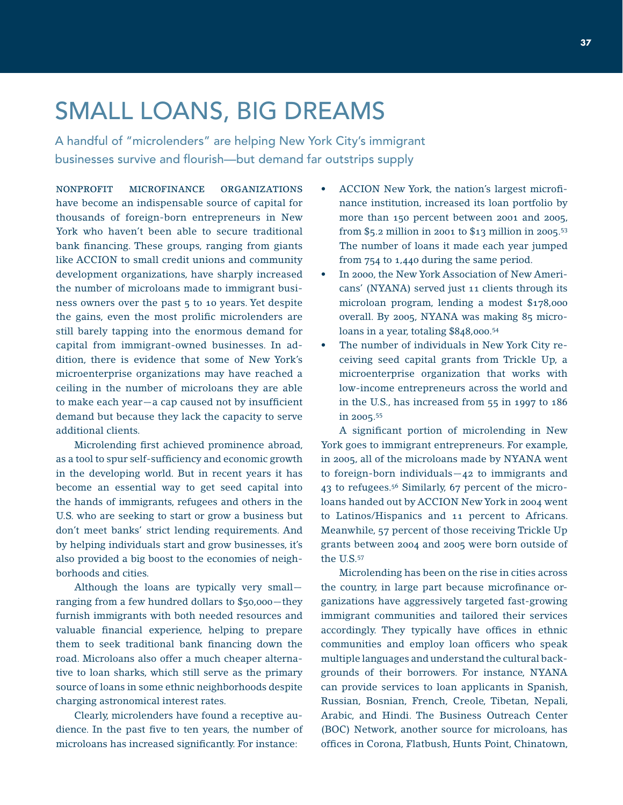### SMALL LOANS, BIG DREAMS

A handful of "microlenders" are helping New York City's immigrant businesses survive and flourish—but demand far outstrips supply

NONPROFIT MICROFINANCE ORGANIZATIONS have become an indispensable source of capital for thousands of foreign-born entrepreneurs in New York who haven't been able to secure traditional bank financing. These groups, ranging from giants like ACCION to small credit unions and community development organizations, have sharply increased the number of microloans made to immigrant business owners over the past 5 to 10 years. Yet despite the gains, even the most prolific microlenders are still barely tapping into the enormous demand for capital from immigrant-owned businesses. In addition, there is evidence that some of New York's microenterprise organizations may have reached a ceiling in the number of microloans they are able to make each year $-a$  cap caused not by insufficient demand but because they lack the capacity to serve additional clients.

Microlending first achieved prominence abroad, as a tool to spur self-sufficiency and economic growth in the developing world. But in recent years it has become an essential way to get seed capital into the hands of immigrants, refugees and others in the U.S. who are seeking to start or grow a business but don't meet banks' strict lending requirements. And by helping individuals start and grow businesses, it's also provided a big boost to the economies of neighborhoods and cities.

 Although the loans are typically very small ranging from a few hundred dollars to \$50,000—they furnish immigrants with both needed resources and valuable financial experience, helping to prepare them to seek traditional bank financing down the road. Microloans also offer a much cheaper alternative to loan sharks, which still serve as the primary source of loans in some ethnic neighborhoods despite charging astronomical interest rates.

 Clearly, microlenders have found a receptive audience. In the past five to ten years, the number of microloans has increased significantly. For instance:

- ACCION New York, the nation's largest microfinance institution, increased its loan portfolio by more than 150 percent between 2001 and 2005, from \$5.2 million in 2001 to \$13 million in 2005.53 The number of loans it made each year jumped from 754 to 1,440 during the same period. •
- In 2000, the New York Association of New Americans' (NYANA) served just 11 clients through its microloan program, lending a modest \$178,000 overall. By 2005, NYANA was making 85 microloans in a year, totaling \$848,000.<sup>54</sup> •
- The number of individuals in New York City receiving seed capital grants from Trickle Up, a microenterprise organization that works with low-income entrepreneurs across the world and in the U.S., has increased from 55 in 1997 to 186 in 2005.55 •

A significant portion of microlending in New York goes to immigrant entrepreneurs. For example, in 2005, all of the microloans made by NYANA went to foreign-born individuals—42 to immigrants and 43 to refugees.56 Similarly, 67 percent of the microloans handed out by ACCION New York in 2004 went to Latinos/Hispanics and 11 percent to Africans. Meanwhile, 57 percent of those receiving Trickle Up grants between 2004 and 2005 were born outside of the U.S.57

 Microlending has been on the rise in cities across the country, in large part because microfinance organizations have aggressively targeted fast-growing immigrant communities and tailored their services accordingly. They typically have offices in ethnic communities and employ loan officers who speak multiple languages and understand the cultural backgrounds of their borrowers. For instance, NYANA can provide services to loan applicants in Spanish, Russian, Bosnian, French, Creole, Tibetan, Nepali, Arabic, and Hindi. The Business Outreach Center (BOC) Network, another source for microloans, has offices in Corona, Flatbush, Hunts Point, Chinatown,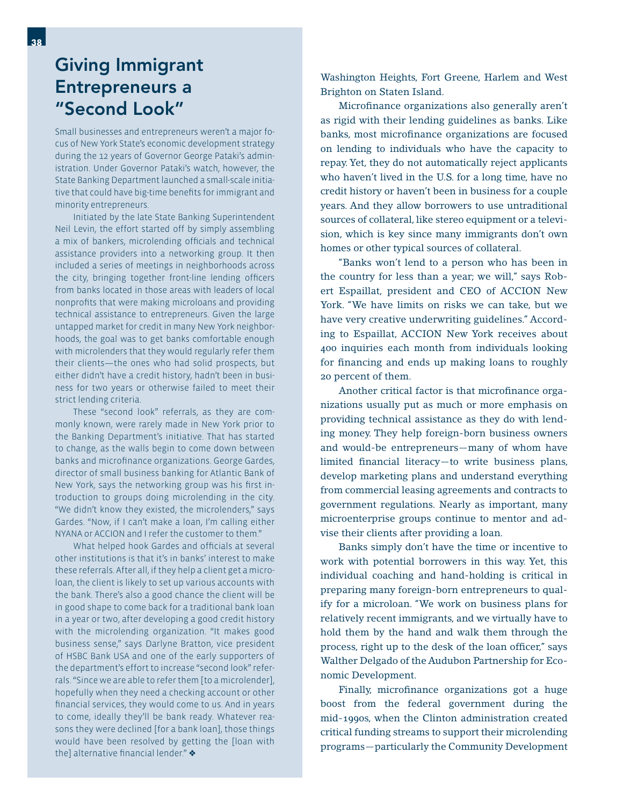### Giving Immigrant Entrepreneurs a "Second Look"

Small businesses and entrepreneurs weren't a major focus of New York State's economic development strategy during the 12 years of Governor George Pataki's administration. Under Governor Pataki's watch, however, the State Banking Department launched a small-scale initiative that could have big-time benefits for immigrant and minority entrepreneurs.

 Initiated by the late State Banking Superintendent Neil Levin, the effort started off by simply assembling a mix of bankers, microlending officials and technical assistance providers into a networking group. It then included a series of meetings in neighborhoods across the city, bringing together front-line lending officers from banks located in those areas with leaders of local nonprofits that were making microloans and providing technical assistance to entrepreneurs. Given the large untapped market for credit in many New York neighborhoods, the goal was to get banks comfortable enough with microlenders that they would regularly refer them their clients—the ones who had solid prospects, but either didn't have a credit history, hadn't been in business for two years or otherwise failed to meet their strict lending criteria.

 These "second look" referrals, as they are commonly known, were rarely made in New York prior to the Banking Department's initiative. That has started to change, as the walls begin to come down between banks and microfinance organizations. George Gardes, director of small business banking for Atlantic Bank of New York, says the networking group was his first introduction to groups doing microlending in the city. "We didn't know they existed, the microlenders," says Gardes. "Now, if I can't make a loan, I'm calling either NYANA or ACCION and I refer the customer to them."

What helped hook Gardes and officials at several other institutions is that it's in banks' interest to make these referrals. After all, if they help a client get a microloan, the client is likely to set up various accounts with the bank. There's also a good chance the client will be in good shape to come back for a traditional bank loan in a year or two, after developing a good credit history with the microlending organization. "It makes good business sense," says Darlyne Bratton, vice president of HSBC Bank USA and one of the early supporters of the department's effort to increase "second look" referrals. "Since we are able to refer them [to a microlender], hopefully when they need a checking account or other financial services, they would come to us. And in years to come, ideally they'll be bank ready. Whatever reasons they were declined [for a bank loan], those things would have been resolved by getting the [loan with the] alternative financial lender."  $\triangleleft$ 

Washington Heights, Fort Greene, Harlem and West Brighton on Staten Island.

Microfinance organizations also generally aren't as rigid with their lending guidelines as banks. Like banks, most microfinance organizations are focused on lending to individuals who have the capacity to repay. Yet, they do not automatically reject applicants who haven't lived in the U.S. for a long time, have no credit history or haven't been in business for a couple years. And they allow borrowers to use untraditional sources of collateral, like stereo equipment or a television, which is key since many immigrants don't own homes or other typical sources of collateral.

 "Banks won't lend to a person who has been in the country for less than a year; we will," says Robert Espaillat, president and CEO of ACCION New York. "We have limits on risks we can take, but we have very creative underwriting guidelines." According to Espaillat, ACCION New York receives about 400 inquiries each month from individuals looking for financing and ends up making loans to roughly 20 percent of them.

Another critical factor is that microfinance organizations usually put as much or more emphasis on providing technical assistance as they do with lending money. They help foreign-born business owners and would-be entrepreneurs—many of whom have limited financial literacy—to write business plans, develop marketing plans and understand everything from commercial leasing agreements and contracts to government regulations. Nearly as important, many microenterprise groups continue to mentor and advise their clients after providing a loan.

 Banks simply don't have the time or incentive to work with potential borrowers in this way. Yet, this individual coaching and hand-holding is critical in preparing many foreign-born entrepreneurs to qualify for a microloan. "We work on business plans for relatively recent immigrants, and we virtually have to hold them by the hand and walk them through the process, right up to the desk of the loan officer," says Walther Delgado of the Audubon Partnership for Economic Development.

Finally, microfinance organizations got a huge boost from the federal government during the mid-1990s, when the Clinton administration created critical funding streams to support their microlending programs—particularly the Community Development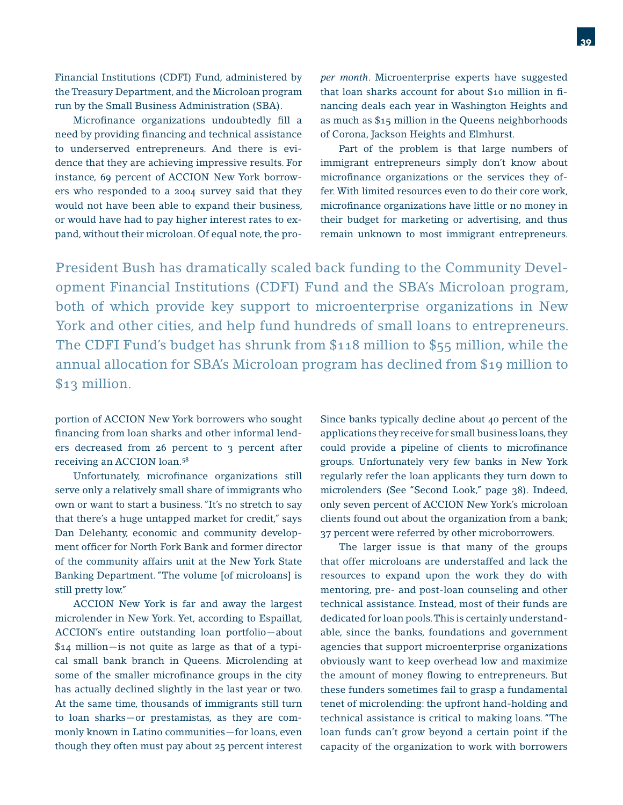Financial Institutions (CDFI) Fund, administered by the Treasury Department, and the Microloan program run by the Small Business Administration (SBA).

Microfinance organizations undoubtedly fill a need by providing financing and technical assistance to underserved entrepreneurs. And there is evidence that they are achieving impressive results. For instance, 69 percent of ACCION New York borrowers who responded to a 2004 survey said that they would not have been able to expand their business, or would have had to pay higher interest rates to expand, without their microloan. Of equal note, the pro*per month*. Microenterprise experts have suggested that loan sharks account for about \$10 million in financing deals each year in Washington Heights and as much as \$15 million in the Queens neighborhoods of Corona, Jackson Heights and Elmhurst.

 Part of the problem is that large numbers of immigrant entrepreneurs simply don't know about microfinance organizations or the services they offer. With limited resources even to do their core work, microfinance organizations have little or no money in their budget for marketing or advertising, and thus remain unknown to most immigrant entrepreneurs.

President Bush has dramatically scaled back funding to the Community Development Financial Institutions (CDFI) Fund and the SBA's Microloan program, both of which provide key support to microenterprise organizations in New York and other cities, and help fund hundreds of small loans to entrepreneurs. The CDFI Fund's budget has shrunk from \$118 million to \$55 million, while the annual allocation for SBA's Microloan program has declined from \$19 million to \$13 million.

portion of ACCION New York borrowers who sought financing from loan sharks and other informal lenders decreased from 26 percent to 3 percent after receiving an ACCION loan.58

Unfortunately, microfinance organizations still serve only a relatively small share of immigrants who own or want to start a business. "It's no stretch to say that there's a huge untapped market for credit," says Dan Delehanty, economic and community development officer for North Fork Bank and former director of the community affairs unit at the New York State Banking Department. "The volume [of microloans] is still pretty low."

 ACCION New York is far and away the largest microlender in New York. Yet, according to Espaillat, ACCION's entire outstanding loan portfolio—about \$14 million—is not quite as large as that of a typical small bank branch in Queens. Microlending at some of the smaller microfinance groups in the city has actually declined slightly in the last year or two. At the same time, thousands of immigrants still turn to loan sharks—or prestamistas, as they are commonly known in Latino communities—for loans, even though they often must pay about 25 percent interest

Since banks typically decline about 40 percent of the applications they receive for small business loans, they could provide a pipeline of clients to microfinance groups. Unfortunately very few banks in New York regularly refer the loan applicants they turn down to microlenders (See "Second Look," page 38). Indeed, only seven percent of ACCION New York's microloan clients found out about the organization from a bank; 37 percent were referred by other microborrowers.

 The larger issue is that many of the groups that offer microloans are understaffed and lack the resources to expand upon the work they do with mentoring, pre- and post-loan counseling and other technical assistance. Instead, most of their funds are dedicated for loan pools. This is certainly understandable, since the banks, foundations and government agencies that support microenterprise organizations obviously want to keep overhead low and maximize the amount of money flowing to entrepreneurs. But these funders sometimes fail to grasp a fundamental tenet of microlending: the upfront hand-holding and technical assistance is critical to making loans. "The loan funds can't grow beyond a certain point if the capacity of the organization to work with borrowers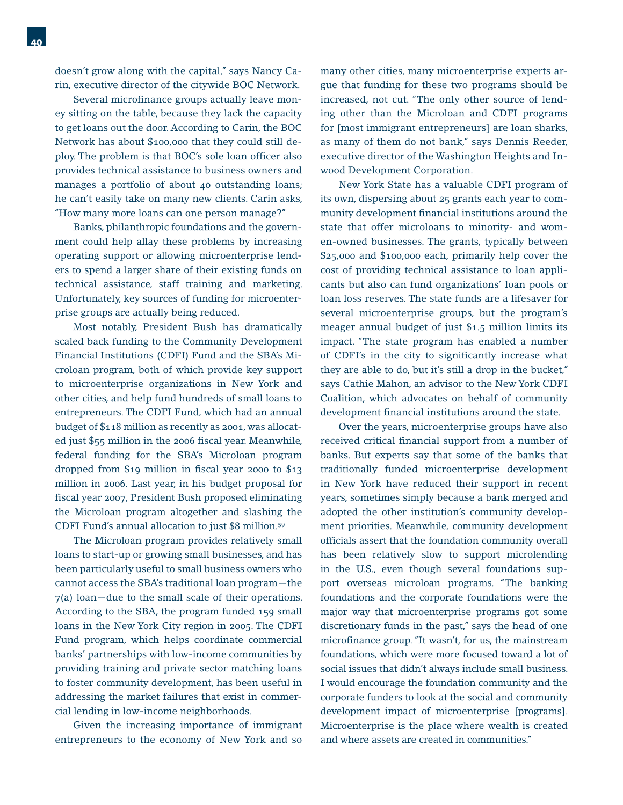Several microfinance groups actually leave money sitting on the table, because they lack the capacity to get loans out the door. According to Carin, the BOC Network has about \$100,000 that they could still deploy. The problem is that BOC's sole loan officer also provides technical assistance to business owners and manages a portfolio of about 40 outstanding loans; he can't easily take on many new clients. Carin asks, "How many more loans can one person manage?"

 Banks, philanthropic foundations and the government could help allay these problems by increasing operating support or allowing microenterprise lenders to spend a larger share of their existing funds on technical assistance, staff training and marketing. Unfortunately, key sources of funding for microenterprise groups are actually being reduced.

 Most notably, President Bush has dramatically scaled back funding to the Community Development Financial Institutions (CDFI) Fund and the SBA's Microloan program, both of which provide key support to microenterprise organizations in New York and other cities, and help fund hundreds of small loans to entrepreneurs. The CDFI Fund, which had an annual budget of \$118 million as recently as 2001, was allocated just \$55 million in the 2006 fiscal year. Meanwhile, federal funding for the SBA's Microloan program dropped from \$19 million in fiscal year 2000 to  $$13$ million in 2006. Last year, in his budget proposal for fiscal year 2007, President Bush proposed eliminating the Microloan program altogether and slashing the CDFI Fund's annual allocation to just \$8 million.59

 The Microloan program provides relatively small loans to start-up or growing small businesses, and has been particularly useful to small business owners who cannot access the SBA's traditional loan program—the 7(a) loan—due to the small scale of their operations. According to the SBA, the program funded 159 small loans in the New York City region in 2005. The CDFI Fund program, which helps coordinate commercial banks' partnerships with low-income communities by providing training and private sector matching loans to foster community development, has been useful in addressing the market failures that exist in commercial lending in low-income neighborhoods.

 Given the increasing importance of immigrant entrepreneurs to the economy of New York and so many other cities, many microenterprise experts argue that funding for these two programs should be increased, not cut. "The only other source of lending other than the Microloan and CDFI programs for [most immigrant entrepreneurs] are loan sharks, as many of them do not bank," says Dennis Reeder, executive director of the Washington Heights and Inwood Development Corporation.

 New York State has a valuable CDFI program of its own, dispersing about 25 grants each year to community development financial institutions around the state that offer microloans to minority- and women-owned businesses. The grants, typically between \$25,000 and \$100,000 each, primarily help cover the cost of providing technical assistance to loan applicants but also can fund organizations' loan pools or loan loss reserves. The state funds are a lifesaver for several microenterprise groups, but the program's meager annual budget of just \$1.5 million limits its impact. "The state program has enabled a number of CDFI's in the city to significantly increase what they are able to do, but it's still a drop in the bucket," says Cathie Mahon, an advisor to the New York CDFI Coalition, which advocates on behalf of community development financial institutions around the state.

 Over the years, microenterprise groups have also received critical financial support from a number of banks. But experts say that some of the banks that traditionally funded microenterprise development in New York have reduced their support in recent years, sometimes simply because a bank merged and adopted the other institution's community development priorities. Meanwhile, community development officials assert that the foundation community overall has been relatively slow to support microlending in the U.S., even though several foundations support overseas microloan programs. "The banking foundations and the corporate foundations were the major way that microenterprise programs got some discretionary funds in the past," says the head of one microfinance group. "It wasn't, for us, the mainstream foundations, which were more focused toward a lot of social issues that didn't always include small business. I would encourage the foundation community and the corporate funders to look at the social and community development impact of microenterprise [programs]. Microenterprise is the place where wealth is created and where assets are created in communities."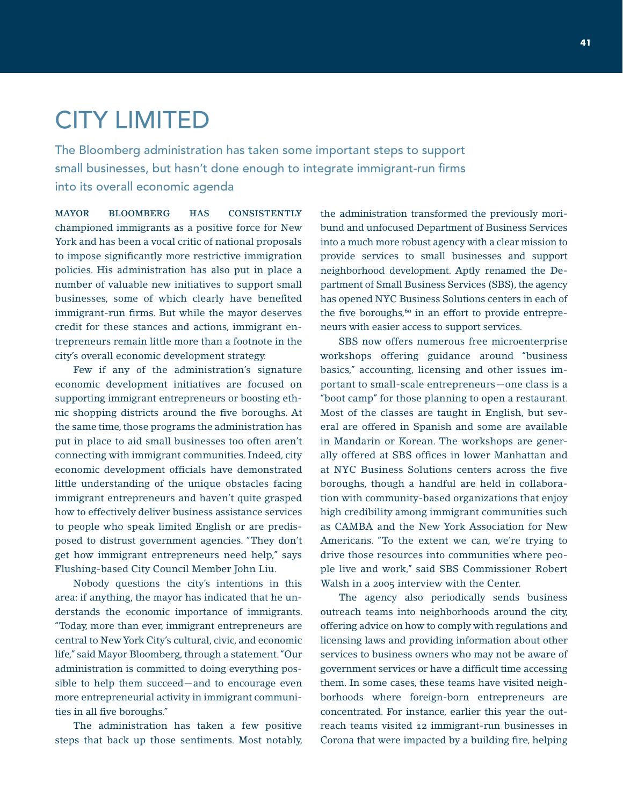# CITY LIMITED

The Bloomberg administration has taken some important steps to support small businesses, but hasn't done enough to integrate immigrant-run firms into its overall economic agenda

MAYOR BLOOMBERG HAS CONSISTENTLY championed immigrants as a positive force for New York and has been a vocal critic of national proposals to impose significantly more restrictive immigration policies. His administration has also put in place a number of valuable new initiatives to support small businesses, some of which clearly have benefited immigrant-run firms. But while the mayor deserves credit for these stances and actions, immigrant entrepreneurs remain little more than a footnote in the city's overall economic development strategy.

 Few if any of the administration's signature economic development initiatives are focused on supporting immigrant entrepreneurs or boosting ethnic shopping districts around the five boroughs. At the same time, those programs the administration has put in place to aid small businesses too often aren't connecting with immigrant communities. Indeed, city economic development officials have demonstrated little understanding of the unique obstacles facing immigrant entrepreneurs and haven't quite grasped how to effectively deliver business assistance services to people who speak limited English or are predisposed to distrust government agencies. "They don't get how immigrant entrepreneurs need help," says Flushing-based City Council Member John Liu.

 Nobody questions the city's intentions in this area: if anything, the mayor has indicated that he understands the economic importance of immigrants. "Today, more than ever, immigrant entrepreneurs are central to New York City's cultural, civic, and economic life," said Mayor Bloomberg, through a statement. "Our administration is committed to doing everything possible to help them succeed—and to encourage even more entrepreneurial activity in immigrant communities in all five boroughs."

 The administration has taken a few positive steps that back up those sentiments. Most notably, the administration transformed the previously moribund and unfocused Department of Business Services into a much more robust agency with a clear mission to provide services to small businesses and support neighborhood development. Aptly renamed the Department of Small Business Services (SBS), the agency has opened NYC Business Solutions centers in each of the five boroughs, $60$  in an effort to provide entrepreneurs with easier access to support services.

 SBS now offers numerous free microenterprise workshops offering guidance around "business basics," accounting, licensing and other issues important to small-scale entrepreneurs—one class is a "boot camp" for those planning to open a restaurant. Most of the classes are taught in English, but several are offered in Spanish and some are available in Mandarin or Korean. The workshops are generally offered at SBS offices in lower Manhattan and at NYC Business Solutions centers across the five boroughs, though a handful are held in collaboration with community-based organizations that enjoy high credibility among immigrant communities such as CAMBA and the New York Association for New Americans. "To the extent we can, we're trying to drive those resources into communities where people live and work," said SBS Commissioner Robert Walsh in a 2005 interview with the Center.

 The agency also periodically sends business outreach teams into neighborhoods around the city, offering advice on how to comply with regulations and licensing laws and providing information about other services to business owners who may not be aware of government services or have a difficult time accessing them. In some cases, these teams have visited neighborhoods where foreign-born entrepreneurs are concentrated. For instance, earlier this year the outreach teams visited 12 immigrant-run businesses in Corona that were impacted by a building fire, helping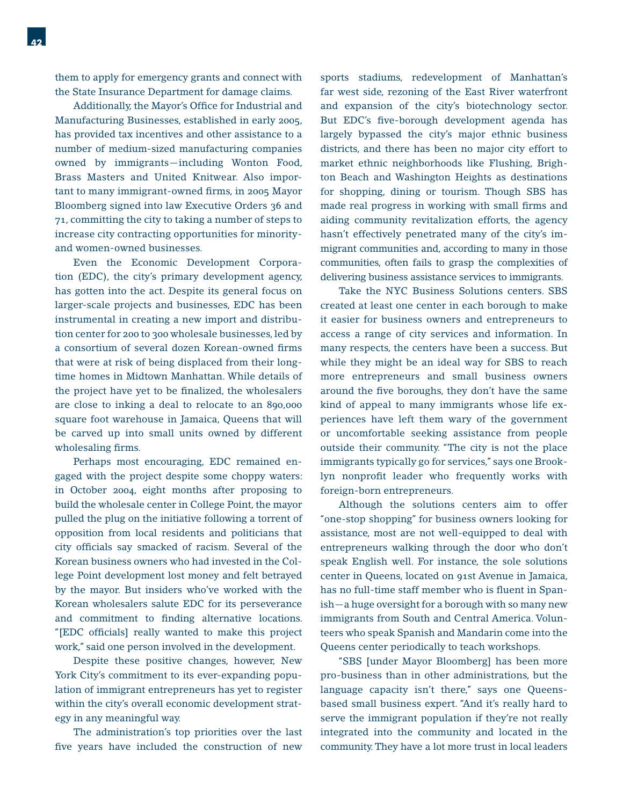them to apply for emergency grants and connect with the State Insurance Department for damage claims.

Additionally, the Mayor's Office for Industrial and Manufacturing Businesses, established in early 2005, has provided tax incentives and other assistance to a number of medium-sized manufacturing companies owned by immigrants—including Wonton Food, Brass Masters and United Knitwear. Also important to many immigrant-owned firms, in 2005 Mayor Bloomberg signed into law Executive Orders 36 and 71, committing the city to taking a number of steps to increase city contracting opportunities for minorityand women-owned businesses.

 Even the Economic Development Corporation (EDC), the city's primary development agency, has gotten into the act. Despite its general focus on larger-scale projects and businesses, EDC has been instrumental in creating a new import and distribution center for 200 to 300 wholesale businesses, led by a consortium of several dozen Korean-owned firms that were at risk of being displaced from their longtime homes in Midtown Manhattan. While details of the project have yet to be finalized, the wholesalers are close to inking a deal to relocate to an 890,000 square foot warehouse in Jamaica, Queens that will be carved up into small units owned by different wholesaling firms.

 Perhaps most encouraging, EDC remained engaged with the project despite some choppy waters: in October 2004, eight months after proposing to build the wholesale center in College Point, the mayor pulled the plug on the initiative following a torrent of opposition from local residents and politicians that city officials say smacked of racism. Several of the Korean business owners who had invested in the College Point development lost money and felt betrayed by the mayor. But insiders who've worked with the Korean wholesalers salute EDC for its perseverance and commitment to finding alternative locations. "[EDC officials] really wanted to make this project work," said one person involved in the development.

 Despite these positive changes, however, New York City's commitment to its ever-expanding population of immigrant entrepreneurs has yet to register within the city's overall economic development strategy in any meaningful way.

 The administration's top priorities over the last five years have included the construction of new sports stadiums, redevelopment of Manhattan's far west side, rezoning of the East River waterfront and expansion of the city's biotechnology sector. But EDC's five-borough development agenda has largely bypassed the city's major ethnic business districts, and there has been no major city effort to market ethnic neighborhoods like Flushing, Brighton Beach and Washington Heights as destinations for shopping, dining or tourism. Though SBS has made real progress in working with small firms and aiding community revitalization efforts, the agency hasn't effectively penetrated many of the city's immigrant communities and, according to many in those communities, often fails to grasp the complexities of delivering business assistance services to immigrants.

 Take the NYC Business Solutions centers. SBS created at least one center in each borough to make it easier for business owners and entrepreneurs to access a range of city services and information. In many respects, the centers have been a success. But while they might be an ideal way for SBS to reach more entrepreneurs and small business owners around the five boroughs, they don't have the same kind of appeal to many immigrants whose life experiences have left them wary of the government or uncomfortable seeking assistance from people outside their community. "The city is not the place immigrants typically go for services," says one Brooklyn nonprofit leader who frequently works with foreign-born entrepreneurs.

 Although the solutions centers aim to offer "one-stop shopping" for business owners looking for assistance, most are not well-equipped to deal with entrepreneurs walking through the door who don't speak English well. For instance, the sole solutions center in Queens, located on 91st Avenue in Jamaica, has no full-time staff member who is fluent in Spanish—a huge oversight for a borough with so many new immigrants from South and Central America. Volunteers who speak Spanish and Mandarin come into the Queens center periodically to teach workshops.

 "SBS [under Mayor Bloomberg] has been more pro-business than in other administrations, but the language capacity isn't there," says one Queensbased small business expert. "And it's really hard to serve the immigrant population if they're not really integrated into the community and located in the community. They have a lot more trust in local leaders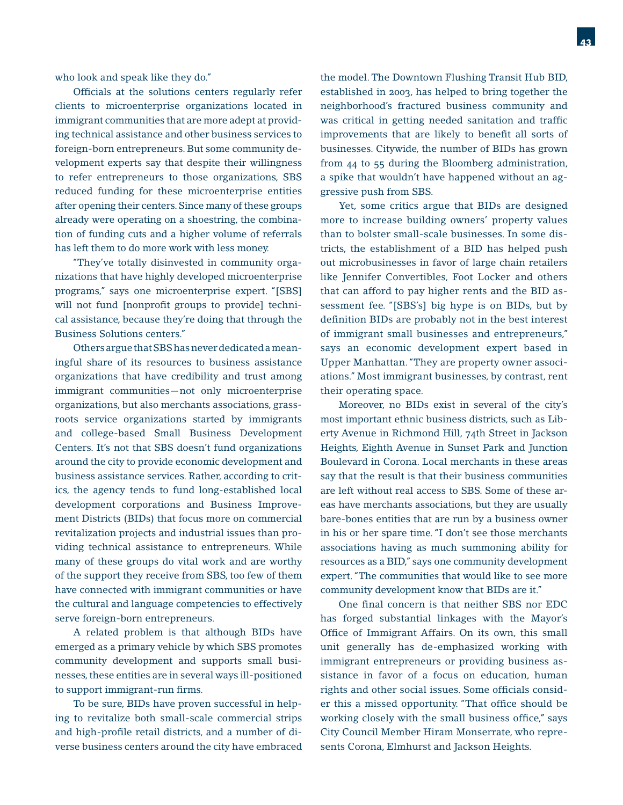who look and speak like they do."

Officials at the solutions centers regularly refer clients to microenterprise organizations located in immigrant communities that are more adept at providing technical assistance and other business services to foreign-born entrepreneurs. But some community development experts say that despite their willingness to refer entrepreneurs to those organizations, SBS reduced funding for these microenterprise entities after opening their centers. Since many of these groups already were operating on a shoestring, the combination of funding cuts and a higher volume of referrals has left them to do more work with less money.

 "They've totally disinvested in community organizations that have highly developed microenterprise programs," says one microenterprise expert. "[SBS] will not fund [nonprofit groups to provide] technical assistance, because they're doing that through the Business Solutions centers."

 Others argue that SBS has never dedicated a meaningful share of its resources to business assistance organizations that have credibility and trust among immigrant communities—not only microenterprise organizations, but also merchants associations, grassroots service organizations started by immigrants and college-based Small Business Development Centers. It's not that SBS doesn't fund organizations around the city to provide economic development and business assistance services. Rather, according to critics, the agency tends to fund long-established local development corporations and Business Improvement Districts (BIDs) that focus more on commercial revitalization projects and industrial issues than providing technical assistance to entrepreneurs. While many of these groups do vital work and are worthy of the support they receive from SBS, too few of them have connected with immigrant communities or have the cultural and language competencies to effectively serve foreign-born entrepreneurs.

 A related problem is that although BIDs have emerged as a primary vehicle by which SBS promotes community development and supports small businesses, these entities are in several ways ill-positioned to support immigrant-run firms.

 To be sure, BIDs have proven successful in helping to revitalize both small-scale commercial strips and high-profile retail districts, and a number of diverse business centers around the city have embraced the model. The Downtown Flushing Transit Hub BID, established in 2003, has helped to bring together the neighborhood's fractured business community and was critical in getting needed sanitation and traffic improvements that are likely to benefit all sorts of businesses. Citywide, the number of BIDs has grown from 44 to 55 during the Bloomberg administration, a spike that wouldn't have happened without an aggressive push from SBS.

 Yet, some critics argue that BIDs are designed more to increase building owners' property values than to bolster small-scale businesses. In some districts, the establishment of a BID has helped push out microbusinesses in favor of large chain retailers like Jennifer Convertibles, Foot Locker and others that can afford to pay higher rents and the BID assessment fee. "[SBS's] big hype is on BIDs, but by definition BIDs are probably not in the best interest of immigrant small businesses and entrepreneurs," says an economic development expert based in Upper Manhattan. "They are property owner associations." Most immigrant businesses, by contrast, rent their operating space.

 Moreover, no BIDs exist in several of the city's most important ethnic business districts, such as Liberty Avenue in Richmond Hill, 74th Street in Jackson Heights, Eighth Avenue in Sunset Park and Junction Boulevard in Corona. Local merchants in these areas say that the result is that their business communities are left without real access to SBS. Some of these areas have merchants associations, but they are usually bare-bones entities that are run by a business owner in his or her spare time. "I don't see those merchants associations having as much summoning ability for resources as a BID," says one community development expert. "The communities that would like to see more community development know that BIDs are it."

One final concern is that neither SBS nor EDC has forged substantial linkages with the Mayor's Office of Immigrant Affairs. On its own, this small unit generally has de-emphasized working with immigrant entrepreneurs or providing business assistance in favor of a focus on education, human rights and other social issues. Some officials consider this a missed opportunity. "That office should be working closely with the small business office," says City Council Member Hiram Monserrate, who represents Corona, Elmhurst and Jackson Heights.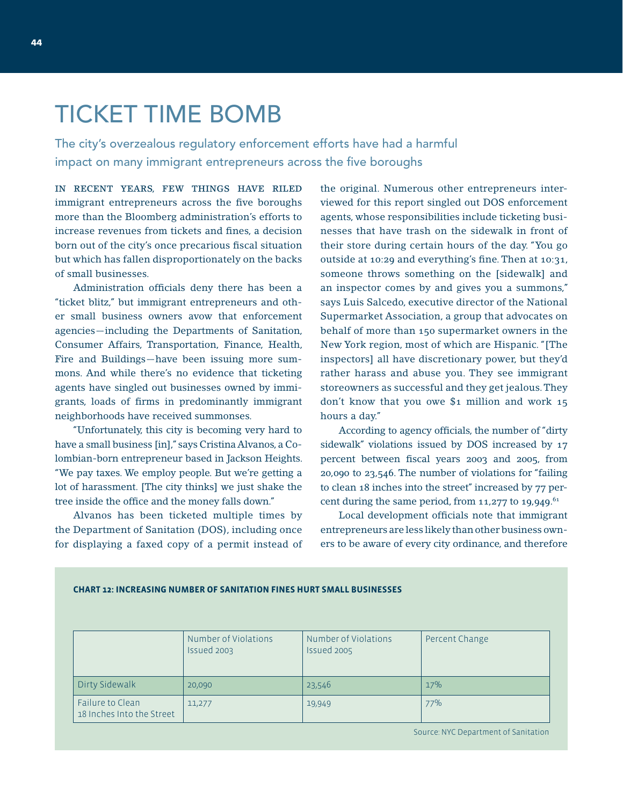## TICKET TIME BOMB

The city's overzealous regulatory enforcement efforts have had a harmful impact on many immigrant entrepreneurs across the five boroughs

IN RECENT YEARS, FEW THINGS HAVE RILED immigrant entrepreneurs across the five boroughs more than the Bloomberg administration's efforts to increase revenues from tickets and fines, a decision born out of the city's once precarious fiscal situation but which has fallen disproportionately on the backs of small businesses.

Administration officials deny there has been a "ticket blitz," but immigrant entrepreneurs and other small business owners avow that enforcement agencies—including the Departments of Sanitation, Consumer Affairs, Transportation, Finance, Health, Fire and Buildings—have been issuing more summons. And while there's no evidence that ticketing agents have singled out businesses owned by immigrants, loads of firms in predominantly immigrant neighborhoods have received summonses.

 "Unfortunately, this city is becoming very hard to have a small business [in]," says Cristina Alvanos, a Colombian-born entrepreneur based in Jackson Heights. "We pay taxes. We employ people. But we're getting a lot of harassment. [The city thinks] we just shake the tree inside the office and the money falls down."

 Alvanos has been ticketed multiple times by the Department of Sanitation (DOS), including once for displaying a faxed copy of a permit instead of the original. Numerous other entrepreneurs interviewed for this report singled out DOS enforcement agents, whose responsibilities include ticketing businesses that have trash on the sidewalk in front of their store during certain hours of the day. "You go outside at 10:29 and everything's fine. Then at  $10:31$ , someone throws something on the [sidewalk] and an inspector comes by and gives you a summons," says Luis Salcedo, executive director of the National Supermarket Association, a group that advocates on behalf of more than 150 supermarket owners in the New York region, most of which are Hispanic. "[The inspectors] all have discretionary power, but they'd rather harass and abuse you. They see immigrant storeowners as successful and they get jealous. They don't know that you owe \$1 million and work 15 hours a day."

According to agency officials, the number of "dirty sidewalk" violations issued by DOS increased by 17 percent between fiscal years 2003 and 2005, from 20,090 to 23,546. The number of violations for "failing to clean 18 inches into the street" increased by 77 percent during the same period, from  $11,277$  to  $19,949$ .<sup>61</sup>

Local development officials note that immigrant entrepreneurs are less likely than other business owners to be aware of every city ordinance, and therefore

|                                               | Number of Violations<br>Issued 2003 | Number of Violations<br>Issued 2005 | Percent Change |
|-----------------------------------------------|-------------------------------------|-------------------------------------|----------------|
| Dirty Sidewalk                                | 20,090                              | 23,546                              | 17%            |
| Failure to Clean<br>18 Inches Into the Street | 11,277                              | 19,949                              | 77%            |

#### **CHART 12: INCREASING NUMBER OF SANITATION FINES HURT SMALL BUSINESSES**

Source: NYC Department of Sanitation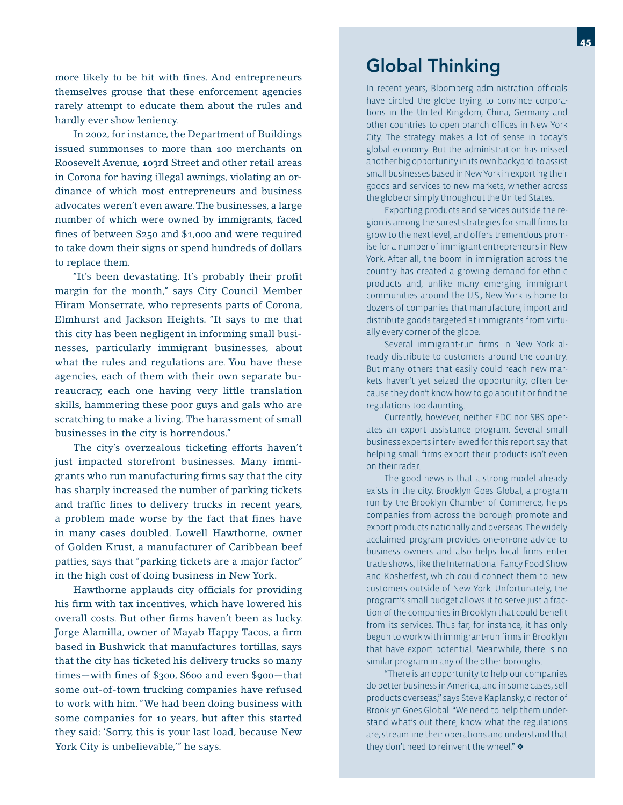more likely to be hit with fines. And entrepreneurs themselves grouse that these enforcement agencies rarely attempt to educate them about the rules and hardly ever show leniency.

 In 2002, for instance, the Department of Buildings issued summonses to more than 100 merchants on Roosevelt Avenue, 103rd Street and other retail areas in Corona for having illegal awnings, violating an ordinance of which most entrepreneurs and business advocates weren't even aware. The businesses, a large number of which were owned by immigrants, faced fines of between  $$250$  and  $$1,000$  and were required to take down their signs or spend hundreds of dollars to replace them.

"It's been devastating. It's probably their profit margin for the month," says City Council Member Hiram Monserrate, who represents parts of Corona, Elmhurst and Jackson Heights. "It says to me that this city has been negligent in informing small businesses, particularly immigrant businesses, about what the rules and regulations are. You have these agencies, each of them with their own separate bureaucracy, each one having very little translation skills, hammering these poor guys and gals who are scratching to make a living. The harassment of small businesses in the city is horrendous."

 The city's overzealous ticketing efforts haven't just impacted storefront businesses. Many immigrants who run manufacturing firms say that the city has sharply increased the number of parking tickets and traffic fines to delivery trucks in recent years, a problem made worse by the fact that fines have in many cases doubled. Lowell Hawthorne, owner of Golden Krust, a manufacturer of Caribbean beef patties, says that "parking tickets are a major factor" in the high cost of doing business in New York.

Hawthorne applauds city officials for providing his firm with tax incentives, which have lowered his overall costs. But other firms haven't been as lucky. Jorge Alamilla, owner of Mayab Happy Tacos, a firm based in Bushwick that manufactures tortillas, says that the city has ticketed his delivery trucks so many  $times$  –with fines of \$300, \$600 and even \$900 – that some out-of-town trucking companies have refused to work with him. "We had been doing business with some companies for 10 years, but after this started they said: 'Sorry, this is your last load, because New York City is unbelievable,'" he says.

### Global Thinking

In recent years, Bloomberg administration officials have circled the globe trying to convince corporations in the United Kingdom, China, Germany and other countries to open branch offices in New York City. The strategy makes a lot of sense in today's global economy. But the administration has missed another big opportunity in its own backyard: to assist small businesses based in New York in exporting their goods and services to new markets, whether across the globe or simply throughout the United States.

 Exporting products and services outside the region is among the surest strategies for small firms to grow to the next level, and offers tremendous promise for a number of immigrant entrepreneurs in New York. After all, the boom in immigration across the country has created a growing demand for ethnic products and, unlike many emerging immigrant communities around the U.S., New York is home to dozens of companies that manufacture, import and distribute goods targeted at immigrants from virtually every corner of the globe.

Several immigrant-run firms in New York already distribute to customers around the country. But many others that easily could reach new markets haven't yet seized the opportunity, often because they don't know how to go about it or find the regulations too daunting.

 Currently, however, neither EDC nor SBS operates an export assistance program. Several small business experts interviewed for this report say that helping small firms export their products isn't even on their radar.

 The good news is that a strong model already exists in the city. Brooklyn Goes Global, a program run by the Brooklyn Chamber of Commerce, helps companies from across the borough promote and export products nationally and overseas. The widely acclaimed program provides one-on-one advice to business owners and also helps local firms enter trade shows, like the International Fancy Food Show and Kosherfest, which could connect them to new customers outside of New York. Unfortunately, the program's small budget allows it to serve just a fraction of the companies in Brooklyn that could benefit from its services. Thus far, for instance, it has only begun to work with immigrant-run firms in Brooklyn that have export potential. Meanwhile, there is no similar program in any of the other boroughs.

 "There is an opportunity to help our companies do better business in America, and in some cases, sell products overseas," says Steve Kaplansky, director of Brooklyn Goes Global. "We need to help them understand what's out there, know what the regulations are, streamline their operations and understand that they don't need to reinvent the wheel."  $\clubsuit$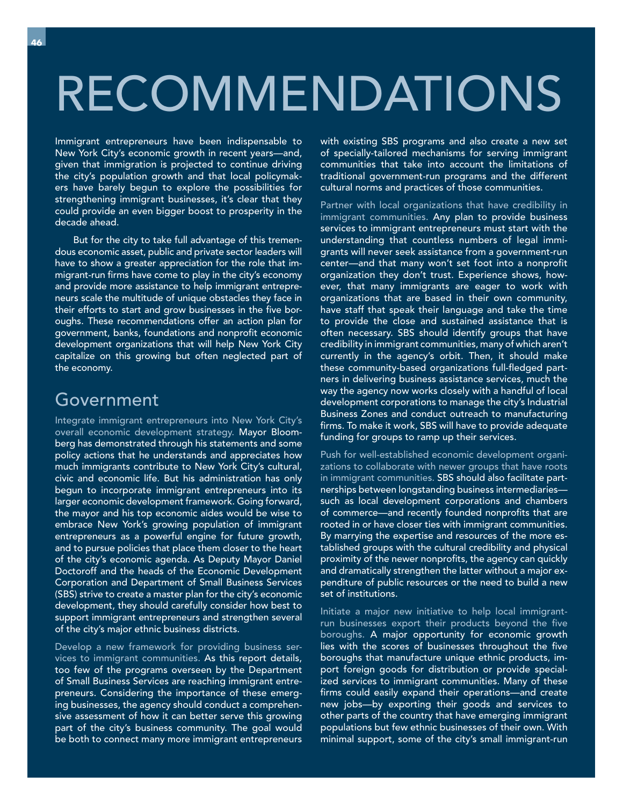# RECOMMENDATIONS

Immigrant entrepreneurs have been indispensable to New York City's economic growth in recent years—and, given that immigration is projected to continue driving the city's population growth and that local policymakers have barely begun to explore the possibilities for strengthening immigrant businesses, it's clear that they could provide an even bigger boost to prosperity in the decade ahead.

 But for the city to take full advantage of this tremendous economic asset, public and private sector leaders will have to show a greater appreciation for the role that immigrant-run firms have come to play in the city's economy and provide more assistance to help immigrant entrepreneurs scale the multitude of unique obstacles they face in their efforts to start and grow businesses in the five boroughs. These recommendations offer an action plan for government, banks, foundations and nonprofit economic development organizations that will help New York City capitalize on this growing but often neglected part of the economy.

### Government

Integrate immigrant entrepreneurs into New York City's overall economic development strategy. Mayor Bloomberg has demonstrated through his statements and some policy actions that he understands and appreciates how much immigrants contribute to New York City's cultural, civic and economic life. But his administration has only begun to incorporate immigrant entrepreneurs into its larger economic development framework. Going forward, the mayor and his top economic aides would be wise to embrace New York's growing population of immigrant entrepreneurs as a powerful engine for future growth, and to pursue policies that place them closer to the heart of the city's economic agenda. As Deputy Mayor Daniel Doctoroff and the heads of the Economic Development Corporation and Department of Small Business Services (SBS) strive to create a master plan for the city's economic development, they should carefully consider how best to support immigrant entrepreneurs and strengthen several of the city's major ethnic business districts.

Develop a new framework for providing business services to immigrant communities. As this report details, too few of the programs overseen by the Department of Small Business Services are reaching immigrant entrepreneurs. Considering the importance of these emerging businesses, the agency should conduct a comprehensive assessment of how it can better serve this growing part of the city's business community. The goal would be both to connect many more immigrant entrepreneurs

with existing SBS programs and also create a new set of specially-tailored mechanisms for serving immigrant communities that take into account the limitations of traditional government-run programs and the different cultural norms and practices of those communities.

Partner with local organizations that have credibility in immigrant communities. Any plan to provide business services to immigrant entrepreneurs must start with the understanding that countless numbers of legal immigrants will never seek assistance from a government-run center-and that many won't set foot into a nonprofit organization they don't trust. Experience shows, however, that many immigrants are eager to work with organizations that are based in their own community, have staff that speak their language and take the time to provide the close and sustained assistance that is often necessary. SBS should identify groups that have credibility in immigrant communities, many of which aren't currently in the agency's orbit. Then, it should make these community-based organizations full-fledged partners in delivering business assistance services, much the way the agency now works closely with a handful of local development corporations to manage the city's Industrial Business Zones and conduct outreach to manufacturing firms. To make it work, SBS will have to provide adequate funding for groups to ramp up their services.

Push for well-established economic development organizations to collaborate with newer groups that have roots in immigrant communities. SBS should also facilitate partnerships between longstanding business intermediaries such as local development corporations and chambers of commerce—and recently founded nonprofits that are rooted in or have closer ties with immigrant communities. By marrying the expertise and resources of the more established groups with the cultural credibility and physical proximity of the newer nonprofits, the agency can quickly and dramatically strengthen the latter without a major expenditure of public resources or the need to build a new set of institutions.

Initiate a major new initiative to help local immigrantrun businesses export their products beyond the five boroughs. A major opportunity for economic growth lies with the scores of businesses throughout the five boroughs that manufacture unique ethnic products, import foreign goods for distribution or provide specialized services to immigrant communities. Many of these firms could easily expand their operations—and create new jobs—by exporting their goods and services to other parts of the country that have emerging immigrant populations but few ethnic businesses of their own. With minimal support, some of the city's small immigrant-run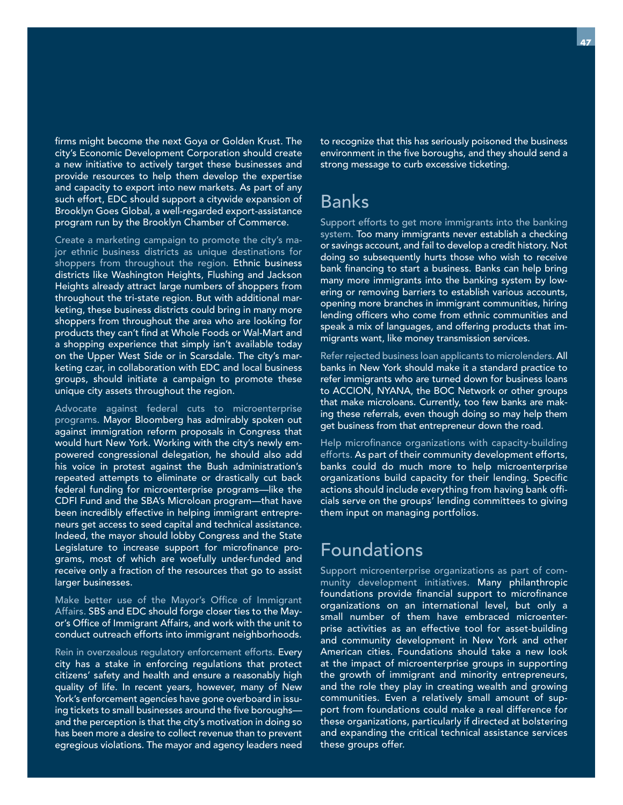firms might become the next Goya or Golden Krust. The city's Economic Development Corporation should create a new initiative to actively target these businesses and provide resources to help them develop the expertise and capacity to export into new markets. As part of any such effort, EDC should support a citywide expansion of Brooklyn Goes Global, a well-regarded export-assistance program run by the Brooklyn Chamber of Commerce.

Create a marketing campaign to promote the city's major ethnic business districts as unique destinations for shoppers from throughout the region. Ethnic business districts like Washington Heights, Flushing and Jackson Heights already attract large numbers of shoppers from throughout the tri-state region. But with additional marketing, these business districts could bring in many more shoppers from throughout the area who are looking for products they can't find at Whole Foods or Wal-Mart and a shopping experience that simply isn't available today on the Upper West Side or in Scarsdale. The city's marketing czar, in collaboration with EDC and local business groups, should initiate a campaign to promote these unique city assets throughout the region.

Advocate against federal cuts to microenterprise programs. Mayor Bloomberg has admirably spoken out against immigration reform proposals in Congress that would hurt New York. Working with the city's newly empowered congressional delegation, he should also add his voice in protest against the Bush administration's repeated attempts to eliminate or drastically cut back federal funding for microenterprise programs—like the CDFI Fund and the SBA's Microloan program—that have been incredibly effective in helping immigrant entrepreneurs get access to seed capital and technical assistance. Indeed, the mayor should lobby Congress and the State Legislature to increase support for microfinance programs, most of which are woefully under-funded and receive only a fraction of the resources that go to assist larger businesses.

Make better use of the Mayor's Office of Immigrant Affairs. SBS and EDC should forge closer ties to the Mayor's Office of Immigrant Affairs, and work with the unit to conduct outreach efforts into immigrant neighborhoods.

Rein in overzealous regulatory enforcement efforts. Every city has a stake in enforcing regulations that protect citizens' safety and health and ensure a reasonably high quality of life. In recent years, however, many of New York's enforcement agencies have gone overboard in issuing tickets to small businesses around the five boroughs and the perception is that the city's motivation in doing so has been more a desire to collect revenue than to prevent egregious violations. The mayor and agency leaders need

to recognize that this has seriously poisoned the business environment in the five boroughs, and they should send a strong message to curb excessive ticketing.

### Banks

Support efforts to get more immigrants into the banking system. Too many immigrants never establish a checking or savings account, and fail to develop a credit history. Not doing so subsequently hurts those who wish to receive bank financing to start a business. Banks can help bring many more immigrants into the banking system by lowering or removing barriers to establish various accounts, opening more branches in immigrant communities, hiring lending officers who come from ethnic communities and speak a mix of languages, and offering products that immigrants want, like money transmission services.

Refer rejected business loan applicants to microlenders. All banks in New York should make it a standard practice to refer immigrants who are turned down for business loans to ACCION, NYANA, the BOC Network or other groups that make microloans. Currently, too few banks are making these referrals, even though doing so may help them get business from that entrepreneur down the road.

Help microfinance organizations with capacity-building efforts. As part of their community development efforts, banks could do much more to help microenterprise organizations build capacity for their lending. Specific actions should include everything from having bank officials serve on the groups' lending committees to giving them input on managing portfolios.

### Foundations

Support microenterprise organizations as part of community development initiatives. Many philanthropic foundations provide financial support to microfinance organizations on an international level, but only a small number of them have embraced microenterprise activities as an effective tool for asset-building and community development in New York and other American cities. Foundations should take a new look at the impact of microenterprise groups in supporting the growth of immigrant and minority entrepreneurs, and the role they play in creating wealth and growing communities. Even a relatively small amount of support from foundations could make a real difference for these organizations, particularly if directed at bolstering and expanding the critical technical assistance services these groups offer.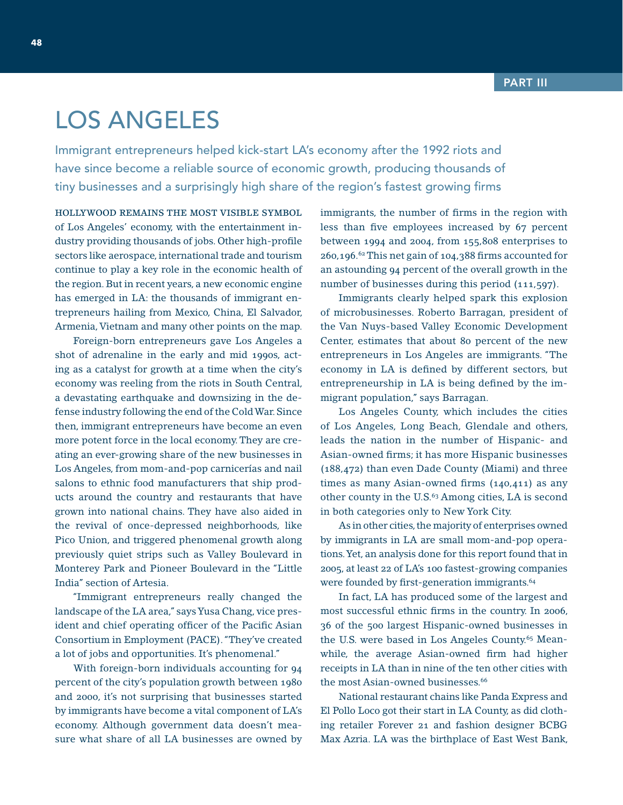## LOS ANGELES

Immigrant entrepreneurs helped kick-start LA's economy after the 1992 riots and have since become a reliable source of economic growth, producing thousands of tiny businesses and a surprisingly high share of the region's fastest growing firms

HOLLYWOOD REMAINS THE MOST VISIBLE SYMBOL of Los Angeles' economy, with the entertainment industry providing thousands of jobs. Other high-profile sectors like aerospace, international trade and tourism continue to play a key role in the economic health of the region. But in recent years, a new economic engine has emerged in LA: the thousands of immigrant entrepreneurs hailing from Mexico, China, El Salvador, Armenia, Vietnam and many other points on the map.

 Foreign-born entrepreneurs gave Los Angeles a shot of adrenaline in the early and mid 1990s, acting as a catalyst for growth at a time when the city's economy was reeling from the riots in South Central, a devastating earthquake and downsizing in the defense industry following the end of the Cold War. Since then, immigrant entrepreneurs have become an even more potent force in the local economy. They are creating an ever-growing share of the new businesses in Los Angeles, from mom-and-pop carnicerías and nail salons to ethnic food manufacturers that ship products around the country and restaurants that have grown into national chains. They have also aided in the revival of once-depressed neighborhoods, like Pico Union, and triggered phenomenal growth along previously quiet strips such as Valley Boulevard in Monterey Park and Pioneer Boulevard in the "Little India" section of Artesia.

 "Immigrant entrepreneurs really changed the landscape of the LA area," says Yusa Chang, vice president and chief operating officer of the Pacific Asian Consortium in Employment (PACE). "They've created a lot of jobs and opportunities. It's phenomenal."

 With foreign-born individuals accounting for 94 percent of the city's population growth between 1980 and 2000, it's not surprising that businesses started by immigrants have become a vital component of LA's economy. Although government data doesn't measure what share of all LA businesses are owned by immigrants, the number of firms in the region with less than five employees increased by 67 percent between 1994 and 2004, from 155,808 enterprises to  $260,196.^{62}$  This net gain of 104,388 firms accounted for an astounding 94 percent of the overall growth in the number of businesses during this period (111,597).

 Immigrants clearly helped spark this explosion of microbusinesses. Roberto Barragan, president of the Van Nuys-based Valley Economic Development Center, estimates that about 80 percent of the new entrepreneurs in Los Angeles are immigrants. "The economy in LA is defined by different sectors, but entrepreneurship in LA is being defined by the immigrant population," says Barragan.

 Los Angeles County, which includes the cities of Los Angeles, Long Beach, Glendale and others, leads the nation in the number of Hispanic- and Asian-owned firms; it has more Hispanic businesses (188,472) than even Dade County (Miami) and three times as many Asian-owned firms  $(140, 411)$  as any other county in the U.S.<sup>63</sup> Among cities, LA is second in both categories only to New York City.

 As in other cities, the majority of enterprises owned by immigrants in LA are small mom-and-pop operations. Yet, an analysis done for this report found that in 2005, at least 22 of LA's 100 fastest-growing companies were founded by first-generation immigrants.<sup>64</sup>

 In fact, LA has produced some of the largest and most successful ethnic firms in the country. In 2006, 36 of the 500 largest Hispanic-owned businesses in the U.S. were based in Los Angeles County.<sup>65</sup> Meanwhile, the average Asian-owned firm had higher receipts in LA than in nine of the ten other cities with the most Asian-owned businesses.<sup>66</sup>

 National restaurant chains like Panda Express and El Pollo Loco got their start in LA County, as did clothing retailer Forever 21 and fashion designer BCBG Max Azria. LA was the birthplace of East West Bank,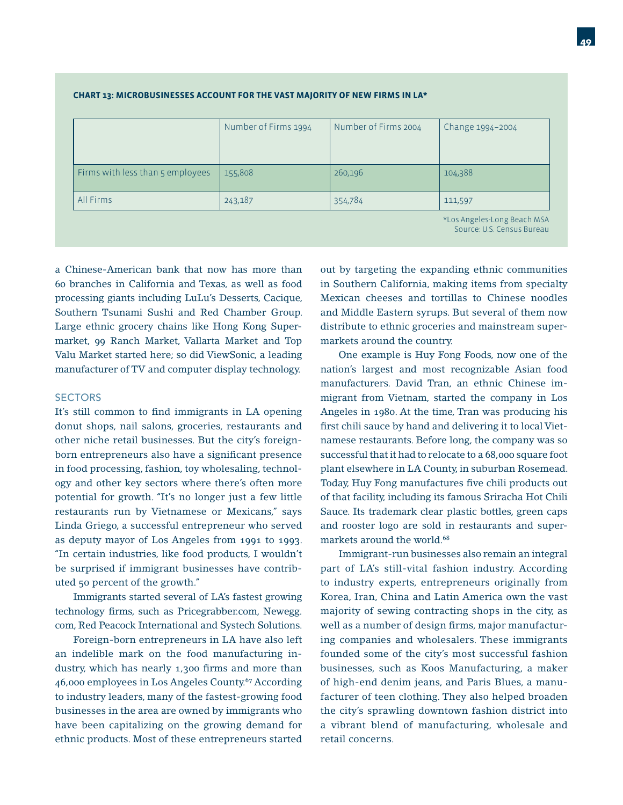|                                  | Number of Firms 1994 | Number of Firms 2004 | Change 1994-2004                   |
|----------------------------------|----------------------|----------------------|------------------------------------|
| Firms with less than 5 employees | 155,808              | 260,196              | 104,388                            |
| All Firms                        | 243,187              | 354,784              | 111,597                            |
|                                  |                      |                      | the annual set and Department of A |

#### **CHART 13: MICROBUSINESSES ACCOUNT FOR THE VAST MAJORITY OF NEW FIRMS IN LA\***

Los Angeles-Long Beach MSA Source: U.S. Census Bureau

a Chinese-American bank that now has more than 60 branches in California and Texas, as well as food processing giants including LuLu's Desserts, Cacique, Southern Tsunami Sushi and Red Chamber Group. Large ethnic grocery chains like Hong Kong Supermarket, 99 Ranch Market, Vallarta Market and Top Valu Market started here; so did ViewSonic, a leading manufacturer of TV and computer display technology.

#### **SECTORS**

It's still common to find immigrants in LA opening donut shops, nail salons, groceries, restaurants and other niche retail businesses. But the city's foreignborn entrepreneurs also have a significant presence in food processing, fashion, toy wholesaling, technology and other key sectors where there's often more potential for growth. "It's no longer just a few little restaurants run by Vietnamese or Mexicans," says Linda Griego, a successful entrepreneur who served as deputy mayor of Los Angeles from 1991 to 1993. "In certain industries, like food products, I wouldn't be surprised if immigrant businesses have contributed 50 percent of the growth."

 Immigrants started several of LA's fastest growing technology firms, such as Pricegrabber.com, Newegg. com, Red Peacock International and Systech Solutions.

 Foreign-born entrepreneurs in LA have also left an indelible mark on the food manufacturing industry, which has nearly 1,300 firms and more than 46,000 employees in Los Angeles County.67 According to industry leaders, many of the fastest-growing food businesses in the area are owned by immigrants who have been capitalizing on the growing demand for ethnic products. Most of these entrepreneurs started

out by targeting the expanding ethnic communities in Southern California, making items from specialty Mexican cheeses and tortillas to Chinese noodles and Middle Eastern syrups. But several of them now distribute to ethnic groceries and mainstream supermarkets around the country.

 One example is Huy Fong Foods, now one of the nation's largest and most recognizable Asian food manufacturers. David Tran, an ethnic Chinese immigrant from Vietnam, started the company in Los Angeles in 1980. At the time, Tran was producing his first chili sauce by hand and delivering it to local Vietnamese restaurants. Before long, the company was so successful that it had to relocate to a 68,000 square foot plant elsewhere in LA County, in suburban Rosemead. Today, Huy Fong manufactures five chili products out of that facility, including its famous Sriracha Hot Chili Sauce. Its trademark clear plastic bottles, green caps and rooster logo are sold in restaurants and supermarkets around the world.<sup>68</sup>

 Immigrant-run businesses also remain an integral part of LA's still-vital fashion industry. According to industry experts, entrepreneurs originally from Korea, Iran, China and Latin America own the vast majority of sewing contracting shops in the city, as well as a number of design firms, major manufacturing companies and wholesalers. These immigrants founded some of the city's most successful fashion businesses, such as Koos Manufacturing, a maker of high-end denim jeans, and Paris Blues, a manufacturer of teen clothing. They also helped broaden the city's sprawling downtown fashion district into a vibrant blend of manufacturing, wholesale and retail concerns.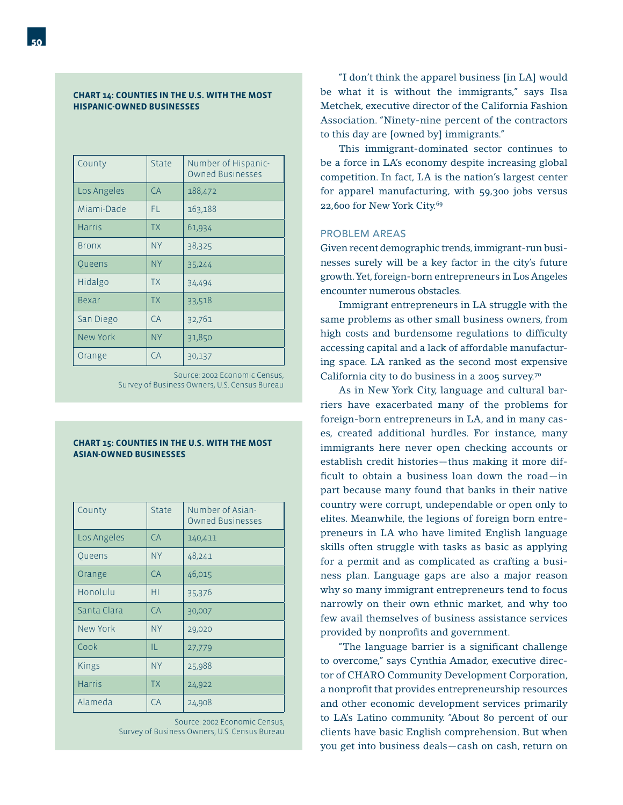#### **CHART 14: COUNTIES IN THE U.S. WITH THE MOST HISPANIC-OWNED BUSINESSES**

| County        | State     | Number of Hispanic-<br><b>Owned Businesses</b> |
|---------------|-----------|------------------------------------------------|
| Los Angeles   | CA        | 188,472                                        |
| Miami-Dade    | FL        | 163,188                                        |
| <b>Harris</b> | <b>TX</b> | 61,934                                         |
| <b>Bronx</b>  | <b>NY</b> | 38,325                                         |
| Queens        | <b>NY</b> | 35,244                                         |
| Hidalgo       | <b>TX</b> | 34,494                                         |
| Bexar         | <b>TX</b> | 33,518                                         |
| San Diego     | CA        | 32,761                                         |
| New York      | <b>NY</b> | 31,850                                         |
| Orange        | CA        | 30,137                                         |

Source: 2002 Economic Census, Survey of Business Owners, U.S. Census Bureau

#### **CHART 15: COUNTIES IN THE U.S. WITH THE MOST ASIAN-OWNED BUSINESSES**

| County        | State     | Number of Asian-<br><b>Owned Businesses</b> |  |
|---------------|-----------|---------------------------------------------|--|
| Los Angeles   | CA        | 140,411                                     |  |
| Queens        | <b>NY</b> | 48,241                                      |  |
| Orange        | CA        | 46,015                                      |  |
| Honolulu      | HI        | 35,376                                      |  |
| Santa Clara   | CA        | 30,007                                      |  |
| New York      | <b>NY</b> | 29,020                                      |  |
| Cook          | IL        | 27,779                                      |  |
| <b>Kings</b>  | <b>NY</b> | 25,988                                      |  |
| <b>Harris</b> | <b>TX</b> | 24,922                                      |  |
| Alameda       | CA        | 24,908                                      |  |

Source: 2002 Economic Census, Survey of Business Owners, U.S. Census Bureau

 "I don't think the apparel business [in LA] would be what it is without the immigrants," says Ilsa Metchek, executive director of the California Fashion Association. "Ninety-nine percent of the contractors to this day are [owned by] immigrants."

 This immigrant-dominated sector continues to be a force in LA's economy despite increasing global competition. In fact, LA is the nation's largest center for apparel manufacturing, with 59,300 jobs versus 22,600 for New York City.69

#### PROBLEM AREAS

Given recent demographic trends, immigrant-run businesses surely will be a key factor in the city's future growth. Yet, foreign-born entrepreneurs in Los Angeles encounter numerous obstacles.

 Immigrant entrepreneurs in LA struggle with the same problems as other small business owners, from high costs and burdensome regulations to difficulty accessing capital and a lack of affordable manufacturing space. LA ranked as the second most expensive California city to do business in a 2005 survey.70

 As in New York City, language and cultural barriers have exacerbated many of the problems for foreign-born entrepreneurs in LA, and in many cases, created additional hurdles. For instance, many immigrants here never open checking accounts or establish credit histories—thus making it more difficult to obtain a business loan down the road-in part because many found that banks in their native country were corrupt, undependable or open only to elites. Meanwhile, the legions of foreign born entrepreneurs in LA who have limited English language skills often struggle with tasks as basic as applying for a permit and as complicated as crafting a business plan. Language gaps are also a major reason why so many immigrant entrepreneurs tend to focus narrowly on their own ethnic market, and why too few avail themselves of business assistance services provided by nonprofits and government.

"The language barrier is a significant challenge to overcome," says Cynthia Amador, executive director of CHARO Community Development Corporation, a nonprofit that provides entrepreneurship resources and other economic development services primarily to LA's Latino community. "About 80 percent of our clients have basic English comprehension. But when you get into business deals—cash on cash, return on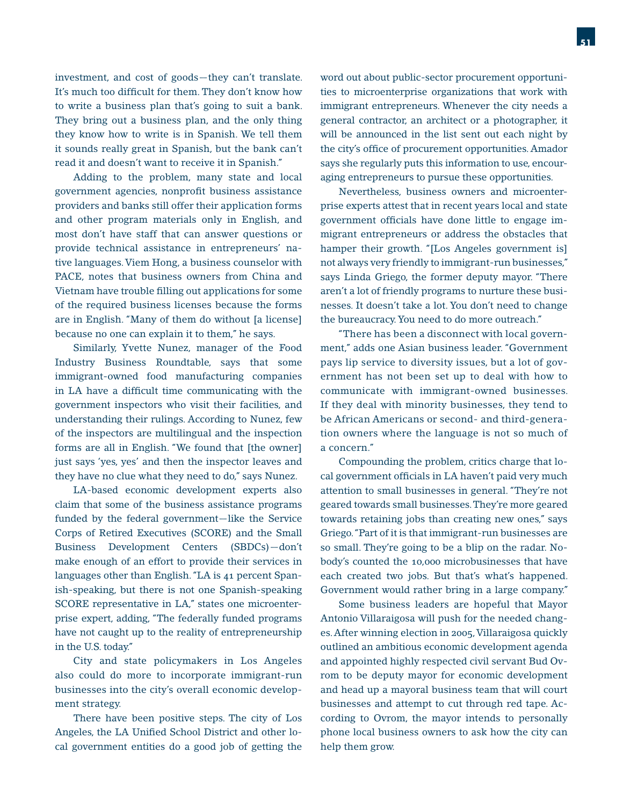investment, and cost of goods—they can't translate. It's much too difficult for them. They don't know how to write a business plan that's going to suit a bank. They bring out a business plan, and the only thing they know how to write is in Spanish. We tell them it sounds really great in Spanish, but the bank can't read it and doesn't want to receive it in Spanish."

 Adding to the problem, many state and local government agencies, nonprofit business assistance providers and banks still offer their application forms and other program materials only in English, and most don't have staff that can answer questions or provide technical assistance in entrepreneurs' native languages. Viem Hong, a business counselor with PACE, notes that business owners from China and Vietnam have trouble filling out applications for some of the required business licenses because the forms are in English. "Many of them do without [a license] because no one can explain it to them," he says.

 Similarly, Yvette Nunez, manager of the Food Industry Business Roundtable, says that some immigrant-owned food manufacturing companies in LA have a difficult time communicating with the government inspectors who visit their facilities, and understanding their rulings. According to Nunez, few of the inspectors are multilingual and the inspection forms are all in English. "We found that [the owner] just says 'yes, yes' and then the inspector leaves and they have no clue what they need to do," says Nunez.

 LA-based economic development experts also claim that some of the business assistance programs funded by the federal government—like the Service Corps of Retired Executives (SCORE) and the Small Business Development Centers (SBDCs)—don't make enough of an effort to provide their services in languages other than English. "LA is 41 percent Spanish-speaking, but there is not one Spanish-speaking SCORE representative in LA," states one microenterprise expert, adding, "The federally funded programs have not caught up to the reality of entrepreneurship in the U.S. today."

 City and state policymakers in Los Angeles also could do more to incorporate immigrant-run businesses into the city's overall economic development strategy.

 There have been positive steps. The city of Los Angeles, the LA Unified School District and other local government entities do a good job of getting the word out about public-sector procurement opportunities to microenterprise organizations that work with immigrant entrepreneurs. Whenever the city needs a general contractor, an architect or a photographer, it will be announced in the list sent out each night by the city's office of procurement opportunities. Amador says she regularly puts this information to use, encouraging entrepreneurs to pursue these opportunities.

 Nevertheless, business owners and microenterprise experts attest that in recent years local and state government officials have done little to engage immigrant entrepreneurs or address the obstacles that hamper their growth. "[Los Angeles government is] not always very friendly to immigrant-run businesses," says Linda Griego, the former deputy mayor. "There aren't a lot of friendly programs to nurture these businesses. It doesn't take a lot. You don't need to change the bureaucracy. You need to do more outreach."

 "There has been a disconnect with local government," adds one Asian business leader. "Government pays lip service to diversity issues, but a lot of government has not been set up to deal with how to communicate with immigrant-owned businesses. If they deal with minority businesses, they tend to be African Americans or second- and third-generation owners where the language is not so much of a concern."

 Compounding the problem, critics charge that local government officials in LA haven't paid very much attention to small businesses in general. "They're not geared towards small businesses. They're more geared towards retaining jobs than creating new ones," says Griego. "Part of it is that immigrant-run businesses are so small. They're going to be a blip on the radar. Nobody's counted the 10,000 microbusinesses that have each created two jobs. But that's what's happened. Government would rather bring in a large company."

 Some business leaders are hopeful that Mayor Antonio Villaraigosa will push for the needed changes. After winning election in 2005, Villaraigosa quickly outlined an ambitious economic development agenda and appointed highly respected civil servant Bud Ovrom to be deputy mayor for economic development and head up a mayoral business team that will court businesses and attempt to cut through red tape. According to Ovrom, the mayor intends to personally phone local business owners to ask how the city can help them grow.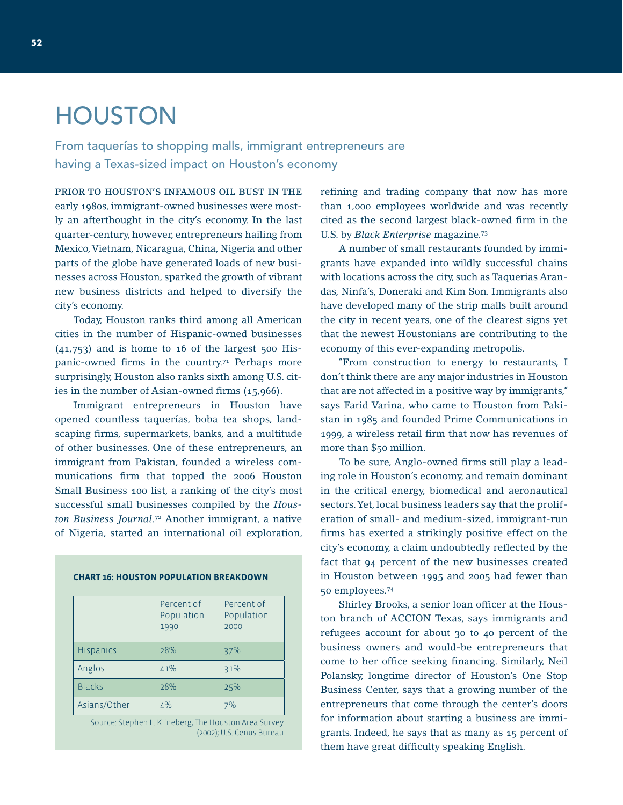# **HOUSTON**

From taquerías to shopping malls, immigrant entrepreneurs are having a Texas-sized impact on Houston's economy

PRIOR TO HOUSTON'S INFAMOUS OIL BUST IN THE early 1980s, immigrant-owned businesses were mostly an afterthought in the city's economy. In the last quarter-century, however, entrepreneurs hailing from Mexico, Vietnam, Nicaragua, China, Nigeria and other parts of the globe have generated loads of new businesses across Houston, sparked the growth of vibrant new business districts and helped to diversify the city's economy.

 Today, Houston ranks third among all American cities in the number of Hispanic-owned businesses  $(41,753)$  and is home to 16 of the largest 500 Hispanic-owned firms in the country.<sup>71</sup> Perhaps more surprisingly, Houston also ranks sixth among U.S. cities in the number of Asian-owned firms  $(15,966)$ .

 Immigrant entrepreneurs in Houston have opened countless taquerías, boba tea shops, landscaping firms, supermarkets, banks, and a multitude of other businesses. One of these entrepreneurs, an immigrant from Pakistan, founded a wireless communications firm that topped the 2006 Houston Small Business 100 list, a ranking of the city's most successful small businesses compiled by the *Houston Business Journal*. 72 Another immigrant, a native of Nigeria, started an international oil exploration,

|                  | Percent of<br>Population<br>1990 | Percent of<br>Population<br>2000 |
|------------------|----------------------------------|----------------------------------|
| <b>Hispanics</b> | 28%                              | 37%                              |
| Anglos           | 41%                              | 31%                              |
| <b>Blacks</b>    | 28%                              | 25%                              |
| Asians/Other     | 4%                               | 7%                               |

**CHART 16: HOUSTON POPULATION BREAKDOWN**

Source: Stephen L. Klineberg, The Houston Area Survey (2002); U.S. Cenus Bureau refining and trading company that now has more than 1,000 employees worldwide and was recently cited as the second largest black-owned firm in the U.S. by *Black Enterprise* magazine.73

 A number of small restaurants founded by immigrants have expanded into wildly successful chains with locations across the city, such as Taquerias Arandas, Ninfa's, Doneraki and Kim Son. Immigrants also have developed many of the strip malls built around the city in recent years, one of the clearest signs yet that the newest Houstonians are contributing to the economy of this ever-expanding metropolis.

 "From construction to energy to restaurants, I don't think there are any major industries in Houston that are not affected in a positive way by immigrants," says Farid Varina, who came to Houston from Pakistan in 1985 and founded Prime Communications in 1999, a wireless retail firm that now has revenues of more than \$50 million.

To be sure, Anglo-owned firms still play a leading role in Houston's economy, and remain dominant in the critical energy, biomedical and aeronautical sectors. Yet, local business leaders say that the proliferation of small- and medium-sized, immigrant-run firms has exerted a strikingly positive effect on the city's economy, a claim undoubtedly reflected by the fact that 94 percent of the new businesses created in Houston between 1995 and 2005 had fewer than 50 employees.74

Shirley Brooks, a senior loan officer at the Houston branch of ACCION Texas, says immigrants and refugees account for about 30 to 40 percent of the business owners and would-be entrepreneurs that come to her office seeking financing. Similarly, Neil Polansky, longtime director of Houston's One Stop Business Center, says that a growing number of the entrepreneurs that come through the center's doors for information about starting a business are immigrants. Indeed, he says that as many as 15 percent of them have great difficulty speaking English.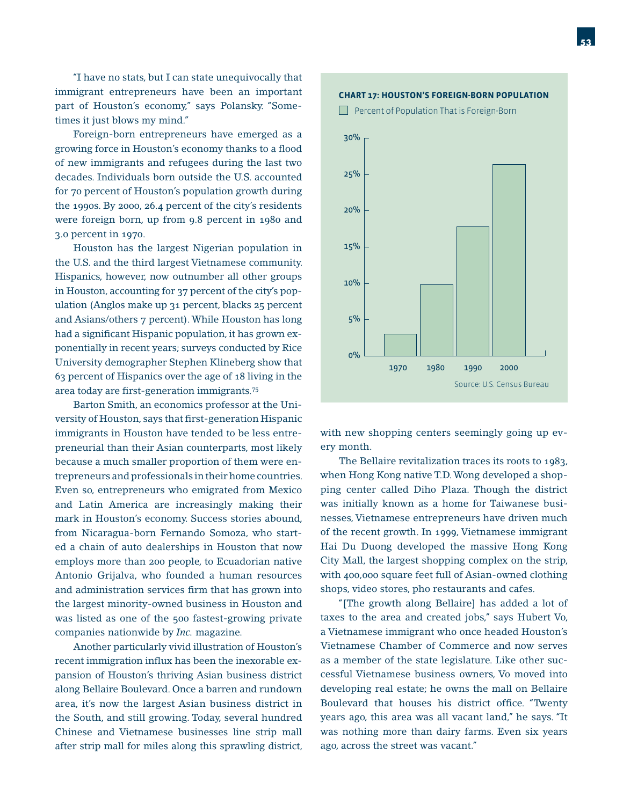"I have no stats, but I can state unequivocally that immigrant entrepreneurs have been an important part of Houston's economy," says Polansky. "Sometimes it just blows my mind."

 Foreign-born entrepreneurs have emerged as a growing force in Houston's economy thanks to a flood of new immigrants and refugees during the last two decades. Individuals born outside the U.S. accounted for 70 percent of Houston's population growth during the 1990s. By 2000, 26.4 percent of the city's residents were foreign born, up from 9.8 percent in 1980 and 3.0 percent in 1970.

 Houston has the largest Nigerian population in the U.S. and the third largest Vietnamese community. Hispanics, however, now outnumber all other groups in Houston, accounting for 37 percent of the city's population (Anglos make up 31 percent, blacks 25 percent and Asians/others 7 percent). While Houston has long had a significant Hispanic population, it has grown exponentially in recent years; surveys conducted by Rice University demographer Stephen Klineberg show that 63 percent of Hispanics over the age of 18 living in the area today are first-generation immigrants.<sup>75</sup>

 Barton Smith, an economics professor at the University of Houston, says that first-generation Hispanic immigrants in Houston have tended to be less entrepreneurial than their Asian counterparts, most likely because a much smaller proportion of them were entrepreneurs and professionals in their home countries. Even so, entrepreneurs who emigrated from Mexico and Latin America are increasingly making their mark in Houston's economy. Success stories abound, from Nicaragua-born Fernando Somoza, who started a chain of auto dealerships in Houston that now employs more than 200 people, to Ecuadorian native Antonio Grijalva, who founded a human resources and administration services firm that has grown into the largest minority-owned business in Houston and was listed as one of the 500 fastest-growing private companies nationwide by *Inc.* magazine.

 Another particularly vivid illustration of Houston's recent immigration influx has been the inexorable expansion of Houston's thriving Asian business district along Bellaire Boulevard. Once a barren and rundown area, it's now the largest Asian business district in the South, and still growing. Today, several hundred Chinese and Vietnamese businesses line strip mall after strip mall for miles along this sprawling district,



with new shopping centers seemingly going up every month.

 The Bellaire revitalization traces its roots to 1983, when Hong Kong native T.D. Wong developed a shopping center called Diho Plaza. Though the district was initially known as a home for Taiwanese businesses, Vietnamese entrepreneurs have driven much of the recent growth. In 1999, Vietnamese immigrant Hai Du Duong developed the massive Hong Kong City Mall, the largest shopping complex on the strip, with 400,000 square feet full of Asian-owned clothing shops, video stores, pho restaurants and cafes.

 "[The growth along Bellaire] has added a lot of taxes to the area and created jobs," says Hubert Vo, a Vietnamese immigrant who once headed Houston's Vietnamese Chamber of Commerce and now serves as a member of the state legislature. Like other successful Vietnamese business owners, Vo moved into developing real estate; he owns the mall on Bellaire Boulevard that houses his district office. "Twenty years ago, this area was all vacant land," he says. "It was nothing more than dairy farms. Even six years ago, across the street was vacant."

#### **CHART 17: HOUSTON'S FOREIGN-BORN POPULATION**

**Percent of Population That is Foreign-Born** 

20%

25%

30%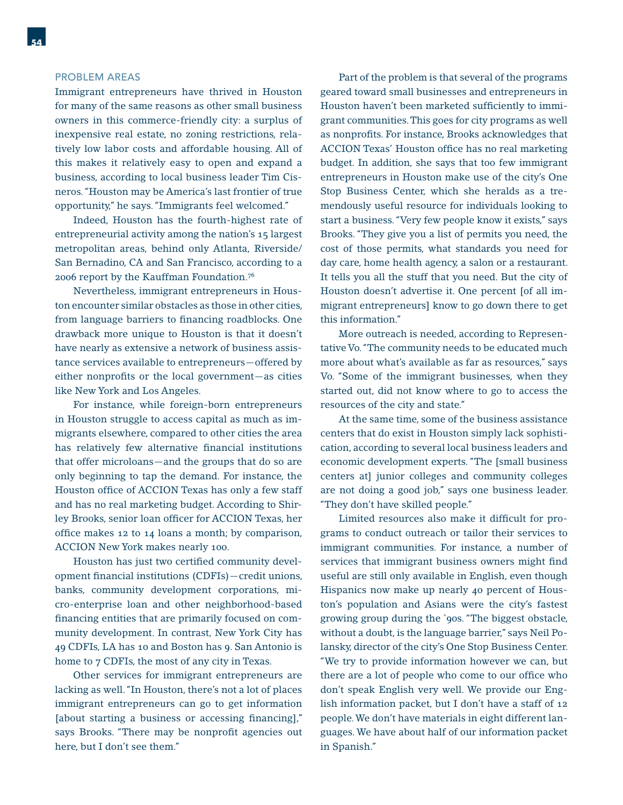#### PROBLEM AREAS

Immigrant entrepreneurs have thrived in Houston for many of the same reasons as other small business owners in this commerce-friendly city: a surplus of inexpensive real estate, no zoning restrictions, relatively low labor costs and affordable housing. All of this makes it relatively easy to open and expand a business, according to local business leader Tim Cisneros. "Houston may be America's last frontier of true opportunity," he says. "Immigrants feel welcomed."

 Indeed, Houston has the fourth-highest rate of entrepreneurial activity among the nation's 15 largest metropolitan areas, behind only Atlanta, Riverside/ San Bernadino, CA and San Francisco, according to a 2006 report by the Kauffman Foundation.76

 Nevertheless, immigrant entrepreneurs in Houston encounter similar obstacles as those in other cities, from language barriers to financing roadblocks. One drawback more unique to Houston is that it doesn't have nearly as extensive a network of business assistance services available to entrepreneurs—offered by either nonprofits or the local government—as cities like New York and Los Angeles.

 For instance, while foreign-born entrepreneurs in Houston struggle to access capital as much as immigrants elsewhere, compared to other cities the area has relatively few alternative financial institutions that offer microloans—and the groups that do so are only beginning to tap the demand. For instance, the Houston office of ACCION Texas has only a few staff and has no real marketing budget. According to Shirley Brooks, senior loan officer for ACCION Texas, her office makes 12 to 14 loans a month; by comparison, ACCION New York makes nearly 100.

Houston has just two certified community development financial institutions (CDFIs)-credit unions, banks, community development corporations, micro-enterprise loan and other neighborhood-based financing entities that are primarily focused on community development. In contrast, New York City has 49 CDFIs, LA has 10 and Boston has 9. San Antonio is home to 7 CDFIs, the most of any city in Texas.

 Other services for immigrant entrepreneurs are lacking as well. "In Houston, there's not a lot of places immigrant entrepreneurs can go to get information [about starting a business or accessing financing]," says Brooks. "There may be nonprofit agencies out here, but I don't see them."

 Part of the problem is that several of the programs geared toward small businesses and entrepreneurs in Houston haven't been marketed sufficiently to immigrant communities. This goes for city programs as well as nonprofits. For instance, Brooks acknowledges that ACCION Texas' Houston office has no real marketing budget. In addition, she says that too few immigrant entrepreneurs in Houston make use of the city's One Stop Business Center, which she heralds as a tremendously useful resource for individuals looking to start a business. "Very few people know it exists," says Brooks. "They give you a list of permits you need, the cost of those permits, what standards you need for day care, home health agency, a salon or a restaurant. It tells you all the stuff that you need. But the city of Houston doesn't advertise it. One percent [of all immigrant entrepreneurs] know to go down there to get this information."

 More outreach is needed, according to Representative Vo. "The community needs to be educated much more about what's available as far as resources," says Vo. "Some of the immigrant businesses, when they started out, did not know where to go to access the resources of the city and state."

 At the same time, some of the business assistance centers that do exist in Houston simply lack sophistication, according to several local business leaders and economic development experts. "The [small business centers at] junior colleges and community colleges are not doing a good job," says one business leader. "They don't have skilled people."

Limited resources also make it difficult for programs to conduct outreach or tailor their services to immigrant communities. For instance, a number of services that immigrant business owners might find useful are still only available in English, even though Hispanics now make up nearly 40 percent of Houston's population and Asians were the city's fastest growing group during the `90s. "The biggest obstacle, without a doubt, is the language barrier," says Neil Polansky, director of the city's One Stop Business Center. "We try to provide information however we can, but there are a lot of people who come to our office who don't speak English very well. We provide our English information packet, but I don't have a staff of 12 people. We don't have materials in eight different languages. We have about half of our information packet in Spanish."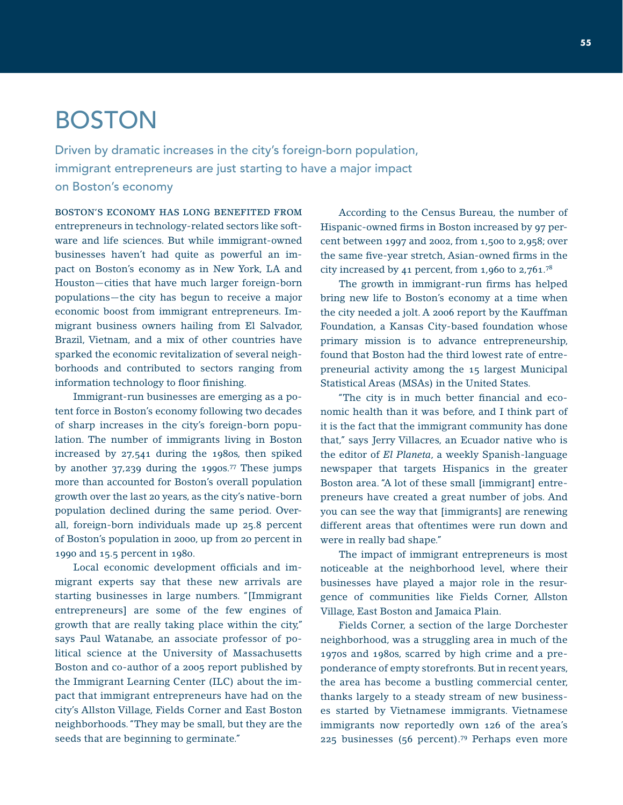# BOSTON

Driven by dramatic increases in the city's foreign-born population, immigrant entrepreneurs are just starting to have a major impact on Boston's economy

BOSTON'S ECONOMY HAS LONG BENEFITED FROM entrepreneurs in technology-related sectors like software and life sciences. But while immigrant-owned businesses haven't had quite as powerful an impact on Boston's economy as in New York, LA and Houston—cities that have much larger foreign-born populations—the city has begun to receive a major economic boost from immigrant entrepreneurs. Immigrant business owners hailing from El Salvador, Brazil, Vietnam, and a mix of other countries have sparked the economic revitalization of several neighborhoods and contributed to sectors ranging from information technology to floor finishing.

 Immigrant-run businesses are emerging as a potent force in Boston's economy following two decades of sharp increases in the city's foreign-born population. The number of immigrants living in Boston increased by 27,541 during the 1980s, then spiked by another 37,239 during the 1990s.77 These jumps more than accounted for Boston's overall population growth over the last 20 years, as the city's native-born population declined during the same period. Overall, foreign-born individuals made up 25.8 percent of Boston's population in 2000, up from 20 percent in 1990 and 15.5 percent in 1980.

Local economic development officials and immigrant experts say that these new arrivals are starting businesses in large numbers. "[Immigrant entrepreneurs] are some of the few engines of growth that are really taking place within the city," says Paul Watanabe, an associate professor of political science at the University of Massachusetts Boston and co-author of a 2005 report published by the Immigrant Learning Center (ILC) about the impact that immigrant entrepreneurs have had on the city's Allston Village, Fields Corner and East Boston neighborhoods. "They may be small, but they are the seeds that are beginning to germinate."

 According to the Census Bureau, the number of Hispanic-owned firms in Boston increased by 97 percent between 1997 and 2002, from 1,500 to 2,958; over the same five-year stretch, Asian-owned firms in the city increased by 41 percent, from 1,960 to 2,761.78

The growth in immigrant-run firms has helped bring new life to Boston's economy at a time when the city needed a jolt. A 2006 report by the Kauffman Foundation, a Kansas City-based foundation whose primary mission is to advance entrepreneurship, found that Boston had the third lowest rate of entrepreneurial activity among the 15 largest Municipal Statistical Areas (MSAs) in the United States.

"The city is in much better financial and economic health than it was before, and I think part of it is the fact that the immigrant community has done that," says Jerry Villacres, an Ecuador native who is the editor of *El Planeta*, a weekly Spanish-language newspaper that targets Hispanics in the greater Boston area. "A lot of these small [immigrant] entrepreneurs have created a great number of jobs. And you can see the way that [immigrants] are renewing different areas that oftentimes were run down and were in really bad shape."

 The impact of immigrant entrepreneurs is most noticeable at the neighborhood level, where their businesses have played a major role in the resurgence of communities like Fields Corner, Allston Village, East Boston and Jamaica Plain.

 Fields Corner, a section of the large Dorchester neighborhood, was a struggling area in much of the 1970s and 1980s, scarred by high crime and a preponderance of empty storefronts. But in recent years, the area has become a bustling commercial center, thanks largely to a steady stream of new businesses started by Vietnamese immigrants. Vietnamese immigrants now reportedly own 126 of the area's 225 businesses (56 percent).79 Perhaps even more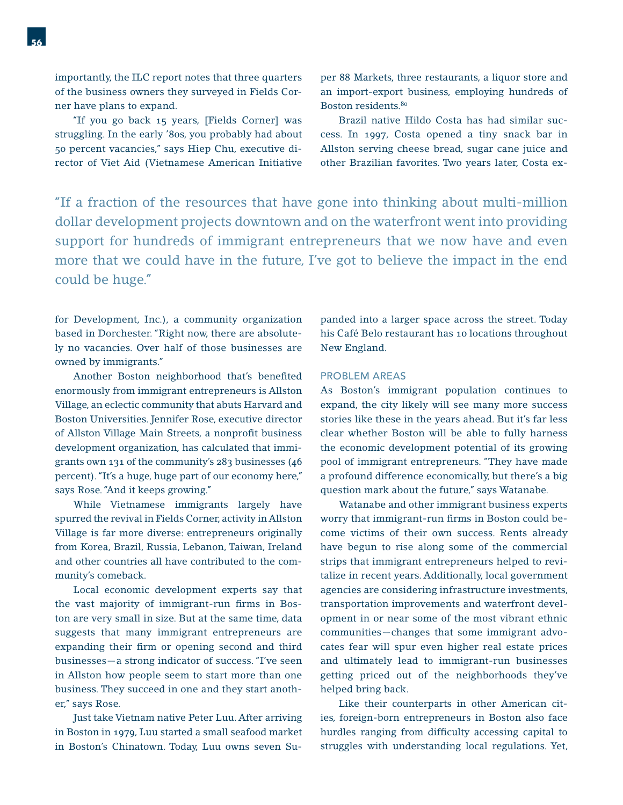importantly, the ILC report notes that three quarters of the business owners they surveyed in Fields Corner have plans to expand.

 "If you go back 15 years, [Fields Corner] was struggling. In the early '80s, you probably had about 50 percent vacancies," says Hiep Chu, executive director of Viet Aid (Vietnamese American Initiative per 88 Markets, three restaurants, a liquor store and an import-export business, employing hundreds of Boston residents.80

 Brazil native Hildo Costa has had similar success. In 1997, Costa opened a tiny snack bar in Allston serving cheese bread, sugar cane juice and other Brazilian favorites. Two years later, Costa ex-

"If a fraction of the resources that have gone into thinking about multi-million dollar development projects downtown and on the waterfront went into providing support for hundreds of immigrant entrepreneurs that we now have and even more that we could have in the future, I've got to believe the impact in the end could be huge."

for Development, Inc.), a community organization based in Dorchester. "Right now, there are absolutely no vacancies. Over half of those businesses are owned by immigrants."

Another Boston neighborhood that's benefited enormously from immigrant entrepreneurs is Allston Village, an eclectic community that abuts Harvard and Boston Universities. Jennifer Rose, executive director of Allston Village Main Streets, a nonprofit business development organization, has calculated that immigrants own 131 of the community's 283 businesses (46 percent). "It's a huge, huge part of our economy here," says Rose. "And it keeps growing."

 While Vietnamese immigrants largely have spurred the revival in Fields Corner, activity in Allston Village is far more diverse: entrepreneurs originally from Korea, Brazil, Russia, Lebanon, Taiwan, Ireland and other countries all have contributed to the community's comeback.

 Local economic development experts say that the vast majority of immigrant-run firms in Boston are very small in size. But at the same time, data suggests that many immigrant entrepreneurs are expanding their firm or opening second and third businesses—a strong indicator of success. "I've seen in Allston how people seem to start more than one business. They succeed in one and they start another," says Rose.

 Just take Vietnam native Peter Luu. After arriving in Boston in 1979, Luu started a small seafood market in Boston's Chinatown. Today, Luu owns seven Supanded into a larger space across the street. Today his Café Belo restaurant has 10 locations throughout New England.

#### PROBLEM AREAS

As Boston's immigrant population continues to expand, the city likely will see many more success stories like these in the years ahead. But it's far less clear whether Boston will be able to fully harness the economic development potential of its growing pool of immigrant entrepreneurs. "They have made a profound difference economically, but there's a big question mark about the future," says Watanabe.

 Watanabe and other immigrant business experts worry that immigrant-run firms in Boston could become victims of their own success. Rents already have begun to rise along some of the commercial strips that immigrant entrepreneurs helped to revitalize in recent years. Additionally, local government agencies are considering infrastructure investments, transportation improvements and waterfront development in or near some of the most vibrant ethnic communities—changes that some immigrant advocates fear will spur even higher real estate prices and ultimately lead to immigrant-run businesses getting priced out of the neighborhoods they've helped bring back.

 Like their counterparts in other American cities, foreign-born entrepreneurs in Boston also face hurdles ranging from difficulty accessing capital to struggles with understanding local regulations. Yet,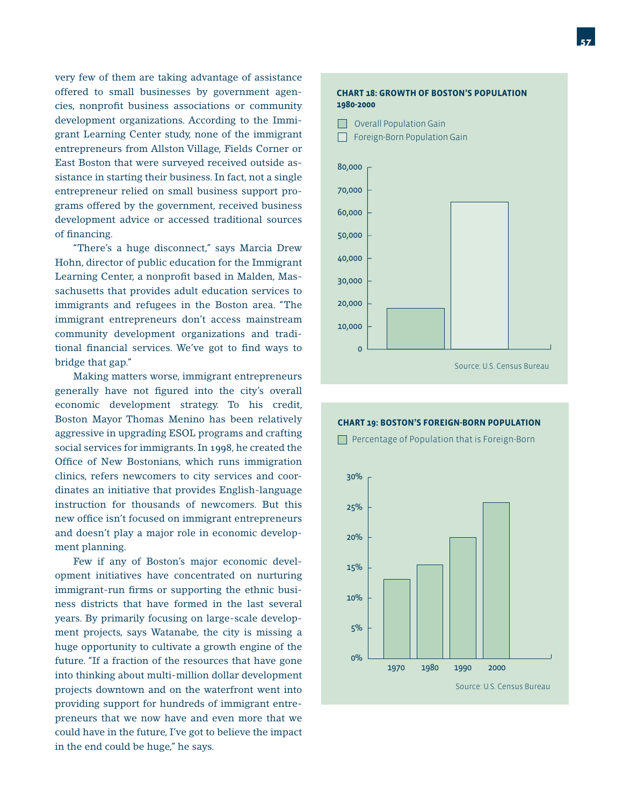very few of them are taking advantage of assistance offered to small businesses by government agencies, nonprofit business associations or community development organizations. According to the Immigrant Learning Center study, none of the immigrant entrepreneurs from Allston Village, Fields Corner or East Boston that were surveyed received outside assistance in starting their business. In fact, not a single entrepreneur relied on small business support programs offered by the government, received business development advice or accessed traditional sources of financing.

 "There's a huge disconnect," says Marcia Drew Hohn, director of public education for the Immigrant Learning Center, a nonprofit based in Malden, Massachusetts that provides adult education services to immigrants and refugees in the Boston area. "The immigrant entrepreneurs don't access mainstream community development organizations and traditional financial services. We've got to find ways to bridge that gap."

 Making matters worse, immigrant entrepreneurs generally have not figured into the city's overall economic development strategy. To his credit, Boston Mayor Thomas Menino has been relatively aggressive in upgrading ESOL programs and crafting social services for immigrants. In 1998, he created the Office of New Bostonians, which runs immigration clinics, refers newcomers to city services and coordinates an initiative that provides English-language instruction for thousands of newcomers. But this new office isn't focused on immigrant entrepreneurs and doesn't play a major role in economic development planning.

 Few if any of Boston's major economic development initiatives have concentrated on nurturing immigrant-run firms or supporting the ethnic business districts that have formed in the last several years. By primarily focusing on large-scale development projects, says Watanabe, the city is missing a huge opportunity to cultivate a growth engine of the future. "If a fraction of the resources that have gone into thinking about multi-million dollar development projects downtown and on the waterfront went into providing support for hundreds of immigrant entrepreneurs that we now have and even more that we could have in the future, I've got to believe the impact in the end could be huge," he says.

#### **CHART 18: GROWTH OF BOSTON'S POPULATION 1980-2000**



#### **CHART 19: BOSTON'S FOREIGN-BORN POPULATION Percentage of Population that is Foreign-Born**

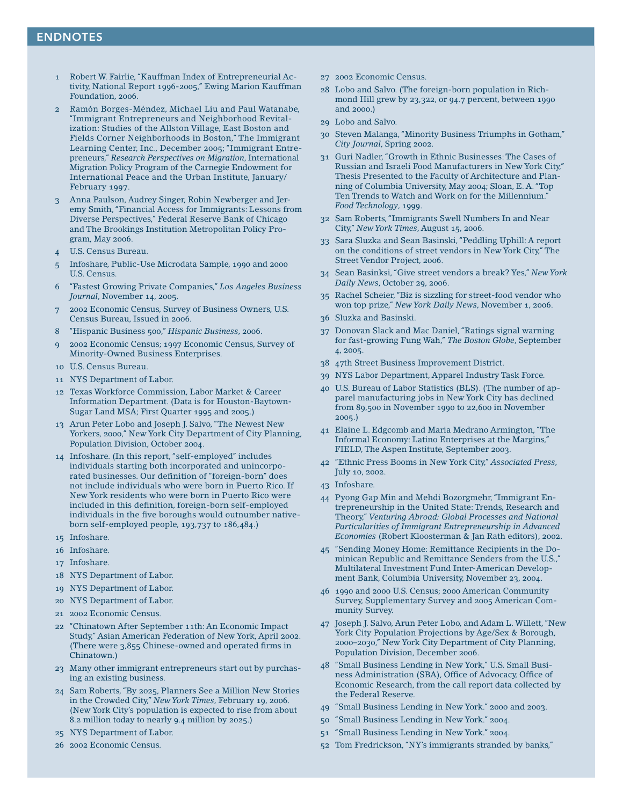#### ENDNOTES

- 1 Robert W. Fairlie, "Kauffman Index of Entrepreneurial Activity, National Report 1996-2005," Ewing Marion Kauffman Foundation, 2006.
- 2 Ramón Borges-Méndez, Michael Liu and Paul Watanabe, "Immigrant Entrepreneurs and Neighborhood Revitalization: Studies of the Allston Village, East Boston and Fields Corner Neighborhoods in Boston," The Immigrant Learning Center, Inc., December 2005; "Immigrant Entrepreneurs," *Research Perspectives on Migration*, International Migration Policy Program of the Carnegie Endowment for International Peace and the Urban Institute, January/ February 1997.
- 3 Anna Paulson, Audrey Singer, Robin Newberger and Jeremy Smith, "Financial Access for Immigrants: Lessons from Diverse Perspectives," Federal Reserve Bank of Chicago and The Brookings Institution Metropolitan Policy Program, May 2006.
- 4 U.S. Census Bureau.
- 5 Infoshare, Public-Use Microdata Sample, 1990 and 2000 U.S. Census.
- 6 "Fastest Growing Private Companies," *Los Angeles Business Journal*, November 14, 2005.
- 7 2002 Economic Census, Survey of Business Owners, U.S. Census Bureau, Issued in 2006.
- 8 "Hispanic Business 500," *Hispanic Business*, 2006.
- 9 2002 Economic Census; 1997 Economic Census, Survey of Minority-Owned Business Enterprises.
- 10 U.S. Census Bureau.
- 11 NYS Department of Labor.
- 12 Texas Workforce Commission, Labor Market & Career Information Department. (Data is for Houston-Baytown-Sugar Land MSA; First Quarter 1995 and 2005.)
- 13 Arun Peter Lobo and Joseph J. Salvo, "The Newest New Yorkers, 2000," New York City Department of City Planning, Population Division, October 2004.
- 14 Infoshare. (In this report, "self-employed" includes individuals starting both incorporated and unincorporated businesses. Our definition of "foreign-born" does not include individuals who were born in Puerto Rico. If New York residents who were born in Puerto Rico were included in this definition, foreign-born self-employed individuals in the five boroughs would outnumber nativeborn self-employed people, 193,737 to 186,484.)
- 15 Infoshare.
- 16 Infoshare.
- 17 Infoshare.
- 18 NYS Department of Labor.
- 19 NYS Department of Labor.
- 20 NYS Department of Labor.
- 21 2002 Economic Census.
- 22 "Chinatown After September 11th: An Economic Impact Study," Asian American Federation of New York, April 2002. (There were  $3.855$  Chinese-owned and operated firms in Chinatown.)
- 23 Many other immigrant entrepreneurs start out by purchasing an existing business.
- 24 Sam Roberts, "By 2025, Planners See a Million New Stories in the Crowded City," *New York Times*, February 19, 2006. (New York City's population is expected to rise from about 8.2 million today to nearly 9.4 million by 2025.)
- 25 NYS Department of Labor.
- 26 2002 Economic Census.
- 27 2002 Economic Census.
- 28 Lobo and Salvo. (The foreign-born population in Richmond Hill grew by 23,322, or 94.7 percent, between 1990 and 2000.)
- 29 Lobo and Salvo.
- 30 Steven Malanga, "Minority Business Triumphs in Gotham," *City Journal*, Spring 2002.
- 31 Guri Nadler, "Growth in Ethnic Businesses: The Cases of Russian and Israeli Food Manufacturers in New York City," Thesis Presented to the Faculty of Architecture and Planning of Columbia University, May 2004; Sloan, E. A. "Top Ten Trends to Watch and Work on for the Millennium." *Food Technology*, 1999.
- 32 Sam Roberts, "Immigrants Swell Numbers In and Near City," *New York Times*, August 15, 2006.
- 33 Sara Sluzka and Sean Basinski, "Peddling Uphill: A report on the conditions of street vendors in New York City," The Street Vendor Project, 2006.
- 34 Sean Basinksi, "Give street vendors a break? Yes," *New York Daily News*, October 29, 2006.
- 35 Rachel Scheier, "Biz is sizzling for street-food vendor who won top prize," *New York Daily News*, November 1, 2006.
- 36 Sluzka and Basinski.
- 37 Donovan Slack and Mac Daniel, "Ratings signal warning for fast-growing Fung Wah," *The Boston Globe*, September 4, 2005.
- 38 47th Street Business Improvement District.
- 39 NYS Labor Department, Apparel Industry Task Force.
- 40 U.S. Bureau of Labor Statistics (BLS). (The number of apparel manufacturing jobs in New York City has declined from 89,500 in November 1990 to 22,600 in November 2005.)
- 41 Elaine L. Edgcomb and Maria Medrano Armington, "The Informal Economy: Latino Enterprises at the Margins," FIELD, The Aspen Institute, September 2003.
- 42 "Ethnic Press Booms in New York City," *Associated Press*, July 10, 2002.
- 43 Infoshare.
- 44 Pyong Gap Min and Mehdi Bozorgmehr, "Immigrant Entrepreneurship in the United State: Trends, Research and Theory," *Venturing Abroad: Global Processes and National Particularities of Immigrant Entrepreneurship in Advanced Economies* (Robert Kloosterman & Jan Rath editors), 2002.
- 45 "Sending Money Home: Remittance Recipients in the Dominican Republic and Remittance Senders from the U.S.," Multilateral Investment Fund Inter-American Development Bank, Columbia University, November 23, 2004.
- 46 1990 and 2000 U.S. Census; 2000 American Community Survey, Supplementary Survey and 2005 American Community Survey.
- 47 Joseph J. Salvo, Arun Peter Lobo, and Adam L. Willett, "New York City Population Projections by Age/Sex & Borough, 2000–2030," New York City Department of City Planning, Population Division, December 2006.
- 48 "Small Business Lending in New York," U.S. Small Business Administration (SBA), Office of Advocacy, Office of Economic Research, from the call report data collected by the Federal Reserve.
- 49 "Small Business Lending in New York." 2000 and 2003.
- 50 "Small Business Lending in New York." 2004.
- 51 "Small Business Lending in New York." 2004.
- 52 Tom Fredrickson, "NY's immigrants stranded by banks,"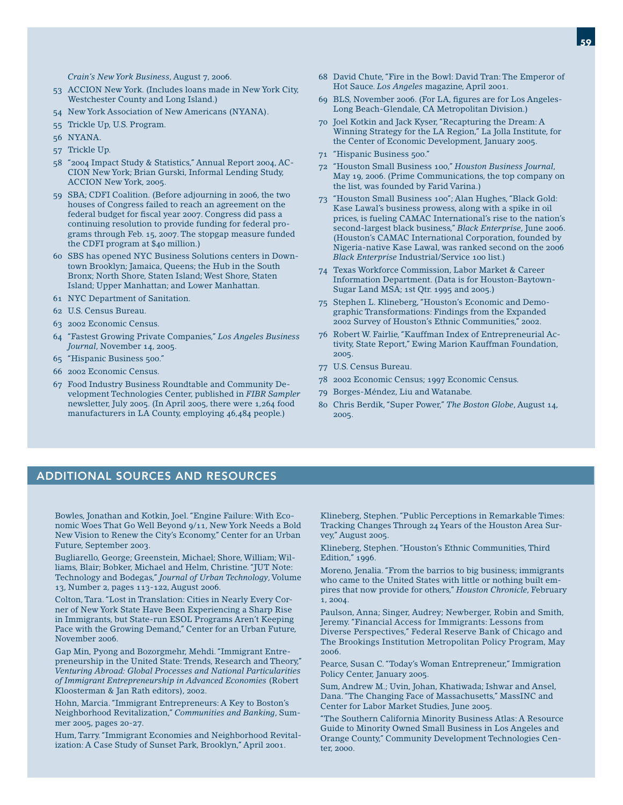- 53 ACCION New York. (Includes loans made in New York City, Westchester County and Long Island.)
- 54 New York Association of New Americans (NYANA).
- 55 Trickle Up, U.S. Program.
- 56 NYANA.
- 57 Trickle Up.
- 58 "2004 Impact Study & Statistics," Annual Report 2004, AC-CION New York; Brian Gurski, Informal Lending Study, ACCION New York, 2005.
- 59 SBA; CDFI Coalition. (Before adjourning in 2006, the two houses of Congress failed to reach an agreement on the federal budget for fiscal year 2007. Congress did pass a continuing resolution to provide funding for federal programs through Feb. 15, 2007. The stopgap measure funded the CDFI program at \$40 million.)
- 60 SBS has opened NYC Business Solutions centers in Downtown Brooklyn; Jamaica, Queens; the Hub in the South Bronx; North Shore, Staten Island; West Shore, Staten Island; Upper Manhattan; and Lower Manhattan.
- 61 NYC Department of Sanitation.
- 62 U.S. Census Bureau.
- 63 2002 Economic Census.
- 64 "Fastest Growing Private Companies," *Los Angeles Business Journal*, November 14, 2005.
- 65 "Hispanic Business 500."
- 66 2002 Economic Census.
- 67 Food Industry Business Roundtable and Community Development Technologies Center, published in *FIBR Sampler* newsletter, July 2005. (In April 2005, there were 1,264 food manufacturers in LA County, employing 46,484 people.)
- 68 David Chute, "Fire in the Bowl: David Tran: The Emperor of Hot Sauce. *Los Angeles* magazine, April 2001.
- 69 BLS, November 2006. (For LA, figures are for Los Angeles-Long Beach-Glendale, CA Metropolitan Division.)
- 70 Joel Kotkin and Jack Kyser, "Recapturing the Dream: A Winning Strategy for the LA Region," La Jolla Institute, for the Center of Economic Development, January 2005.
- 71 "Hispanic Business 500."
- 72 "Houston Small Business 100," *Houston Business Journal*, May 19, 2006. (Prime Communications, the top company on the list, was founded by Farid Varina.)
- 73 "Houston Small Business 100"; Alan Hughes, "Black Gold: Kase Lawal's business prowess, along with a spike in oil prices, is fueling CAMAC International's rise to the nation's second-largest black business," *Black Enterprise*, June 2006. (Houston's CAMAC International Corporation, founded by Nigeria-native Kase Lawal, was ranked second on the 2006 *Black Enterprise* Industrial/Service 100 list.)
- 74 Texas Workforce Commission, Labor Market & Career Information Department. (Data is for Houston-Baytown-Sugar Land MSA; 1st Qtr. 1995 and 2005.)
- 75 Stephen L. Klineberg, "Houston's Economic and Demographic Transformations: Findings from the Expanded 2002 Survey of Houston's Ethnic Communities," 2002.
- 76 Robert W. Fairlie, "Kauffman Index of Entrepreneurial Activity, State Report," Ewing Marion Kauffman Foundation, 2005.
- 77 U.S. Census Bureau.
- 78 2002 Economic Census; 1997 Economic Census.
- 79 Borges-Méndez, Liu and Watanabe.
- 80 Chris Berdik, "Super Power," *The Boston Globe*, August 14, 2005.

#### ADDITIONAL SOURCES AND RESOURCES

Bowles, Jonathan and Kotkin, Joel. "Engine Failure: With Economic Woes That Go Well Beyond 9/11, New York Needs a Bold New Vision to Renew the City's Economy," Center for an Urban Future, September 2003.

Bugliarello, George; Greenstein, Michael; Shore, William; Williams, Blair; Bobker, Michael and Helm, Christine. "JUT Note: Technology and Bodegas," *Journal of Urban Technology*, Volume 13, Number 2, pages 113-122, August 2006.

Colton, Tara. "Lost in Translation: Cities in Nearly Every Corner of New York State Have Been Experiencing a Sharp Rise in Immigrants, but State-run ESOL Programs Aren't Keeping Pace with the Growing Demand," Center for an Urban Future, November 2006.

Gap Min, Pyong and Bozorgmehr, Mehdi. "Immigrant Entrepreneurship in the United State: Trends, Research and Theory," *Venturing Abroad: Global Processes and National Particularities of Immigrant Entrepreneurship in Advanced Economies* (Robert Kloosterman & Jan Rath editors), 2002.

Hohn, Marcia. "Immigrant Entrepreneurs: A Key to Boston's Neighborhood Revitalization," *Communities and Banking*, Summer 2005, pages 20-27.

Hum, Tarry. "Immigrant Economies and Neighborhood Revitalization: A Case Study of Sunset Park, Brooklyn," April 2001.

Klineberg, Stephen. "Public Perceptions in Remarkable Times: Tracking Changes Through 24 Years of the Houston Area Survey," August 2005.

Klineberg, Stephen. "Houston's Ethnic Communities, Third Edition," 1996.

Moreno, Jenalia. "From the barrios to big business; immigrants who came to the United States with little or nothing built empires that now provide for others," *Houston Chronicle*, February 1, 2004.

Paulson, Anna; Singer, Audrey; Newberger, Robin and Smith, Jeremy. "Financial Access for Immigrants: Lessons from Diverse Perspectives," Federal Reserve Bank of Chicago and The Brookings Institution Metropolitan Policy Program, May 2006.

Pearce, Susan C. "Today's Woman Entrepreneur," Immigration Policy Center, January 2005.

Sum, Andrew M.; Uvin, Johan, Khatiwada; Ishwar and Ansel, Dana. "The Changing Face of Massachusetts," MassINC and Center for Labor Market Studies, June 2005.

"The Southern California Minority Business Atlas: A Resource Guide to Minority Owned Small Business in Los Angeles and Orange County," Community Development Technologies Center, 2000.